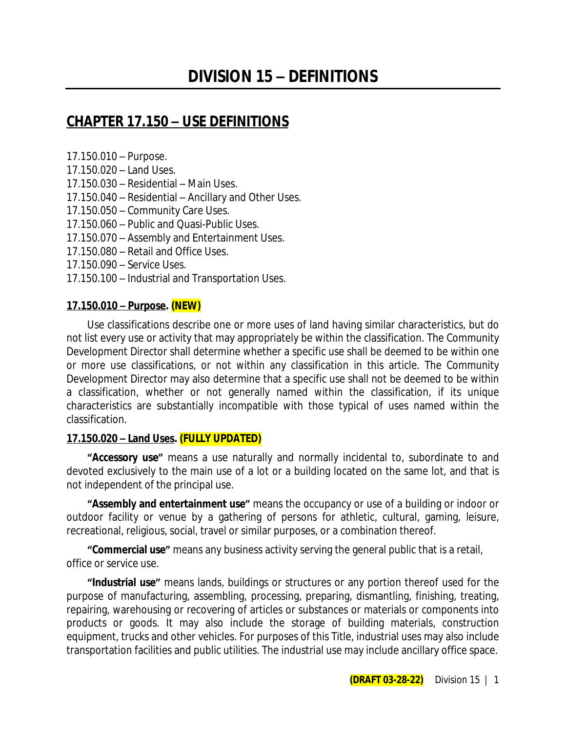## **CHAPTER 17.150 – USE DEFINITIONS**

17.150.010 – Purpose.

- 17.150.020 Land Uses.
- 17.150.030 Residential Main Uses.
- 17.150.040 Residential Ancillary and Other Uses.
- 17.150.050 Community Care Uses.
- 17.150.060 Public and Quasi-Public Uses.
- 17.150.070 Assembly and Entertainment Uses.
- 17.150.080 Retail and Office Uses.
- 17.150.090 Service Uses.
- 17.150.100 Industrial and Transportation Uses.

### **17.150.010 – Purpose. (NEW)**

Use classifications describe one or more uses of land having similar characteristics, but do not list every use or activity that may appropriately be within the classification. The Community Development Director shall determine whether a specific use shall be deemed to be within one or more use classifications, or not within any classification in this article. The Community Development Director may also determine that a specific use shall not be deemed to be within a classification, whether or not generally named within the classification, if its unique characteristics are substantially incompatible with those typical of uses named within the classification.

### **17.150.020 – Land Uses. (FULLY UPDATED)**

**"Accessory use"** means a use naturally and normally incidental to, subordinate to and devoted exclusively to the main use of a lot or a building located on the same lot, and that is not independent of the principal use.

**"Assembly and entertainment use"** means the occupancy or use of a building or indoor or outdoor facility or venue by a gathering of persons for athletic, cultural, gaming, leisure, recreational, religious, social, travel or similar purposes, or a combination thereof.

**"Commercial use"** means any business activity serving the general public that is a retail, office or service use.

**"Industrial use"** means lands, buildings or structures or any portion thereof used for the purpose of manufacturing, assembling, processing, preparing, dismantling, finishing, treating, repairing, warehousing or recovering of articles or substances or materials or components into products or goods. It may also include the storage of building materials, construction equipment, trucks and other vehicles. For purposes of this Title, industrial uses may also include transportation facilities and public utilities. The industrial use may include ancillary office space.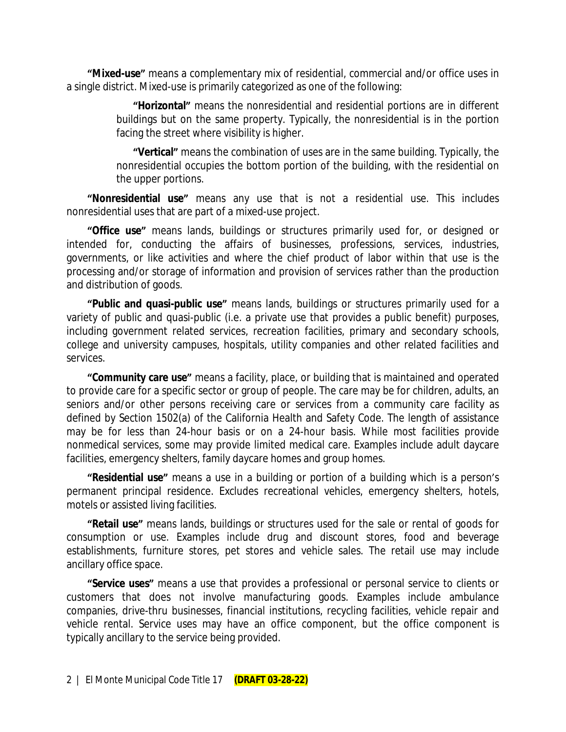**"Mixed-use"** means a complementary mix of residential, commercial and/or office uses in a single district. Mixed-use is primarily categorized as one of the following:

> **"Horizontal"** means the nonresidential and residential portions are in different buildings but on the same property. Typically, the nonresidential is in the portion facing the street where visibility is higher.

> **"Vertical"** means the combination of uses are in the same building. Typically, the nonresidential occupies the bottom portion of the building, with the residential on the upper portions.

**"Nonresidential use"** means any use that is not a residential use. This includes nonresidential uses that are part of a mixed-use project.

**"Office use"** means lands, buildings or structures primarily used for, or designed or intended for, conducting the affairs of businesses, professions, services, industries, governments, or like activities and where the chief product of labor within that use is the processing and/or storage of information and provision of services rather than the production and distribution of goods.

**"Public and quasi-public use"** means lands, buildings or structures primarily used for a variety of public and quasi-public (i.e. a private use that provides a public benefit) purposes, including government related services, recreation facilities, primary and secondary schools, college and university campuses, hospitals, utility companies and other related facilities and services.

**"Community care use"** means a facility, place, or building that is maintained and operated to provide care for a specific sector or group of people. The care may be for children, adults, an seniors and/or other persons receiving care or services from a community care facility as defined by Section 1502(a) of the California Health and Safety Code. The length of assistance may be for less than 24-hour basis or on a 24-hour basis. While most facilities provide nonmedical services, some may provide limited medical care. Examples include adult daycare facilities, emergency shelters, family daycare homes and group homes.

**"Residential use"** means a use in a building or portion of a building which is a person's permanent principal residence. Excludes recreational vehicles, emergency shelters, hotels, motels or assisted living facilities.

**"Retail use"** means lands, buildings or structures used for the sale or rental of goods for consumption or use. Examples include drug and discount stores, food and beverage establishments, furniture stores, pet stores and vehicle sales. The retail use may include ancillary office space.

**"Service uses"** means a use that provides a professional or personal service to clients or customers that does not involve manufacturing goods. Examples include ambulance companies, drive-thru businesses, financial institutions, recycling facilities, vehicle repair and vehicle rental. Service uses may have an office component, but the office component is typically ancillary to the service being provided.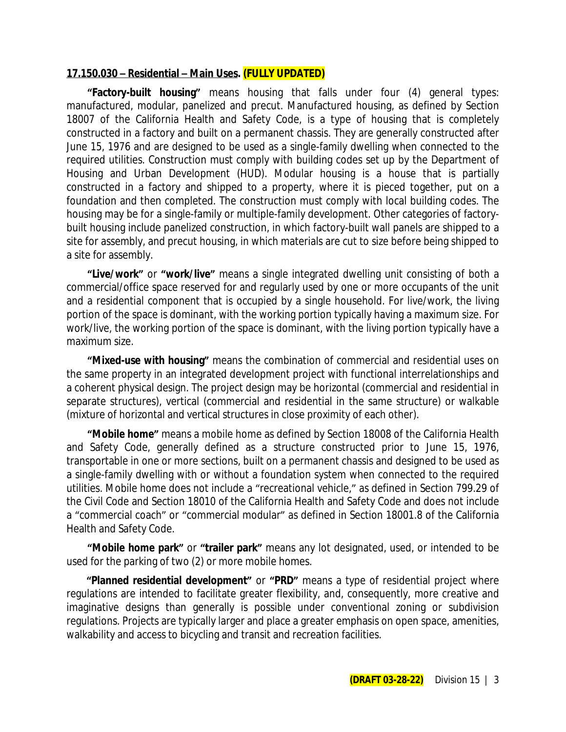#### **17.150.030 – Residential – Main Uses. (FULLY UPDATED)**

**"Factory-built housing"** means housing that falls under four (4) general types: manufactured, modular, panelized and precut. Manufactured housing, as defined by Section 18007 of the California Health and Safety Code, is a type of housing that is completely constructed in a factory and built on a permanent chassis. They are generally constructed after June 15, 1976 and are designed to be used as a single-family dwelling when connected to the required utilities. Construction must comply with building codes set up by the Department of Housing and Urban Development (HUD). Modular housing is a house that is partially constructed in a factory and shipped to a property, where it is pieced together, put on a foundation and then completed. The construction must comply with local building codes. The housing may be for a single-family or multiple-family development. Other categories of factorybuilt housing include panelized construction, in which factory-built wall panels are shipped to a site for assembly, and precut housing, in which materials are cut to size before being shipped to a site for assembly.

**"Live/work"** or **"work/live"** means a single integrated dwelling unit consisting of both a commercial/office space reserved for and regularly used by one or more occupants of the unit and a residential component that is occupied by a single household. For live/work, the living portion of the space is dominant, with the working portion typically having a maximum size. For work/live, the working portion of the space is dominant, with the living portion typically have a maximum size.

**"Mixed-use with housing"** means the combination of commercial and residential uses on the same property in an integrated development project with functional interrelationships and a coherent physical design. The project design may be horizontal (commercial and residential in separate structures), vertical (commercial and residential in the same structure) or walkable (mixture of horizontal and vertical structures in close proximity of each other).

**"Mobile home"** means a mobile home as defined by Section 18008 of the California Health and Safety Code, generally defined as a structure constructed prior to June 15, 1976, transportable in one or more sections, built on a permanent chassis and designed to be used as a single-family dwelling with or without a foundation system when connected to the required utilities. Mobile home does not include a "recreational vehicle," as defined in Section 799.29 of the Civil Code and Section 18010 of the California Health and Safety Code and does not include a "commercial coach" or "commercial modular" as defined in Section 18001.8 of the California Health and Safety Code.

**"Mobile home park"** or **"trailer park"** means any lot designated, used, or intended to be used for the parking of two (2) or more mobile homes.

**"Planned residential development"** or **"PRD"** means a type of residential project where regulations are intended to facilitate greater flexibility, and, consequently, more creative and imaginative designs than generally is possible under conventional zoning or subdivision regulations. Projects are typically larger and place a greater emphasis on open space, amenities, walkability and access to bicycling and transit and recreation facilities.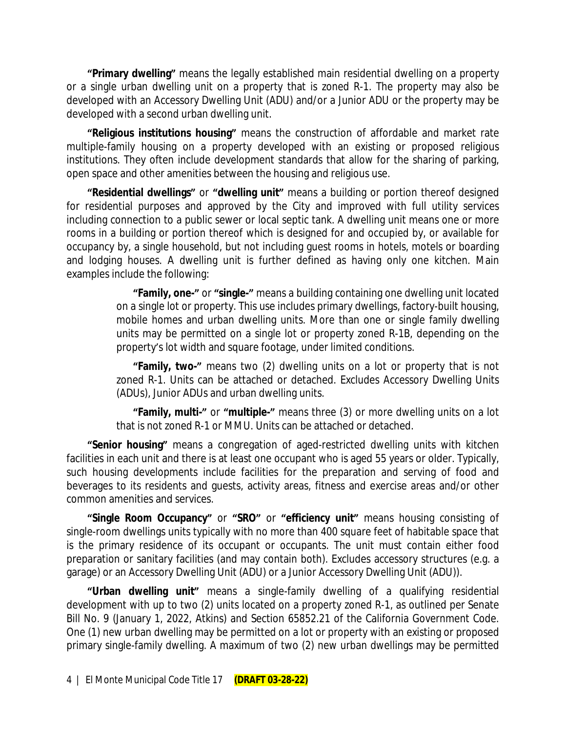**"Primary dwelling"** means the legally established main residential dwelling on a property or a single urban dwelling unit on a property that is zoned R-1. The property may also be developed with an Accessory Dwelling Unit (ADU) and/or a Junior ADU or the property may be developed with a second urban dwelling unit.

**"Religious institutions housing"** means the construction of affordable and market rate multiple-family housing on a property developed with an existing or proposed religious institutions. They often include development standards that allow for the sharing of parking, open space and other amenities between the housing and religious use.

**"Residential dwellings"** or **"dwelling unit"** means a building or portion thereof designed for residential purposes and approved by the City and improved with full utility services including connection to a public sewer or local septic tank. A dwelling unit means one or more rooms in a building or portion thereof which is designed for and occupied by, or available for occupancy by, a single household, but not including guest rooms in hotels, motels or boarding and lodging houses. A dwelling unit is further defined as having only one kitchen. Main examples include the following:

> **"Family, one-"** or **"single-"** means a building containing one dwelling unit located on a single lot or property. This use includes primary dwellings, factory-built housing, mobile homes and urban dwelling units. More than one or single family dwelling units may be permitted on a single lot or property zoned R-1B, depending on the property's lot width and square footage, under limited conditions.

> **"Family, two-"** means two (2) dwelling units on a lot or property that is not zoned R-1. Units can be attached or detached. Excludes Accessory Dwelling Units (ADUs), Junior ADUs and urban dwelling units.

> **"Family, multi-"** or **"multiple-"** means three (3) or more dwelling units on a lot that is not zoned R-1 or MMU. Units can be attached or detached.

**"Senior housing"** means a congregation of aged-restricted dwelling units with kitchen facilities in each unit and there is at least one occupant who is aged 55 years or older. Typically, such housing developments include facilities for the preparation and serving of food and beverages to its residents and guests, activity areas, fitness and exercise areas and/or other common amenities and services.

**"Single Room Occupancy"** or **"SRO"** or **"efficiency unit"** means housing consisting of single-room dwellings units typically with no more than 400 square feet of habitable space that is the primary residence of its occupant or occupants. The unit must contain either food preparation or sanitary facilities (and may contain both). Excludes accessory structures (e.g. a garage) or an Accessory Dwelling Unit (ADU) or a Junior Accessory Dwelling Unit (ADU)).

**"Urban dwelling unit"** means a single-family dwelling of a qualifying residential development with up to two (2) units located on a property zoned R-1, as outlined per Senate Bill No. 9 (January 1, 2022, Atkins) and Section 65852.21 of the California Government Code. One (1) new urban dwelling may be permitted on a lot or property with an existing or proposed primary single-family dwelling. A maximum of two (2) new urban dwellings may be permitted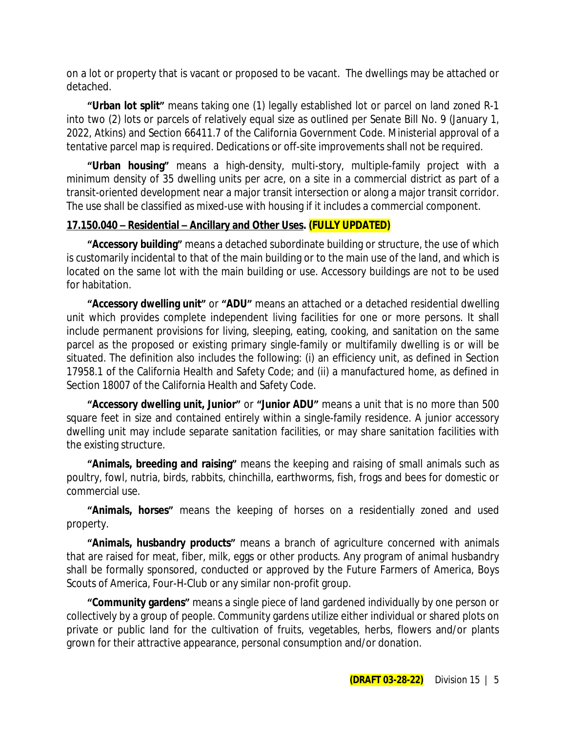on a lot or property that is vacant or proposed to be vacant. The dwellings may be attached or detached.

**"Urban lot split"** means taking one (1) legally established lot or parcel on land zoned R-1 into two (2) lots or parcels of relatively equal size as outlined per Senate Bill No. 9 (January 1, 2022, Atkins) and Section 66411.7 of the California Government Code. Ministerial approval of a tentative parcel map is required. Dedications or off-site improvements shall not be required.

**"Urban housing"** means a high-density, multi-story, multiple-family project with a minimum density of 35 dwelling units per acre, on a site in a commercial district as part of a transit-oriented development near a major transit intersection or along a major transit corridor. The use shall be classified as mixed-use with housing if it includes a commercial component.

## **17.150.040 – Residential – Ancillary and Other Uses. (FULLY UPDATED)**

**"Accessory building"** means a detached subordinate building or structure, the use of which is customarily incidental to that of the main building or to the main use of the land, and which is located on the same lot with the main building or use. Accessory buildings are not to be used for habitation.

**"Accessory dwelling unit"** or **"ADU"** means an attached or a detached residential dwelling unit which provides complete independent living facilities for one or more persons. It shall include permanent provisions for living, sleeping, eating, cooking, and sanitation on the same parcel as the proposed or existing primary single-family or multifamily dwelling is or will be situated. The definition also includes the following: (i) an efficiency unit, as defined in Section 17958.1 of the California Health and Safety Code; and (ii) a manufactured home, as defined in Section 18007 of the California Health and Safety Code.

**"Accessory dwelling unit, Junior"** or **"Junior ADU"** means a unit that is no more than 500 square feet in size and contained entirely within a single-family residence. A junior accessory dwelling unit may include separate sanitation facilities, or may share sanitation facilities with the existing structure.

**"Animals, breeding and raising"** means the keeping and raising of small animals such as poultry, fowl, nutria, birds, rabbits, chinchilla, earthworms, fish, frogs and bees for domestic or commercial use.

**"Animals, horses"** means the keeping of horses on a residentially zoned and used property.

**"Animals, husbandry products"** means a branch of agriculture concerned with animals that are raised for meat, fiber, milk, eggs or other products. Any program of animal husbandry shall be formally sponsored, conducted or approved by the Future Farmers of America, Boys Scouts of America, Four-H-Club or any similar non-profit group.

**"Community gardens"** means a single piece of land gardened individually by one person or collectively by a group of people. Community gardens utilize either individual or shared plots on private or public land for the cultivation of fruits, vegetables, herbs, flowers and/or plants grown for their attractive appearance, personal consumption and/or donation.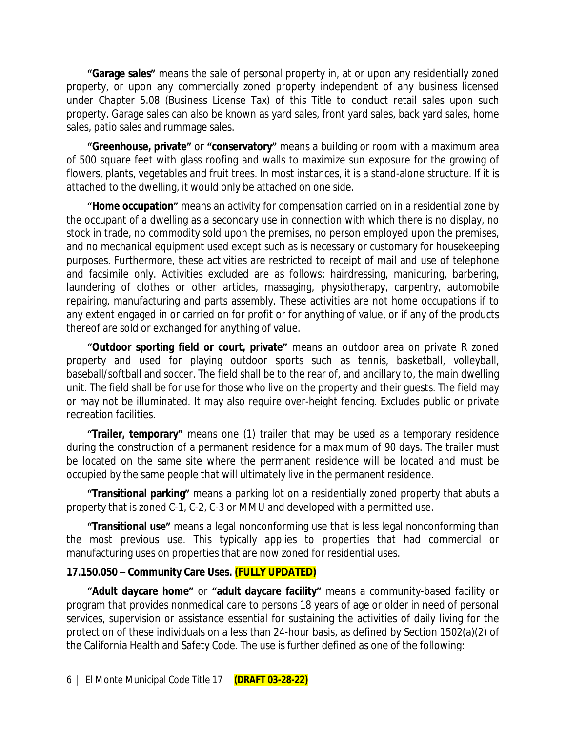**"Garage sales"** means the sale of personal property in, at or upon any residentially zoned property, or upon any commercially zoned property independent of any business licensed under Chapter 5.08 (Business License Tax) of this Title to conduct retail sales upon such property. Garage sales can also be known as yard sales, front yard sales, back yard sales, home sales, patio sales and rummage sales.

**"Greenhouse, private"** or **"conservatory"** means a building or room with a maximum area of 500 square feet with glass roofing and walls to maximize sun exposure for the growing of flowers, plants, vegetables and fruit trees. In most instances, it is a stand-alone structure. If it is attached to the dwelling, it would only be attached on one side.

**"Home occupation"** means an activity for compensation carried on in a residential zone by the occupant of a dwelling as a secondary use in connection with which there is no display, no stock in trade, no commodity sold upon the premises, no person employed upon the premises, and no mechanical equipment used except such as is necessary or customary for housekeeping purposes. Furthermore, these activities are restricted to receipt of mail and use of telephone and facsimile only. Activities excluded are as follows: hairdressing, manicuring, barbering, laundering of clothes or other articles, massaging, physiotherapy, carpentry, automobile repairing, manufacturing and parts assembly. These activities are not home occupations if to any extent engaged in or carried on for profit or for anything of value, or if any of the products thereof are sold or exchanged for anything of value.

**"Outdoor sporting field or court, private"** means an outdoor area on private R zoned property and used for playing outdoor sports such as tennis, basketball, volleyball, baseball/softball and soccer. The field shall be to the rear of, and ancillary to, the main dwelling unit. The field shall be for use for those who live on the property and their guests. The field may or may not be illuminated. It may also require over-height fencing. Excludes public or private recreation facilities.

**"Trailer, temporary"** means one (1) trailer that may be used as a temporary residence during the construction of a permanent residence for a maximum of 90 days. The trailer must be located on the same site where the permanent residence will be located and must be occupied by the same people that will ultimately live in the permanent residence.

**"Transitional parking"** means a parking lot on a residentially zoned property that abuts a property that is zoned C-1, C-2, C-3 or MMU and developed with a permitted use.

**"Transitional use"** means a legal nonconforming use that is less legal nonconforming than the most previous use. This typically applies to properties that had commercial or manufacturing uses on properties that are now zoned for residential uses.

### **17.150.050 – Community Care Uses. (FULLY UPDATED)**

**"Adult daycare home"** or **"adult daycare facility"** means a community-based facility or program that provides nonmedical care to persons 18 years of age or older in need of personal services, supervision or assistance essential for sustaining the activities of daily living for the protection of these individuals on a less than 24-hour basis, as defined by Section 1502(a)(2) of the California Health and Safety Code. The use is further defined as one of the following: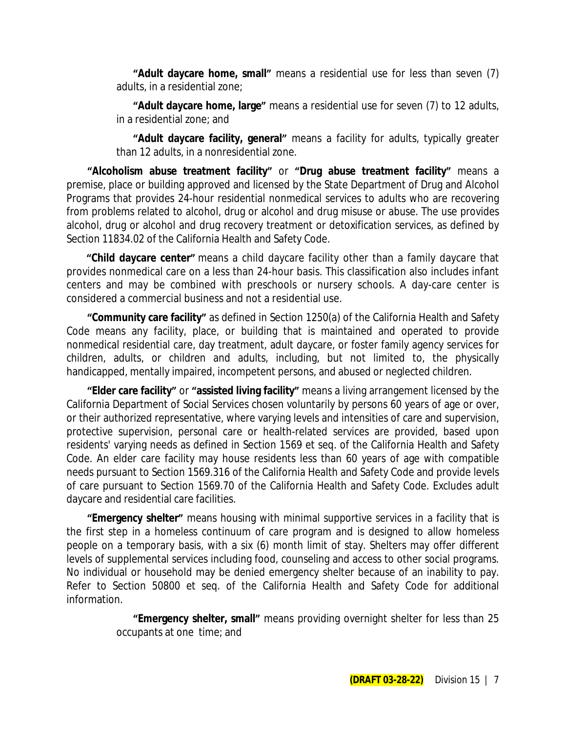**"Adult daycare home, small"** means a residential use for less than seven (7) adults, in a residential zone;

**"Adult daycare home, large"** means a residential use for seven (7) to 12 adults, in a residential zone; and

**"Adult daycare facility, general"** means a facility for adults, typically greater than 12 adults, in a nonresidential zone.

**"Alcoholism abuse treatment facility"** or **"Drug abuse treatment facility"** means a premise, place or building approved and licensed by the State Department of Drug and Alcohol Programs that provides 24-hour residential nonmedical services to adults who are recovering from problems related to alcohol, drug or alcohol and drug misuse or abuse. The use provides alcohol, drug or alcohol and drug recovery treatment or detoxification services, as defined by Section 11834.02 of the California Health and Safety Code.

**"Child daycare center"** means a child daycare facility other than a family daycare that provides nonmedical care on a less than 24-hour basis. This classification also includes infant centers and may be combined with preschools or nursery schools. A day-care center is considered a commercial business and not a residential use.

**"Community care facility"** as defined in Section 1250(a) of the California Health and Safety Code means any facility, place, or building that is maintained and operated to provide nonmedical residential care, day treatment, adult daycare, or foster family agency services for children, adults, or children and adults, including, but not limited to, the physically handicapped, mentally impaired, incompetent persons, and abused or neglected children.

**"Elder care facility"** or **"assisted living facility"** means a living arrangement licensed by the California Department of Social Services chosen voluntarily by persons 60 years of age or over, or their authorized representative, where varying levels and intensities of care and supervision, protective supervision, personal care or health-related services are provided, based upon residents' varying needs as defined in Section 1569 et seq. of the California Health and Safety Code. An elder care facility may house residents less than 60 years of age with compatible needs pursuant to Section 1569.316 of the California Health and Safety Code and provide levels of care pursuant to Section 1569.70 of the California Health and Safety Code. Excludes adult daycare and residential care facilities.

**"Emergency shelter"** means housing with minimal supportive services in a facility that is the first step in a homeless continuum of care program and is designed to allow homeless people on a temporary basis, with a six (6) month limit of stay. Shelters may offer different levels of supplemental services including food, counseling and access to other social programs. No individual or household may be denied emergency shelter because of an inability to pay. Refer to Section 50800 et seq. of the California Health and Safety Code for additional information.

> **"Emergency shelter, small"** means providing overnight shelter for less than 25 occupants at one time; and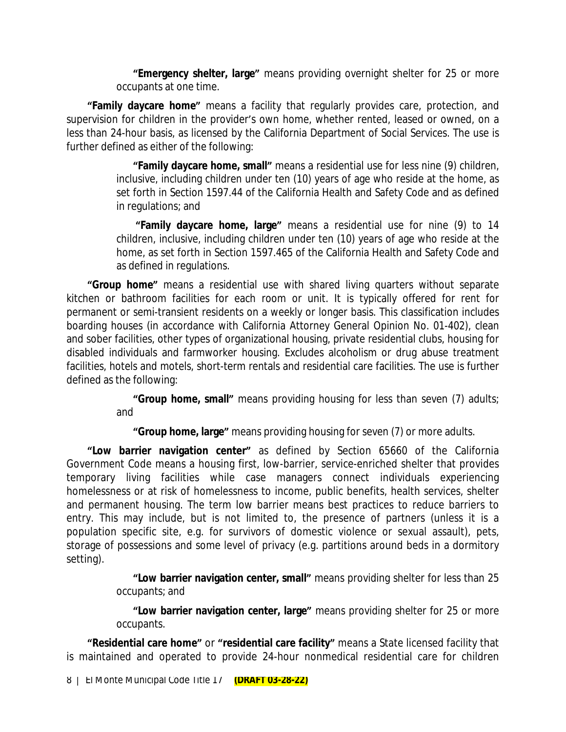**"Emergency shelter, large"** means providing overnight shelter for 25 or more occupants at one time.

**"Family daycare home"** means a facility that regularly provides care, protection, and supervision for children in the provider's own home, whether rented, leased or owned, on a less than 24-hour basis, as licensed by the California Department of Social Services. The use is further defined as either of the following:

> **"Family daycare home, small"** means a residential use for less nine (9) children, inclusive, including children under ten (10) years of age who reside at the home, as set forth in Section 1597.44 of the California Health and Safety Code and as defined in regulations; and

> **"Family daycare home, large"** means a residential use for nine (9) to 14 children, inclusive, including children under ten (10) years of age who reside at the home, as set forth in Section 1597.465 of the California Health and Safety Code and as defined in regulations.

**"Group home"** means a residential use with shared living quarters without separate kitchen or bathroom facilities for each room or unit. It is typically offered for rent for permanent or semi-transient residents on a weekly or longer basis. This classification includes boarding houses (in accordance with California Attorney General Opinion No. 01-402), clean and sober facilities, other types of organizational housing, private residential clubs, housing for disabled individuals and farmworker housing. Excludes alcoholism or drug abuse treatment facilities, hotels and motels, short-term rentals and residential care facilities. The use is further defined as the following:

> **"Group home, small"** means providing housing for less than seven (7) adults; and

**"Group home, large"** means providing housing for seven (7) or more adults.

**"Low barrier navigation center"** as defined by Section 65660 of the California Government Code means a housing first, low-barrier, service-enriched shelter that provides temporary living facilities while case managers connect individuals experiencing homelessness or at risk of homelessness to income, public benefits, health services, shelter and permanent housing. The term low barrier means best practices to reduce barriers to entry. This may include, but is not limited to, the presence of partners (unless it is a population specific site, e.g. for survivors of domestic violence or sexual assault), pets, storage of possessions and some level of privacy (e.g. partitions around beds in a dormitory setting).

> **"Low barrier navigation center, small"** means providing shelter for less than 25 occupants; and

> **"Low barrier navigation center, large"** means providing shelter for 25 or more occupants.

**"Residential care home"** or **"residential care facility"** means a State licensed facility that is maintained and operated to provide 24-hour nonmedical residential care for children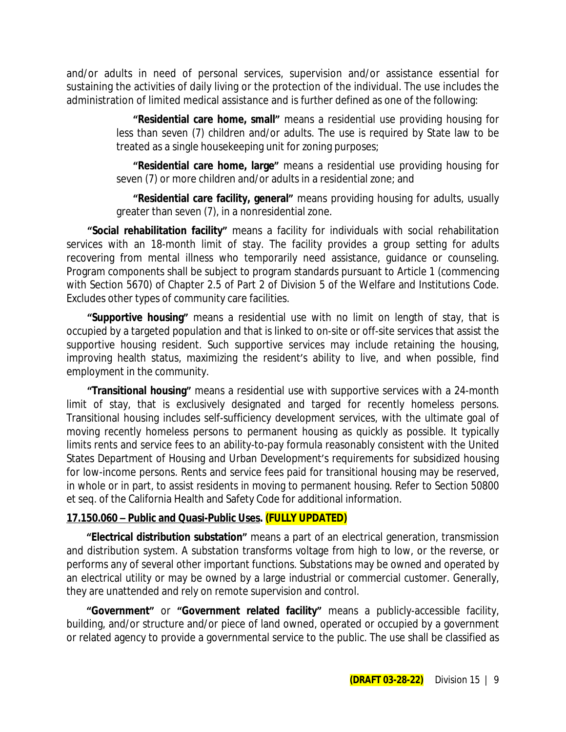and/or adults in need of personal services, supervision and/or assistance essential for sustaining the activities of daily living or the protection of the individual. The use includes the administration of limited medical assistance and is further defined as one of the following:

> **"Residential care home, small"** means a residential use providing housing for less than seven (7) children and/or adults. The use is required by State law to be treated as a single housekeeping unit for zoning purposes;

> **"Residential care home, large"** means a residential use providing housing for seven (7) or more children and/or adults in a residential zone; and

> **"Residential care facility, general"** means providing housing for adults, usually greater than seven (7), in a nonresidential zone.

**"Social rehabilitation facility"** means a facility for individuals with social rehabilitation services with an 18-month limit of stay. The facility provides a group setting for adults recovering from mental illness who temporarily need assistance, guidance or counseling. Program components shall be subject to program standards pursuant to Article 1 (commencing with Section 5670) of Chapter 2.5 of Part 2 of Division 5 of the Welfare and Institutions Code. Excludes other types of community care facilities.

**"Supportive housing"** means a residential use with no limit on length of stay, that is occupied by a targeted population and that is linked to on-site or off-site services that assist the supportive housing resident. Such supportive services may include retaining the housing, improving health status, maximizing the resident's ability to live, and when possible, find employment in the community.

**"Transitional housing"** means a residential use with supportive services with a 24-month limit of stay, that is exclusively designated and targed for recently homeless persons. Transitional housing includes self-sufficiency development services, with the ultimate goal of moving recently homeless persons to permanent housing as quickly as possible. It typically limits rents and service fees to an ability-to-pay formula reasonably consistent with the United States Department of Housing and Urban Development's requirements for subsidized housing for low-income persons. Rents and service fees paid for transitional housing may be reserved, in whole or in part, to assist residents in moving to permanent housing. Refer to Section 50800 et seq. of the California Health and Safety Code for additional information.

### **17.150.060 – Public and Quasi-Public Uses. (FULLY UPDATED)**

**"Electrical distribution substation"** means a part of an electrical generation, transmission and distribution system. A substation transforms voltage from high to low, or the reverse, or performs any of several other important functions. Substations may be owned and operated by an electrical utility or may be owned by a large industrial or commercial customer. Generally, they are unattended and rely on remote supervision and control.

**"Government"** or **"Government related facility"** means a publicly-accessible facility, building, and/or structure and/or piece of land owned, operated or occupied by a government or related agency to provide a governmental service to the public. The use shall be classified as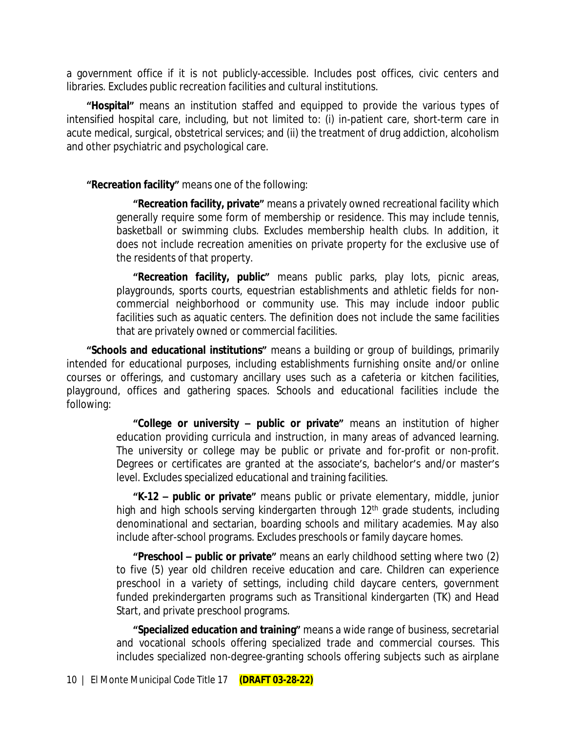a government office if it is not publicly-accessible. Includes post offices, civic centers and libraries. Excludes public recreation facilities and cultural institutions.

**"Hospital"** means an institution staffed and equipped to provide the various types of intensified hospital care, including, but not limited to: (i) in-patient care, short-term care in acute medical, surgical, obstetrical services; and (ii) the treatment of drug addiction, alcoholism and other psychiatric and psychological care.

**"Recreation facility"** means one of the following:

**"Recreation facility, private"** means a privately owned recreational facility which generally require some form of membership or residence. This may include tennis, basketball or swimming clubs. Excludes membership health clubs. In addition, it does not include recreation amenities on private property for the exclusive use of the residents of that property.

**"Recreation facility, public"** means public parks, play lots, picnic areas, playgrounds, sports courts, equestrian establishments and athletic fields for noncommercial neighborhood or community use. This may include indoor public facilities such as aquatic centers. The definition does not include the same facilities that are privately owned or commercial facilities.

**"Schools and educational institutions"** means a building or group of buildings, primarily intended for educational purposes, including establishments furnishing onsite and/or online courses or offerings, and customary ancillary uses such as a cafeteria or kitchen facilities, playground, offices and gathering spaces. Schools and educational facilities include the following:

> **"College or university – public or private"** means an institution of higher education providing curricula and instruction, in many areas of advanced learning. The university or college may be public or private and for-profit or non-profit. Degrees or certificates are granted at the associate's, bachelor's and/or master's level. Excludes specialized educational and training facilities.

> **"K-12 – public or private"** means public or private elementary, middle, junior high and high schools serving kindergarten through 12<sup>th</sup> grade students, including denominational and sectarian, boarding schools and military academies. May also include after-school programs. Excludes preschools or family daycare homes.

> **"Preschool – public or private"** means an early childhood setting where two (2) to five (5) year old children receive education and care. Children can experience preschool in a variety of settings, including child daycare centers, government funded prekindergarten programs such as Transitional kindergarten (TK) and Head Start, and private preschool programs.

> **"Specialized education and training"** means a wide range of business, secretarial and vocational schools offering specialized trade and commercial courses. This includes specialized non-degree-granting schools offering subjects such as airplane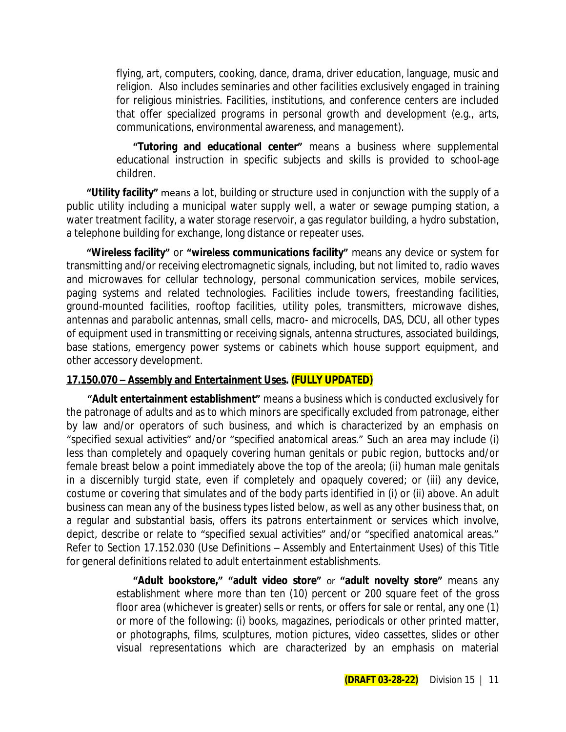flying, art, computers, cooking, dance, drama, driver education, language, music and religion. Also includes seminaries and other facilities exclusively engaged in training for religious ministries. Facilities, institutions, and conference centers are included that offer specialized programs in personal growth and development (e.g., arts, communications, environmental awareness, and management).

**"Tutoring and educational center"** means a business where supplemental educational instruction in specific subjects and skills is provided to school-age children.

**"Utility facility"** means a lot, building or structure used in conjunction with the supply of a public utility including a municipal water supply well, a water or sewage pumping station, a water treatment facility, a water storage reservoir, a gas regulator building, a hydro substation, a telephone building for exchange, long distance or repeater uses.

**"Wireless facility"** or **"wireless communications facility"** means any device or system for transmitting and/or receiving electromagnetic signals, including, but not limited to, radio waves and microwaves for cellular technology, personal communication services, mobile services, paging systems and related technologies. Facilities include towers, freestanding facilities, ground-mounted facilities, rooftop facilities, utility poles, transmitters, microwave dishes, antennas and parabolic antennas, small cells, macro- and microcells, DAS, DCU, all other types of equipment used in transmitting or receiving signals, antenna structures, associated buildings, base stations, emergency power systems or cabinets which house support equipment, and other accessory development.

### **17.150.070 – Assembly and Entertainment Uses. (FULLY UPDATED)**

**"Adult entertainment establishment"** means a business which is conducted exclusively for the patronage of adults and as to which minors are specifically excluded from patronage, either by law and/or operators of such business, and which is characterized by an emphasis on "specified sexual activities" and/or "specified anatomical areas." Such an area may include (i) less than completely and opaquely covering human genitals or pubic region, buttocks and/or female breast below a point immediately above the top of the areola; (ii) human male genitals in a discernibly turgid state, even if completely and opaquely covered; or (iii) any device, costume or covering that simulates and of the body parts identified in (i) or (ii) above. An adult business can mean any of the business types listed below, as well as any other business that, on a regular and substantial basis, offers its patrons entertainment or services which involve, depict, describe or relate to "specified sexual activities" and/or "specified anatomical areas." Refer to Section 17.152.030 (Use Definitions – Assembly and Entertainment Uses) of this Title for general definitions related to adult entertainment establishments.

> **"Adult bookstore," "adult video store"** or **"adult novelty store"** means any establishment where more than ten (10) percent or 200 square feet of the gross floor area (whichever is greater) sells or rents, or offers for sale or rental, any one (1) or more of the following: (i) books, magazines, periodicals or other printed matter, or photographs, films, sculptures, motion pictures, video cassettes, slides or other visual representations which are characterized by an emphasis on material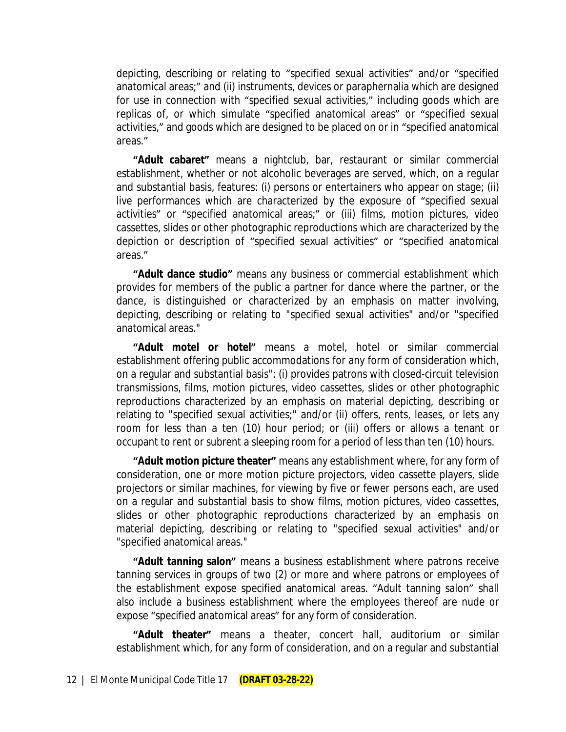depicting, describing or relating to "specified sexual activities" and/or "specified anatomical areas;" and (ii) instruments, devices or paraphernalia which are designed for use in connection with "specified sexual activities," including goods which are replicas of, or which simulate "specified anatomical areas" or "specified sexual activities," and goods which are designed to be placed on or in "specified anatomical areas."

**"Adult cabaret"** means a nightclub, bar, restaurant or similar commercial establishment, whether or not alcoholic beverages are served, which, on a regular and substantial basis, features: (i) persons or entertainers who appear on stage; (ii) live performances which are characterized by the exposure of "specified sexual activities" or "specified anatomical areas;" or (iii) films, motion pictures, video cassettes, slides or other photographic reproductions which are characterized by the depiction or description of "specified sexual activities" or "specified anatomical areas."

**"Adult dance studio"** means any business or commercial establishment which provides for members of the public a partner for dance where the partner, or the dance, is distinguished or characterized by an emphasis on matter involving, depicting, describing or relating to "specified sexual activities" and/or "specified anatomical areas."

**"Adult motel or hotel"** means a motel, hotel or similar commercial establishment offering public accommodations for any form of consideration which, on a regular and substantial basis": (i) provides patrons with closed-circuit television transmissions, films, motion pictures, video cassettes, slides or other photographic reproductions characterized by an emphasis on material depicting, describing or relating to "specified sexual activities;" and/or (ii) offers, rents, leases, or lets any room for less than a ten (10) hour period; or (iii) offers or allows a tenant or occupant to rent or subrent a sleeping room for a period of less than ten (10) hours.

**"Adult motion picture theater"** means any establishment where, for any form of consideration, one or more motion picture projectors, video cassette players, slide projectors or similar machines, for viewing by five or fewer persons each, are used on a regular and substantial basis to show films, motion pictures, video cassettes, slides or other photographic reproductions characterized by an emphasis on material depicting, describing or relating to "specified sexual activities" and/or "specified anatomical areas."

**"Adult tanning salon"** means a business establishment where patrons receive tanning services in groups of two (2) or more and where patrons or employees of the establishment expose specified anatomical areas. "Adult tanning salon" shall also include a business establishment where the employees thereof are nude or expose "specified anatomical areas" for any form of consideration.

**"Adult theater"** means a theater, concert hall, auditorium or similar establishment which, for any form of consideration, and on a regular and substantial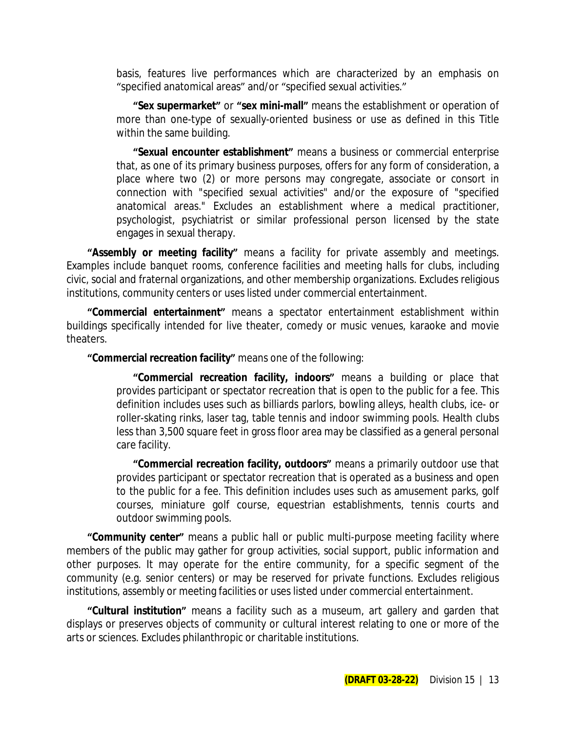basis, features live performances which are characterized by an emphasis on "specified anatomical areas" and/or "specified sexual activities."

**"Sex supermarket"** or **"sex mini-mall"** means the establishment or operation of more than one-type of sexually-oriented business or use as defined in this Title within the same building.

**"Sexual encounter establishment"** means a business or commercial enterprise that, as one of its primary business purposes, offers for any form of consideration, a place where two (2) or more persons may congregate, associate or consort in connection with "specified sexual activities" and/or the exposure of "specified anatomical areas." Excludes an establishment where a medical practitioner, psychologist, psychiatrist or similar professional person licensed by the state engages in sexual therapy.

**"Assembly or meeting facility"** means a facility for private assembly and meetings. Examples include banquet rooms, conference facilities and meeting halls for clubs, including civic, social and fraternal organizations, and other membership organizations. Excludes religious institutions, community centers or uses listed under commercial entertainment.

**"Commercial entertainment"** means a spectator entertainment establishment within buildings specifically intended for live theater, comedy or music venues, karaoke and movie theaters.

**"Commercial recreation facility"** means one of the following:

**"Commercial recreation facility, indoors"** means a building or place that provides participant or spectator recreation that is open to the public for a fee. This definition includes uses such as billiards parlors, bowling alleys, health clubs, ice- or roller-skating rinks, laser tag, table tennis and indoor swimming pools. Health clubs less than 3,500 square feet in gross floor area may be classified as a general personal care facility.

**"Commercial recreation facility, outdoors"** means a primarily outdoor use that provides participant or spectator recreation that is operated as a business and open to the public for a fee. This definition includes uses such as amusement parks, golf courses, miniature golf course, equestrian establishments, tennis courts and outdoor swimming pools.

**"Community center"** means a public hall or public multi-purpose meeting facility where members of the public may gather for group activities, social support, public information and other purposes. It may operate for the entire community, for a specific segment of the community (e.g. senior centers) or may be reserved for private functions. Excludes religious institutions, assembly or meeting facilities or uses listed under commercial entertainment.

**"Cultural institution"** means a facility such as a museum, art gallery and garden that displays or preserves objects of community or cultural interest relating to one or more of the arts or sciences. Excludes philanthropic or charitable institutions.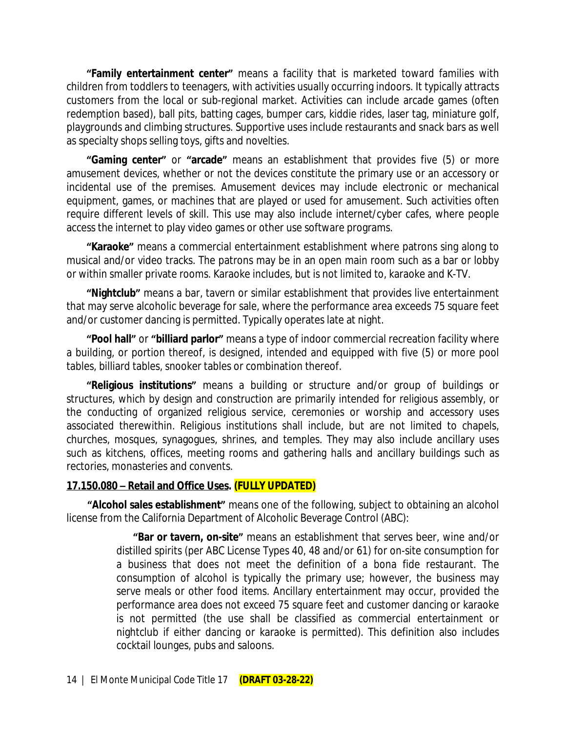**"Family entertainment center"** means a facility that is marketed toward families with children from toddlers to teenagers, with activities usually occurring indoors. It typically attracts customers from the local or sub-regional market. Activities can include arcade games (often redemption based), ball pits, batting cages, bumper cars, kiddie rides, laser tag, miniature golf, playgrounds and climbing structures. Supportive uses include restaurants and snack bars as well as specialty shops selling toys, gifts and novelties.

**"Gaming center"** or **"arcade"** means an establishment that provides five (5) or more amusement devices, whether or not the devices constitute the primary use or an accessory or incidental use of the premises. Amusement devices may include electronic or mechanical equipment, games, or machines that are played or used for amusement. Such activities often require different levels of skill. This use may also include internet/cyber cafes, where people access the internet to play video games or other use software programs.

**"Karaoke"** means a commercial entertainment establishment where patrons sing along to musical and/or video tracks. The patrons may be in an open main room such as a bar or lobby or within smaller private rooms. Karaoke includes, but is not limited to, karaoke and K-TV.

**"Nightclub"** means a bar, tavern or similar establishment that provides live entertainment that may serve alcoholic beverage for sale, where the performance area exceeds 75 square feet and/or customer dancing is permitted. Typically operates late at night.

**"Pool hall"** or **"billiard parlor"** means a type of indoor commercial recreation facility where a building, or portion thereof, is designed, intended and equipped with five (5) or more pool tables, billiard tables, snooker tables or combination thereof.

**"Religious institutions"** means a building or structure and/or group of buildings or structures, which by design and construction are primarily intended for religious assembly, or the conducting of organized religious service, ceremonies or worship and accessory uses associated therewithin. Religious institutions shall include, but are not limited to chapels, churches, mosques, synagogues, shrines, and temples. They may also include ancillary uses such as kitchens, offices, meeting rooms and gathering halls and ancillary buildings such as rectories, monasteries and convents.

### **17.150.080 – Retail and Office Uses. (FULLY UPDATED)**

**"Alcohol sales establishment"** means one of the following, subject to obtaining an alcohol license from the California Department of Alcoholic Beverage Control (ABC):

> **"Bar or tavern, on-site"** means an establishment that serves beer, wine and/or distilled spirits (per ABC License Types 40, 48 and/or 61) for on-site consumption for a business that does not meet the definition of a bona fide restaurant. The consumption of alcohol is typically the primary use; however, the business may serve meals or other food items. Ancillary entertainment may occur, provided the performance area does not exceed 75 square feet and customer dancing or karaoke is not permitted (the use shall be classified as commercial entertainment or nightclub if either dancing or karaoke is permitted). This definition also includes cocktail lounges, pubs and saloons.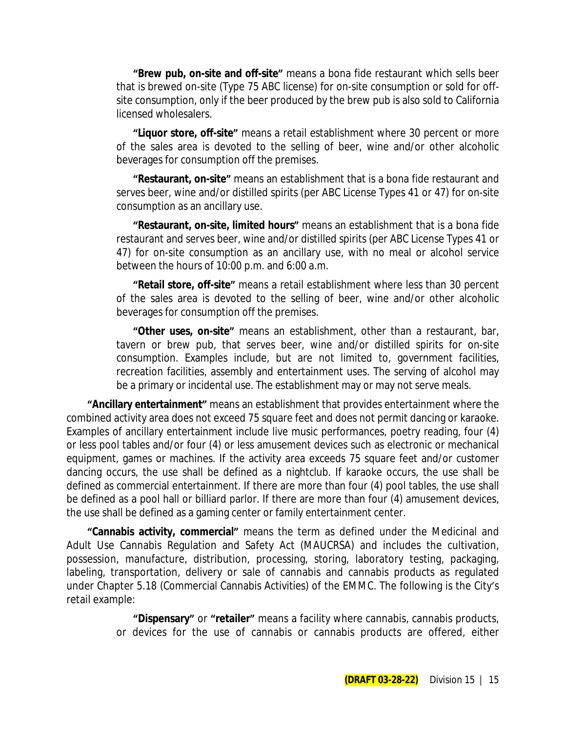**"Brew pub, on-site and off-site"** means a bona fide restaurant which sells beer that is brewed on-site (Type 75 ABC license) for on-site consumption or sold for offsite consumption, only if the beer produced by the brew pub is also sold to California licensed wholesalers.

**"Liquor store, off-site"** means a retail establishment where 30 percent or more of the sales area is devoted to the selling of beer, wine and/or other alcoholic beverages for consumption off the premises.

**"Restaurant, on-site"** means an establishment that is a bona fide restaurant and serves beer, wine and/or distilled spirits (per ABC License Types 41 or 47) for on-site consumption as an ancillary use.

**"Restaurant, on-site, limited hours"** means an establishment that is a bona fide restaurant and serves beer, wine and/or distilled spirits (per ABC License Types 41 or 47) for on-site consumption as an ancillary use, with no meal or alcohol service between the hours of 10:00 p.m. and 6:00 a.m.

**"Retail store, off-site"** means a retail establishment where less than 30 percent of the sales area is devoted to the selling of beer, wine and/or other alcoholic beverages for consumption off the premises.

**"Other uses, on-site"** means an establishment, other than a restaurant, bar, tavern or brew pub, that serves beer, wine and/or distilled spirits for on-site consumption. Examples include, but are not limited to, government facilities, recreation facilities, assembly and entertainment uses. The serving of alcohol may be a primary or incidental use. The establishment may or may not serve meals.

**"Ancillary entertainment"** means an establishment that provides entertainment where the combined activity area does not exceed 75 square feet and does not permit dancing or karaoke. Examples of ancillary entertainment include live music performances, poetry reading, four (4) or less pool tables and/or four (4) or less amusement devices such as electronic or mechanical equipment, games or machines. If the activity area exceeds 75 square feet and/or customer dancing occurs, the use shall be defined as a nightclub. If karaoke occurs, the use shall be defined as commercial entertainment. If there are more than four (4) pool tables, the use shall be defined as a pool hall or billiard parlor. If there are more than four (4) amusement devices, the use shall be defined as a gaming center or family entertainment center.

**"Cannabis activity, commercial"** means the term as defined under the Medicinal and Adult Use Cannabis Regulation and Safety Act (MAUCRSA) and includes the cultivation, possession, manufacture, distribution, processing, storing, laboratory testing, packaging, labeling, transportation, delivery or sale of cannabis and cannabis products as regulated under Chapter 5.18 (Commercial Cannabis Activities) of the EMMC. The following is the City's retail example:

> **"Dispensary"** or **"retailer"** means a facility where cannabis, cannabis products, or devices for the use of cannabis or cannabis products are offered, either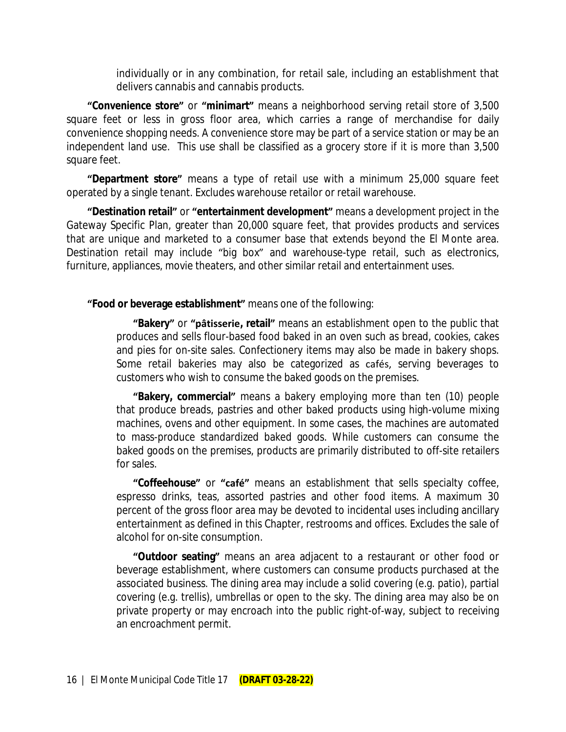individually or in any combination, for retail sale, including an establishment that delivers cannabis and cannabis products.

**"Convenience store"** or **"minimart"** means a neighborhood serving retail store of 3,500 square feet or less in gross floor area, which carries a range of merchandise for daily convenience shopping needs. A convenience store may be part of a service station or may be an independent land use. This use shall be classified as a grocery store if it is more than 3,500 square feet.

**"Department store"** means a type of retail use with a minimum 25,000 square feet operated by a single tenant. Excludes warehouse retailor or retail warehouse.

**"Destination retail"** or **"entertainment development"** means a development project in the Gateway Specific Plan, greater than 20,000 square feet, that provides products and services that are unique and marketed to a consumer base that extends beyond the El Monte area. Destination retail may include "big box" and warehouse-type retail, such as electronics, furniture, appliances, movie theaters, and other similar retail and entertainment uses.

**"Food or beverage establishment"** means one of the following:

**"Bakery"** or **["pâtisserie](https://en.wikipedia.org/wiki/P%C3%A2tisserie), retail"** means an establishment open to the public that produces and sells flour-based food baked in an oven such as bread, cookies, cakes and pies for on-site sales. Confectionery items may also be made in bakery shops. Some retail bakeries may also be categorized as cafés, serving beverages to customers who wish to consume the baked goods on the premises.

**"Bakery, commercial"** means a bakery employing more than ten (10) people that produce breads, pastries and other baked products using high-volume mixing machines, ovens and other equipment. In some cases, the machines are automated to mass-produce standardized baked goods. While customers can consume the baked goods on the premises, products are primarily distributed to off-site retailers for sales.

**"Coffeehouse"** or **"café"** means an establishment that sells specialty coffee, espresso drinks, teas, assorted pastries and other food items. A maximum 30 percent of the gross floor area may be devoted to incidental uses including ancillary entertainment as defined in this Chapter, restrooms and offices. Excludes the sale of alcohol for on-site consumption.

**"Outdoor seating"** means an area adjacent to a restaurant or other food or beverage establishment, where customers can consume products purchased at the associated business. The dining area may include a solid covering (e.g. patio), partial covering (e.g. trellis), umbrellas or open to the sky. The dining area may also be on private property or may encroach into the public right-of-way, subject to receiving an encroachment permit.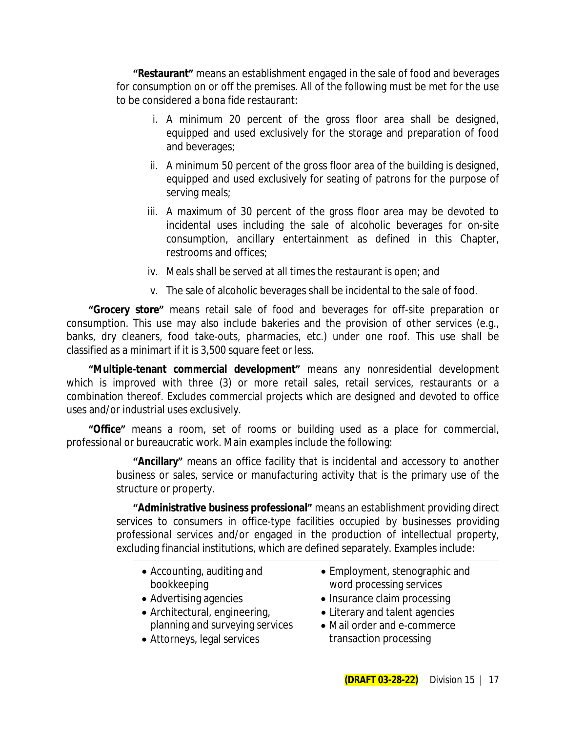**"Restaurant"** means an establishment engaged in the sale of food and beverages for consumption on or off the premises. All of the following must be met for the use to be considered a bona fide restaurant:

- i. A minimum 20 percent of the gross floor area shall be designed, equipped and used exclusively for the storage and preparation of food and beverages;
- ii. A minimum 50 percent of the gross floor area of the building is designed, equipped and used exclusively for seating of patrons for the purpose of serving meals;
- iii. A maximum of 30 percent of the gross floor area may be devoted to incidental uses including the sale of alcoholic beverages for on-site consumption, ancillary entertainment as defined in this Chapter, restrooms and offices;
- iv. Meals shall be served at all times the restaurant is open; and
- v. The sale of alcoholic beverages shall be incidental to the sale of food.

**"Grocery store"** means retail sale of food and beverages for off-site preparation or consumption. This use may also include bakeries and the provision of other services (e.g., banks, dry cleaners, food take-outs, pharmacies, etc.) under one roof. This use shall be classified as a minimart if it is 3,500 square feet or less.

**"Multiple-tenant commercial development"** means any nonresidential development which is improved with three (3) or more retail sales, retail services, restaurants or a combination thereof. Excludes commercial projects which are designed and devoted to office uses and/or industrial uses exclusively.

**"Office"** means a room, set of rooms or building used as a place for commercial, professional or bureaucratic work. Main examples include the following:

> **"Ancillary"** means an office facility that is incidental and accessory to another business or sales, service or manufacturing activity that is the primary use of the structure or property.

> **"Administrative business professional"** means an establishment providing direct services to consumers in office-type facilities occupied by businesses providing professional services and/or engaged in the production of intellectual property, excluding financial institutions, which are defined separately. Examples include:

- Accounting, auditing and bookkeeping
- 
- Architectural, engineering, planning and surveying services
- Attorneys, legal services transaction processing
- Employment, stenographic and word processing services
- Advertising agencies **Insurance claim processing** 
	- Literary and talent agencies
	- Mail order and e-commerce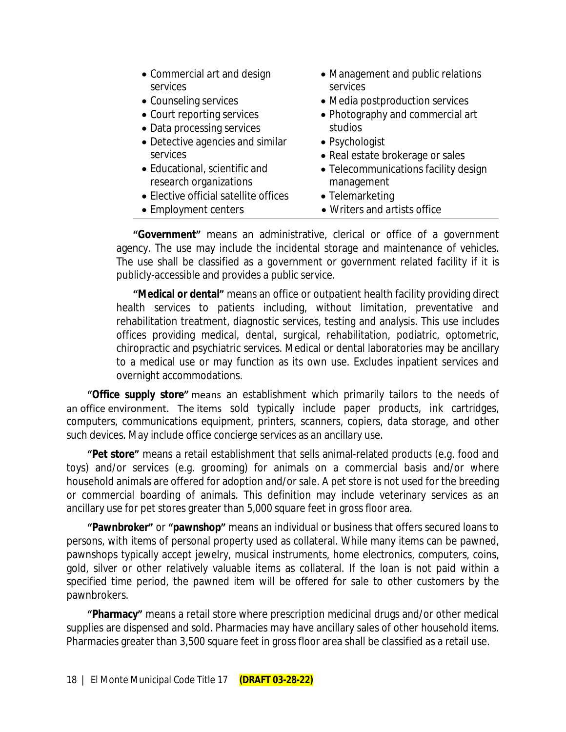- Commercial art and design services
- 
- Court reporting services
- Data processing services
- Detective agencies and similar services
- Educational, scientific and research organizations
- Elective official satellite offices
- 
- Management and public relations services
- Counseling services **•** Media postproduction services
	- Photography and commercial art studios
	- Psychologist
	- Real estate brokerage or sales
	- Telecommunications facility design management
	- Telemarketing
- Employment centers Writers and artists office

**"Government"** means an administrative, clerical or office of a government agency. The use may include the incidental storage and maintenance of vehicles. The use shall be classified as a government or government related facility if it is publicly-accessible and provides a public service.

**"Medical or dental"** means an office or outpatient health facility providing direct health services to patients including, without limitation, preventative and rehabilitation treatment, diagnostic services, testing and analysis. This use includes offices providing medical, dental, surgical, rehabilitation, podiatric, optometric, chiropractic and psychiatric services. Medical or dental laboratories may be ancillary to a medical use or may function as its own use. Excludes inpatient services and overnight accommodations.

**"Office supply store"** means an establishment which primarily tailors to the needs of an office environment. The items sold typically include paper products, ink cartridges, computers, communications equipment, printers, scanners, copiers, data storage, and other such devices. May include office concierge services as an ancillary use.

**"Pet store"** means a retail establishment that sells animal-related products (e.g. food and toys) and/or services (e.g. grooming) for animals on a commercial basis and/or where household animals are offered for adoption and/or sale. A pet store is not used for the breeding or commercial boarding of animals. This definition may include veterinary services as an ancillary use for pet stores greater than 5,000 square feet in gross floor area.

**"Pawnbroker"** or **"pawnshop"** means an individual or business that offers secured loans to persons, with items of personal property used as collateral. While many items can be pawned, pawnshops typically accept jewelry, musical instruments, home electronics, computers, coins, gold, silver or other relatively valuable items as collateral. If the loan is not paid within a specified time period, the pawned item will be offered for sale to other customers by the pawnbrokers.

**"Pharmacy"** means a retail store where prescription medicinal drugs and/or other medical supplies are dispensed and sold. Pharmacies may have ancillary sales of other household items. Pharmacies greater than 3,500 square feet in gross floor area shall be classified as a retail use.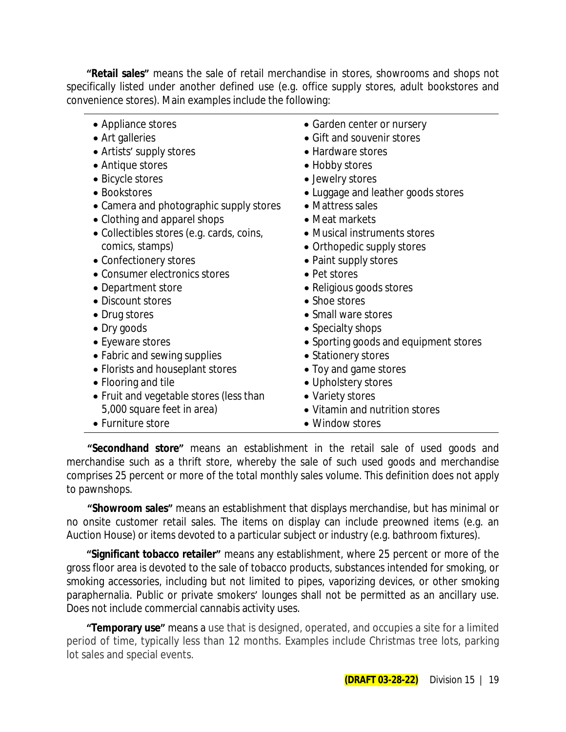**"Retail sales"** means the sale of retail merchandise in stores, showrooms and shops not specifically listed under another defined use (e.g. office supply stores, adult bookstores and convenience stores). Main examples include the following:

| • Appliance stores<br>• Art galleries<br>• Artists' supply stores<br>• Antique stores<br>• Bicycle stores<br>• Bookstores<br>• Camera and photographic supply stores<br>• Clothing and apparel shops<br>• Collectibles stores (e.g. cards, coins,<br>comics, stamps) | • Garden center or nursery<br>• Gift and souvenir stores<br>• Hardware stores<br>• Hobby stores<br>• Jewelry stores<br>• Luggage and leather goods stores<br>• Mattress sales<br>• Meat markets<br>• Musical instruments stores<br>• Orthopedic supply stores |
|----------------------------------------------------------------------------------------------------------------------------------------------------------------------------------------------------------------------------------------------------------------------|---------------------------------------------------------------------------------------------------------------------------------------------------------------------------------------------------------------------------------------------------------------|
| • Consumer electronics stores<br>• Department store                                                                                                                                                                                                                  | • Pet stores<br>• Religious goods stores                                                                                                                                                                                                                      |
| • Discount stores                                                                                                                                                                                                                                                    | • Shoe stores                                                                                                                                                                                                                                                 |
| • Drug stores                                                                                                                                                                                                                                                        | • Small ware stores                                                                                                                                                                                                                                           |
| • Dry goods                                                                                                                                                                                                                                                          | • Specialty shops                                                                                                                                                                                                                                             |
| • Eyeware stores                                                                                                                                                                                                                                                     | • Sporting goods and equipment stores                                                                                                                                                                                                                         |
| • Fabric and sewing supplies                                                                                                                                                                                                                                         | • Stationery stores                                                                                                                                                                                                                                           |
| • Florists and houseplant stores                                                                                                                                                                                                                                     | • Toy and game stores                                                                                                                                                                                                                                         |
| • Flooring and tile                                                                                                                                                                                                                                                  | • Upholstery stores                                                                                                                                                                                                                                           |
| • Fruit and vegetable stores (less than                                                                                                                                                                                                                              | • Variety stores                                                                                                                                                                                                                                              |
| 5,000 square feet in area)                                                                                                                                                                                                                                           | • Vitamin and nutrition stores                                                                                                                                                                                                                                |
| • Furniture store                                                                                                                                                                                                                                                    | • Window stores                                                                                                                                                                                                                                               |

**"Secondhand store"** means an establishment in the retail sale of used goods and merchandise such as a thrift store, whereby the sale of such used goods and merchandise comprises 25 percent or more of the total monthly sales volume. This definition does not apply to pawnshops.

**"Showroom sales"** means an establishment that displays merchandise, but has minimal or no onsite customer retail sales. The items on display can include preowned items (e.g. an Auction House) or items devoted to a particular subject or industry (e.g. bathroom fixtures).

**"Significant tobacco retailer"** means any establishment, where 25 percent or more of the gross floor area is devoted to the sale of tobacco products, substances intended for smoking, or smoking accessories, including but not limited to pipes, vaporizing devices, or other smoking paraphernalia. Public or private smokers' lounges shall not be permitted as an ancillary use. Does not include commercial cannabis activity uses.

**"Temporary use"** means a use that is designed, operated, and occupies a site for a limited period of time, typically less than 12 months. Examples include Christmas tree lots, parking lot sales and special events.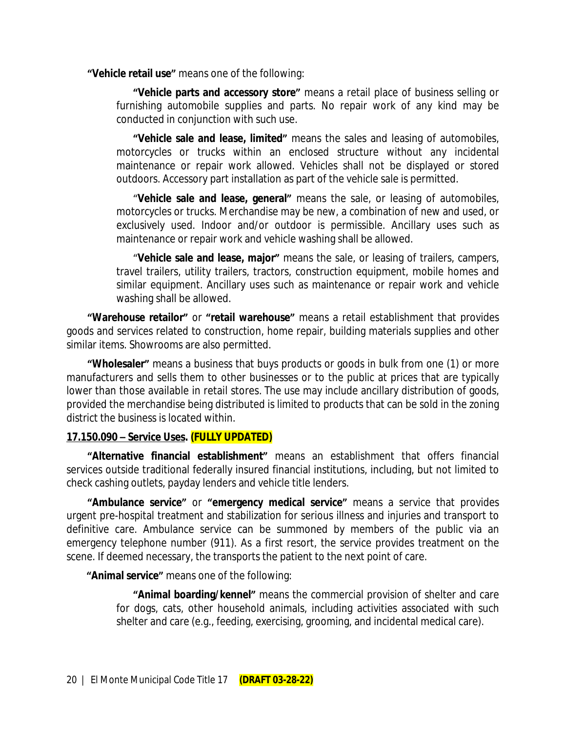**"Vehicle retail use"** means one of the following:

**"Vehicle parts and accessory store"** means a retail place of business selling or furnishing automobile supplies and parts. No repair work of any kind may be conducted in conjunction with such use.

**"Vehicle sale and lease, limited"** means the sales and leasing of automobiles, motorcycles or trucks within an enclosed structure without any incidental maintenance or repair work allowed. Vehicles shall not be displayed or stored outdoors. Accessory part installation as part of the vehicle sale is permitted.

"**Vehicle sale and lease, general"** means the sale, or leasing of automobiles, motorcycles or trucks. Merchandise may be new, a combination of new and used, or exclusively used. Indoor and/or outdoor is permissible. Ancillary uses such as maintenance or repair work and vehicle washing shall be allowed.

"**Vehicle sale and lease, major"** means the sale, or leasing of trailers, campers, travel trailers, utility trailers, tractors, construction equipment, mobile homes and similar equipment. Ancillary uses such as maintenance or repair work and vehicle washing shall be allowed.

**"Warehouse retailor"** or **"retail warehouse"** means a retail establishment that provides goods and services related to construction, home repair, building materials supplies and other similar items. Showrooms are also permitted.

**"Wholesaler"** means a business that buys products or goods in bulk from one (1) or more manufacturers and sells them to other businesses or to the public at prices that are typically lower than those available in retail stores. The use may include ancillary distribution of goods, provided the merchandise being distributed is limited to products that can be sold in the zoning district the business is located within.

### **17.150.090 – Service Uses. (FULLY UPDATED)**

**"Alternative financial establishment"** means an establishment that offers financial services outside traditional federally insured financial institutions, including, but not limited to check cashing outlets, payday lenders and vehicle title lenders.

**"Ambulance service"** or **"emergency medical service"** means a service that provides urgent pre-hospital treatment and stabilization for serious illness and injuries and transport to definitive care. Ambulance service can be summoned by members of the public via an emergency telephone number (911). As a first resort, the service provides treatment on the scene. If deemed necessary, the transports the patient to the next point of care.

**"Animal service"** means one of the following:

**"Animal boarding/kennel"** means the commercial provision of shelter and care for dogs, cats, other household animals, including activities associated with such shelter and care (e.g., feeding, exercising, grooming, and incidental medical care).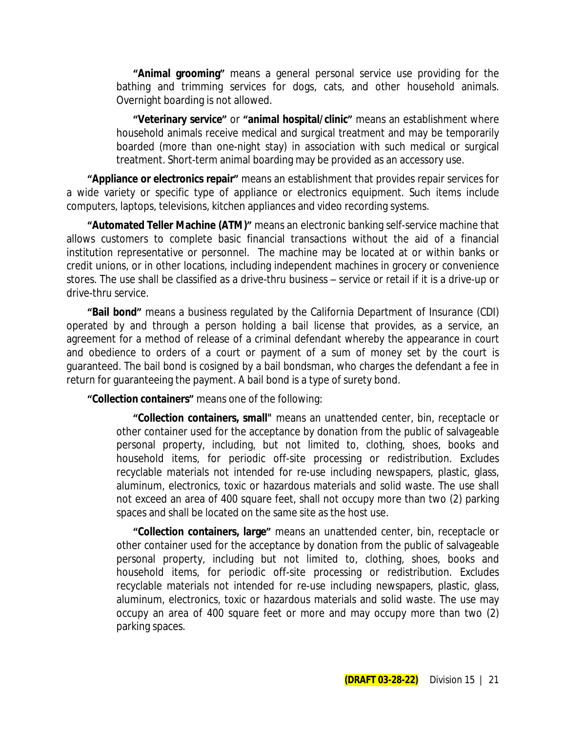**"Animal grooming"** means a general personal service use providing for the bathing and trimming services for dogs, cats, and other household animals. Overnight boarding is not allowed.

**"Veterinary service"** or **"animal hospital/clinic"** means an establishment where household animals receive medical and surgical treatment and may be temporarily boarded (more than one-night stay) in association with such medical or surgical treatment. Short-term animal boarding may be provided as an accessory use.

**"Appliance or electronics repair"** means an establishment that provides repair services for a wide variety or specific type of appliance or electronics equipment. Such items include computers, laptops, televisions, kitchen appliances and video recording systems.

**"Automated Teller Machine (ATM)"** means an electronic banking self-service machine that allows customers to complete basic financial transactions without the aid of a financial institution representative or personnel. The machine may be located at or within banks or credit unions, or in other locations, including independent machines in grocery or convenience stores. The use shall be classified as a drive-thru business – service or retail if it is a drive-up or drive-thru service.

**"Bail bond"** means a business regulated by the California Department of Insurance (CDI) operated by and through a person holding a bail license that provides, as a service, an agreement for a method of release of a criminal defendant whereby the appearance in court and obedience to orders of a court or payment of a sum of money set by the court is guaranteed. The bail bond is cosigned by a bail bondsman, who charges the defendant a fee in return for guaranteeing the payment. A bail bond is a type of surety bond.

**"Collection containers"** means one of the following:

**"Collection containers, small"** means an unattended center, bin, receptacle or other container used for the acceptance by donation from the public of salvageable personal property, including, but not limited to, clothing, shoes, books and household items, for periodic off-site processing or redistribution. Excludes recyclable materials not intended for re-use including newspapers, plastic, glass, aluminum, electronics, toxic or hazardous materials and solid waste. The use shall not exceed an area of 400 square feet, shall not occupy more than two (2) parking spaces and shall be located on the same site as the host use.

**"Collection containers, large"** means an unattended center, bin, receptacle or other container used for the acceptance by donation from the public of salvageable personal property, including but not limited to, clothing, shoes, books and household items, for periodic off-site processing or redistribution. Excludes recyclable materials not intended for re-use including newspapers, plastic, glass, aluminum, electronics, toxic or hazardous materials and solid waste. The use may occupy an area of 400 square feet or more and may occupy more than two (2) parking spaces.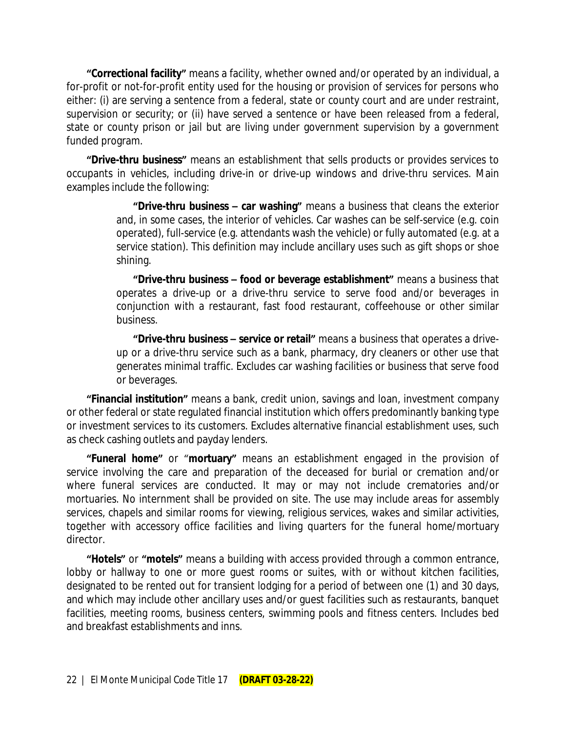**"Correctional facility"** means a facility, whether owned and/or operated by an individual, a for-profit or not-for-profit entity used for the housing or provision of services for persons who either: (i) are serving a sentence from a federal, state or county court and are under restraint, supervision or security; or (ii) have served a sentence or have been released from a federal, state or county prison or jail but are living under government supervision by a government funded program.

**"Drive-thru business"** means an establishment that sells products or provides services to occupants in vehicles, including drive-in or drive-up windows and drive-thru services. Main examples include the following:

> **"Drive-thru business – car washing"** means a business that cleans the exterior and, in some cases, the interior of vehicles. Car washes can be self-service (e.g. coin operated), full-service (e.g. attendants wash the vehicle) or fully automated (e.g. at a service station). This definition may include ancillary uses such as gift shops or shoe shining.

> **"Drive-thru business – food or beverage establishment"** means a business that operates a drive-up or a drive-thru service to serve food and/or beverages in conjunction with a restaurant, fast food restaurant, coffeehouse or other similar business.

> **"Drive-thru business – service or retail"** means a business that operates a driveup or a drive-thru service such as a bank, pharmacy, dry cleaners or other use that generates minimal traffic. Excludes car washing facilities or business that serve food or beverages.

**"Financial institution"** means a bank, credit union, savings and loan, investment company or other federal or state regulated financial institution which offers predominantly banking type or investment services to its customers. Excludes alternative financial establishment uses, such as check cashing outlets and payday lenders.

**"Funeral home"** or "**mortuary"** means an establishment engaged in the provision of service involving the care and preparation of the deceased for burial or cremation and/or where funeral services are conducted. It may or may not include crematories and/or mortuaries. No internment shall be provided on site. The use may include areas for assembly services, chapels and similar rooms for viewing, religious services, wakes and similar activities, together with accessory office facilities and living quarters for the funeral home/mortuary director.

**"Hotels"** or **"motels"** means a building with access provided through a common entrance, lobby or hallway to one or more quest rooms or suites, with or without kitchen facilities, designated to be rented out for transient lodging for a period of between one (1) and 30 days, and which may include other ancillary uses and/or guest facilities such as restaurants, banquet facilities, meeting rooms, business centers, swimming pools and fitness centers. Includes bed and breakfast establishments and inns.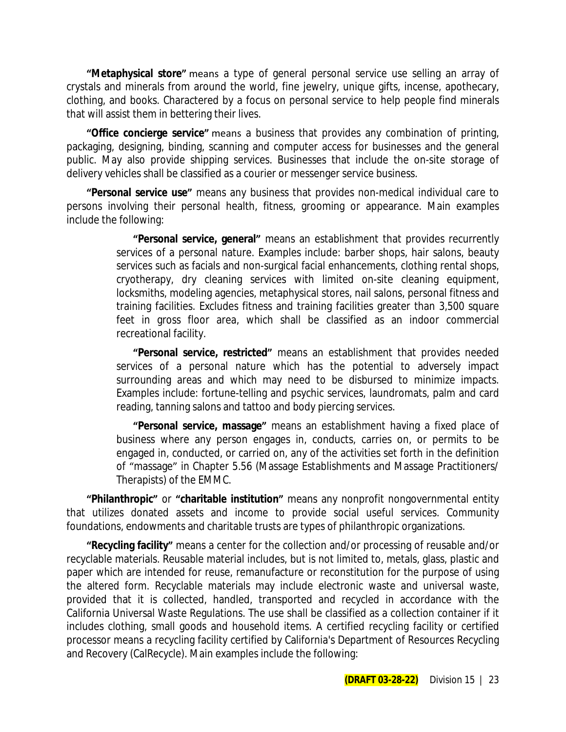**"Metaphysical store"** means a type of general personal service use selling an array of crystals and minerals from around the world, fine jewelry, unique gifts, incense, apothecary, clothing, and books. Charactered by a focus on personal service to help people find minerals that will assist them in bettering their lives.

**"Office concierge service"** means a business that provides any combination of printing, packaging, designing, binding, scanning and computer access for businesses and the general public. May also provide shipping services. Businesses that include the on-site storage of delivery vehicles shall be classified as a courier or messenger service business.

**"Personal service use"** means any business that provides non-medical individual care to persons involving their personal health, fitness, grooming or appearance. Main examples include the following:

> **"Personal service, general"** means an establishment that provides recurrently services of a personal nature. Examples include: barber shops, hair salons, beauty services such as facials and non-surgical facial enhancements, clothing rental shops, cryotherapy, dry cleaning services with limited on-site cleaning equipment, locksmiths, modeling agencies, metaphysical stores, nail salons, personal fitness and training facilities. Excludes fitness and training facilities greater than 3,500 square feet in gross floor area, which shall be classified as an indoor commercial recreational facility.

> **"Personal service, restricted"** means an establishment that provides needed services of a personal nature which has the potential to adversely impact surrounding areas and which may need to be disbursed to minimize impacts. Examples include: fortune-telling and psychic services, laundromats, palm and card reading, tanning salons and tattoo and body piercing services.

> **"Personal service, massage"** means an establishment having a fixed place of business where any person engages in, conducts, carries on, or permits to be engaged in, conducted, or carried on, any of the activities set forth in the definition of "massage" in Chapter 5.56 (Massage Establishments and Massage Practitioners/ Therapists) of the EMMC.

**"Philanthropic"** or **"charitable institution"** means any nonprofit nongovernmental entity that utilizes donated assets and income to provide social useful services. Community foundations, endowments and charitable trusts are types of philanthropic organizations.

**"Recycling facility"** means a center for the collection and/or processing of reusable and/or recyclable materials. Reusable material includes, but is not limited to, metals, glass, plastic and paper which are intended for reuse, remanufacture or reconstitution for the purpose of using the altered form. Recyclable materials may include electronic waste and universal waste, provided that it is collected, handled, transported and recycled in accordance with the California Universal Waste Regulations. The use shall be classified as a collection container if it includes clothing, small goods and household items. A certified recycling facility or certified processor means a recycling facility certified by California's Department of Resources Recycling and Recovery (CalRecycle). Main examples include the following: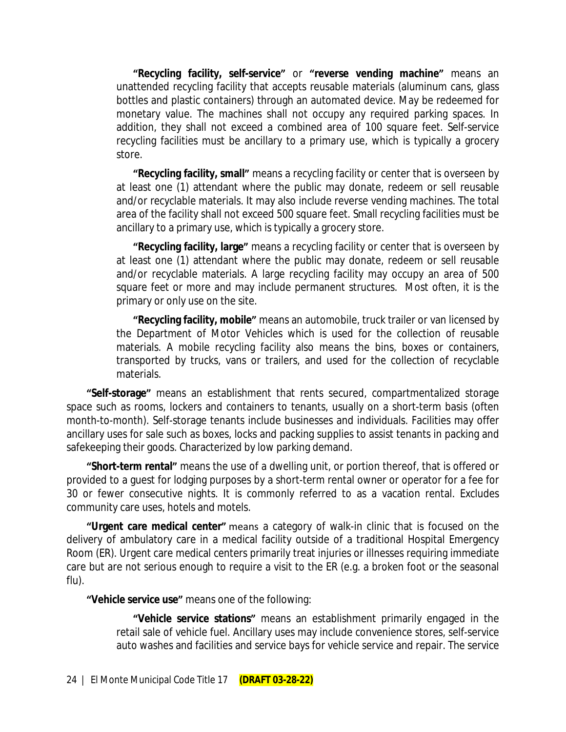**"Recycling facility, self-service"** or **"reverse vending machine"** means an unattended recycling facility that accepts reusable materials (aluminum cans, glass bottles and plastic containers) through an automated device. May be redeemed for monetary value. The machines shall not occupy any required parking spaces. In addition, they shall not exceed a combined area of 100 square feet. Self-service recycling facilities must be ancillary to a primary use, which is typically a grocery store.

**"Recycling facility, small"** means a recycling facility or center that is overseen by at least one (1) attendant where the public may donate, redeem or sell reusable and/or recyclable materials. It may also include reverse vending machines. The total area of the facility shall not exceed 500 square feet. Small recycling facilities must be ancillary to a primary use, which is typically a grocery store.

**"Recycling facility, large"** means a recycling facility or center that is overseen by at least one (1) attendant where the public may donate, redeem or sell reusable and/or recyclable materials. A large recycling facility may occupy an area of 500 square feet or more and may include permanent structures. Most often, it is the primary or only use on the site.

**"Recycling facility, mobile"** means an automobile, truck trailer or van licensed by the Department of Motor Vehicles which is used for the collection of reusable materials. A mobile recycling facility also means the bins, boxes or containers, transported by trucks, vans or trailers, and used for the collection of recyclable materials.

**"Self-storage"** means an establishment that rents secured, compartmentalized storage space such as rooms, lockers and containers to tenants, usually on a short-term basis (often month-to-month). Self-storage tenants include businesses and individuals. Facilities may offer ancillary uses for sale such as boxes, locks and packing supplies to assist tenants in packing and safekeeping their goods. Characterized by low parking demand.

**"Short-term rental"** means the use of a dwelling unit, or portion thereof, that is offered or provided to a guest for lodging purposes by a short-term rental owner or operator for a fee for 30 or fewer consecutive nights. It is commonly referred to as a vacation rental. Excludes community care uses, hotels and motels.

**"Urgent care medical center"** means a category of walk-in clinic that is focused on the delivery of ambulatory care in a medical facility outside of a traditional Hospital Emergency Room (ER). Urgent care medical centers primarily treat injuries or illnesses requiring immediate care but are not serious enough to require a visit to the ER (e.g. a broken foot or the seasonal flu).

**"Vehicle service use"** means one of the following:

**"Vehicle service stations"** means an establishment primarily engaged in the retail sale of vehicle fuel. Ancillary uses may include convenience stores, self-service auto washes and facilities and service bays for vehicle service and repair. The service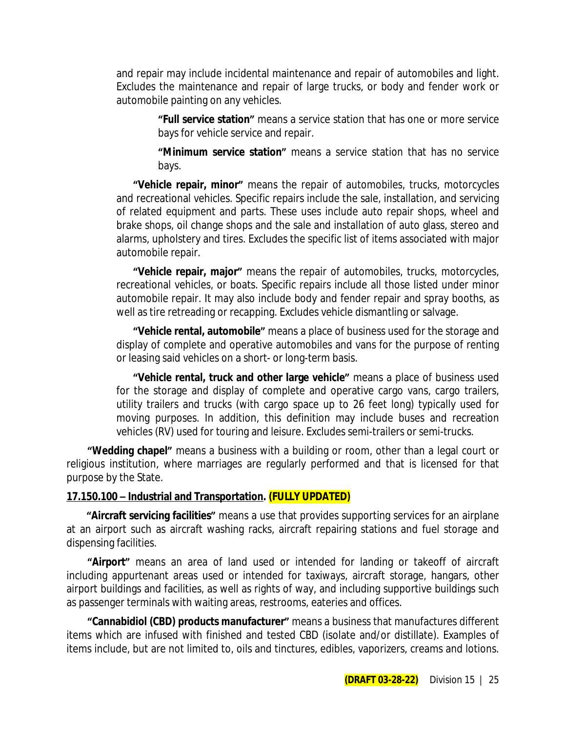and repair may include incidental maintenance and repair of automobiles and light. Excludes the maintenance and repair of large trucks, or body and fender work or automobile painting on any vehicles.

> **"Full service station"** means a service station that has one or more service bays for vehicle service and repair.

> **"Minimum service station"** means a service station that has no service bays.

**"Vehicle repair, minor"** means the repair of automobiles, trucks, motorcycles and recreational vehicles. Specific repairs include the sale, installation, and servicing of related equipment and parts. These uses include auto repair shops, wheel and brake shops, oil change shops and the sale and installation of auto glass, stereo and alarms, upholstery and tires. Excludes the specific list of items associated with major automobile repair.

**"Vehicle repair, major"** means the repair of automobiles, trucks, motorcycles, recreational vehicles, or boats. Specific repairs include all those listed under minor automobile repair. It may also include body and fender repair and spray booths, as well as tire retreading or recapping. Excludes vehicle dismantling or salvage.

**"Vehicle rental, automobile"** means a place of business used for the storage and display of complete and operative automobiles and vans for the purpose of renting or leasing said vehicles on a short- or long-term basis.

**"Vehicle rental, truck and other large vehicle"** means a place of business used for the storage and display of complete and operative cargo vans, cargo trailers, utility trailers and trucks (with cargo space up to 26 feet long) typically used for moving purposes. In addition, this definition may include buses and recreation vehicles (RV) used for touring and leisure. Excludes semi-trailers or semi-trucks.

**"Wedding chapel"** means a business with a building or room, other than a legal court or religious institution, where marriages are regularly performed and that is licensed for that purpose by the State.

### **17.150.100 – Industrial and Transportation. (FULLY UPDATED)**

**"Aircraft servicing facilities"** means a use that provides supporting services for an airplane at an airport such as aircraft washing racks, aircraft repairing stations and fuel storage and dispensing facilities.

**"Airport"** means an area of land used or intended for landing or takeoff of aircraft including appurtenant areas used or intended for taxiways, aircraft storage, hangars, other airport buildings and facilities, as well as rights of way, and including supportive buildings such as passenger terminals with waiting areas, restrooms, eateries and offices.

**"Cannabidiol (CBD) products manufacturer"** means a business that manufactures different items which are infused with finished and tested CBD (isolate and/or distillate). Examples of items include, but are not limited to, oils and tinctures, edibles, vaporizers, creams and lotions.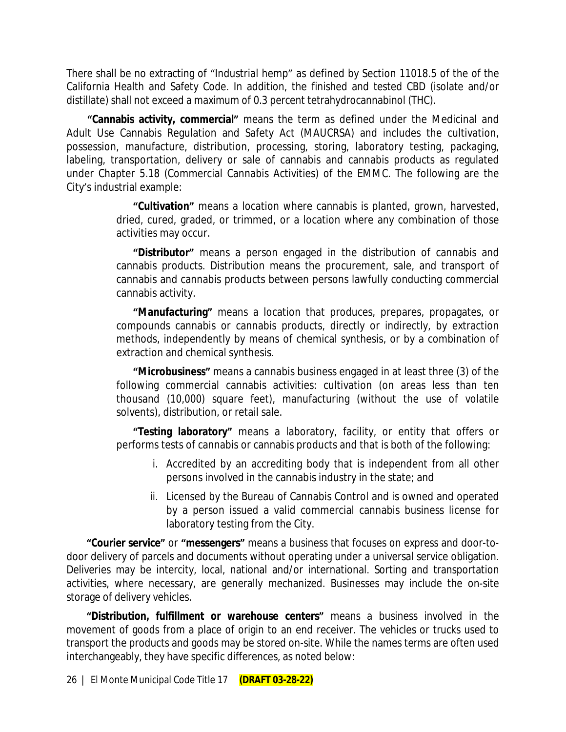There shall be no extracting of "Industrial hemp" as defined by Section 11018.5 of the of the California Health and Safety Code. In addition, the finished and tested CBD (isolate and/or distillate) shall not exceed a maximum of 0.3 percent tetrahydrocannabinol (THC).

**"Cannabis activity, commercial"** means the term as defined under the Medicinal and Adult Use Cannabis Regulation and Safety Act (MAUCRSA) and includes the cultivation, possession, manufacture, distribution, processing, storing, laboratory testing, packaging, labeling, transportation, delivery or sale of cannabis and cannabis products as regulated under Chapter 5.18 (Commercial Cannabis Activities) of the EMMC. The following are the City's industrial example:

> **"Cultivation"** means a location where cannabis is planted, grown, harvested, dried, cured, graded, or trimmed, or a location where any combination of those activities may occur.

> **"Distributor"** means a person engaged in the distribution of cannabis and cannabis products. Distribution means the procurement, sale, and transport of cannabis and cannabis products between persons lawfully conducting commercial cannabis activity.

> **"Manufacturing"** means a location that produces, prepares, propagates, or compounds cannabis or cannabis products, directly or indirectly, by extraction methods, independently by means of chemical synthesis, or by a combination of extraction and chemical synthesis.

> **"Microbusiness"** means a cannabis business engaged in at least three (3) of the following commercial cannabis activities: cultivation (on areas less than ten thousand (10,000) square feet), manufacturing (without the use of volatile solvents), distribution, or retail sale.

> **"Testing laboratory"** means a laboratory, facility, or entity that offers or performs tests of cannabis or cannabis products and that is both of the following:

- i. Accredited by an accrediting body that is independent from all other persons involved in the cannabis industry in the state; and
- ii. Licensed by the Bureau of Cannabis Control and is owned and operated by a person issued a valid commercial cannabis business license for laboratory testing from the City.

**"Courier service"** or **"messengers"** means a business that focuses on express and door-todoor delivery of parcels and documents without operating under a universal service obligation. Deliveries may be intercity, local, national and/or international. Sorting and transportation activities, where necessary, are generally mechanized. Businesses may include the on-site storage of delivery vehicles.

**"Distribution, fulfillment or warehouse centers"** means a business involved in the movement of goods from a place of origin to an end receiver. The vehicles or trucks used to transport the products and goods may be stored on-site. While the names terms are often used interchangeably, they have specific differences, as noted below: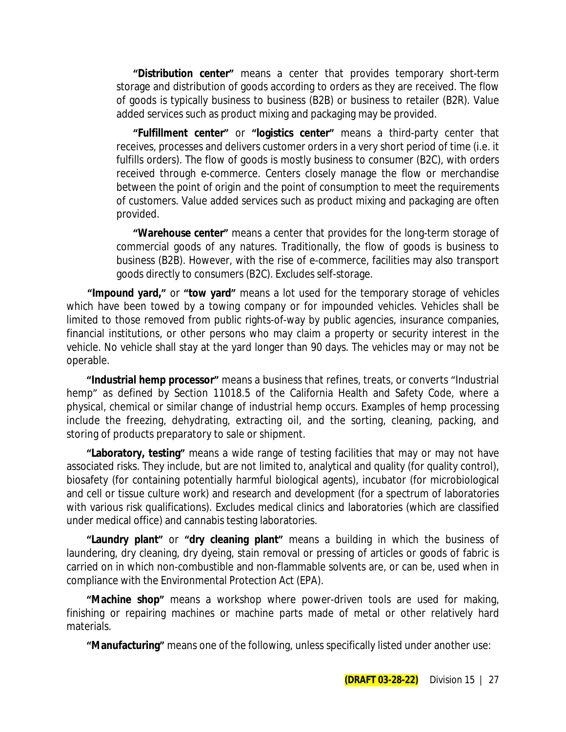**"Distribution center"** means a center that provides temporary short-term storage and distribution of goods according to orders as they are received. The flow of goods is typically business to business (B2B) or business to retailer (B2R). Value added services such as product mixing and packaging may be provided.

**"Fulfillment center"** or **"logistics center"** means a third-party center that receives, processes and delivers customer orders in a very short period of time (i.e. it fulfills orders). The flow of goods is mostly business to consumer (B2C), with orders received through e-commerce. Centers closely manage the flow or merchandise between the point of origin and the point of consumption to meet the requirements of customers. Value added services such as product mixing and packaging are often provided.

**"Warehouse center"** means a center that provides for the long-term storage of commercial goods of any natures. Traditionally, the flow of goods is business to business (B2B). However, with the rise of e-commerce, facilities may also transport goods directly to consumers (B2C). Excludes self-storage.

**"Impound yard,"** or **"tow yard"** means a lot used for the temporary storage of vehicles which have been towed by a towing company or for impounded vehicles. Vehicles shall be limited to those removed from public rights-of-way by public agencies, insurance companies, financial institutions, or other persons who may claim a property or security interest in the vehicle. No vehicle shall stay at the yard longer than 90 days. The vehicles may or may not be operable.

**"Industrial hemp processor"** means a business that refines, treats, or converts "Industrial hemp" as defined by Section 11018.5 of the California Health and Safety Code, where a physical, chemical or similar change of industrial hemp occurs. Examples of hemp processing include the freezing, dehydrating, extracting oil, and the sorting, cleaning, packing, and storing of products preparatory to sale or shipment.

**"Laboratory, testing"** means a wide range of testing facilities that may or may not have associated risks. They include, but are not limited to, analytical and quality (for quality control), biosafety (for containing potentially harmful biological agents), incubator (for microbiological and cell or tissue culture work) and research and development (for a spectrum of laboratories with various risk qualifications). Excludes medical clinics and laboratories (which are classified under medical office) and cannabis testing laboratories.

**"Laundry plant"** or **"dry cleaning plant"** means a building in which the business of laundering, dry cleaning, dry dyeing, stain removal or pressing of articles or goods of fabric is carried on in which non-combustible and non-flammable solvents are, or can be, used when in compliance with the Environmental Protection Act (EPA).

**"Machine shop"** means a workshop where power-driven tools are used for making, finishing or repairing machines or machine parts made of metal or other relatively hard materials.

**"Manufacturing"** means one of the following, unless specifically listed under another use: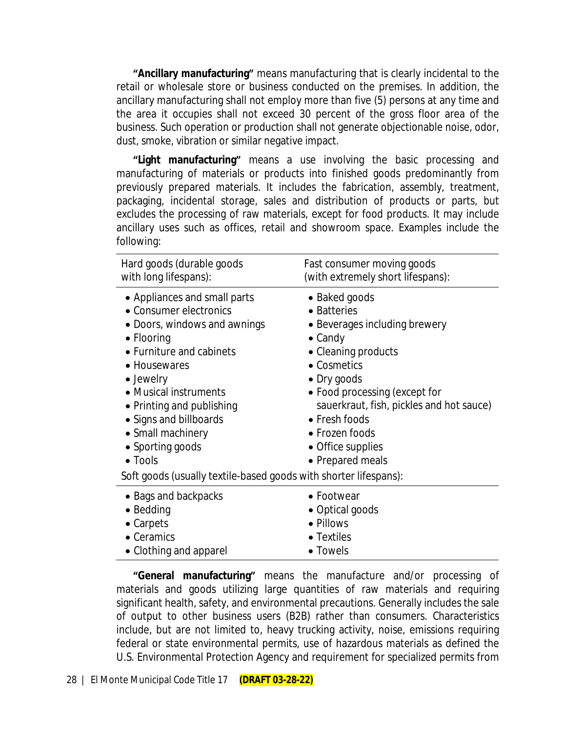**"Ancillary manufacturing"** means manufacturing that is clearly incidental to the retail or wholesale store or business conducted on the premises. In addition, the ancillary manufacturing shall not employ more than five (5) persons at any time and the area it occupies shall not exceed 30 percent of the gross floor area of the business. Such operation or production shall not generate objectionable noise, odor, dust, smoke, vibration or similar negative impact.

**"Light manufacturing"** means a use involving the basic processing and manufacturing of materials or products into finished goods predominantly from previously prepared materials. It includes the fabrication, assembly, treatment, packaging, incidental storage, sales and distribution of products or parts, but excludes the processing of raw materials, except for food products. It may include ancillary uses such as offices, retail and showroom space. Examples include the following:

| Hard goods (durable goods<br>with long lifespans):                                                                                                                                                                                                                                                                                                                                    | Fast consumer moving goods<br>(with extremely short lifespans):                                                                                                                                                                                                                                |
|---------------------------------------------------------------------------------------------------------------------------------------------------------------------------------------------------------------------------------------------------------------------------------------------------------------------------------------------------------------------------------------|------------------------------------------------------------------------------------------------------------------------------------------------------------------------------------------------------------------------------------------------------------------------------------------------|
| • Appliances and small parts<br>• Consumer electronics<br>• Doors, windows and awnings<br>$\bullet$ Flooring<br>• Furniture and cabinets<br>• Housewares<br>• Jewelry<br>• Musical instruments<br>• Printing and publishing<br>• Signs and billboards<br>• Small machinery<br>• Sporting goods<br>$\bullet$ Tools<br>Soft goods (usually textile-based goods with shorter lifespans): | • Baked goods<br>• Batteries<br>• Beverages including brewery<br>$\bullet$ Candy<br>• Cleaning products<br>• Cosmetics<br>• Dry goods<br>• Food processing (except for<br>sauerkraut, fish, pickles and hot sauce)<br>• Fresh foods<br>• Frozen foods<br>• Office supplies<br>• Prepared meals |
| • Bags and backpacks                                                                                                                                                                                                                                                                                                                                                                  | • Footwear                                                                                                                                                                                                                                                                                     |
| $\bullet$ Bedding<br>• Carpets                                                                                                                                                                                                                                                                                                                                                        | • Optical goods<br>• Pillows                                                                                                                                                                                                                                                                   |
| • Ceramics                                                                                                                                                                                                                                                                                                                                                                            | • Textiles                                                                                                                                                                                                                                                                                     |
| • Clothing and apparel                                                                                                                                                                                                                                                                                                                                                                | • Towels                                                                                                                                                                                                                                                                                       |

**"General manufacturing"** means the manufacture and/or processing of materials and goods utilizing large quantities of raw materials and requiring significant health, safety, and environmental precautions. Generally includes the sale of output to other business users (B2B) rather than consumers. Characteristics include, but are not limited to, heavy trucking activity, noise, emissions requiring federal or state environmental permits, use of hazardous materials as defined the U.S. Environmental Protection Agency and requirement for specialized permits from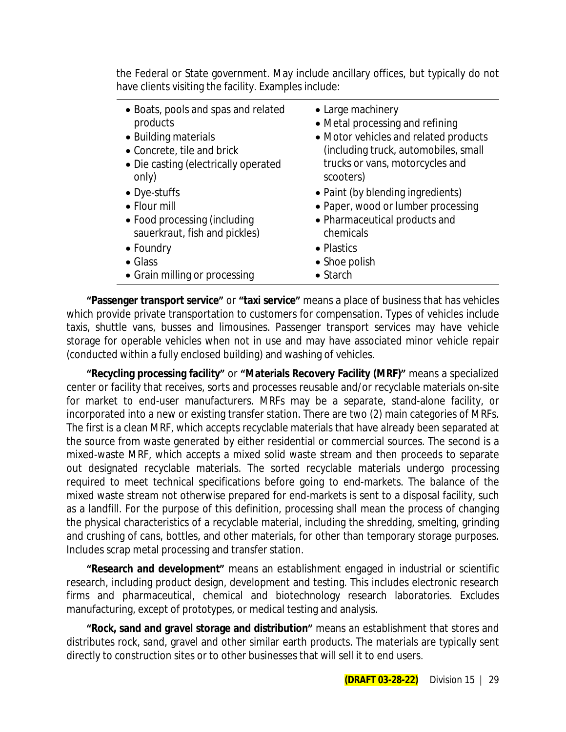the Federal or State government. May include ancillary offices, but typically do not have clients visiting the facility. Examples include:

- Boats, pools and spas and related products
- 
- Concrete, tile and brick
- Die casting (electrically operated only)
- 
- Flour mill
- Food processing (including sauerkraut, fish and pickles)
- Foundry  **Plastics**
- 
- Grain milling or processing Starch
- Large machinery
- Metal processing and refining
- Building materials **Constant Constant Orange in Motor vehicles and related products** (including truck, automobiles, small trucks or vans, motorcycles and scooters)
- Dye-stuffs  **Paint (by blending ingredients)** 
	- Paper, wood or lumber processing
	- Pharmaceutical products and chemicals
	-
- Glass Shoe polish
	-

**"Passenger transport service"** or **"taxi service"** means a place of business that has vehicles which provide private transportation to customers for compensation. Types of vehicles include taxis, shuttle vans, busses and limousines. Passenger transport services may have vehicle storage for operable vehicles when not in use and may have associated minor vehicle repair (conducted within a fully enclosed building) and washing of vehicles.

**"Recycling processing facility"** or **"Materials Recovery Facility (MRF)"** means a specialized center or facility that receives, sorts and processes reusable and/or recyclable materials on-site for market to end-user manufacturers. MRFs may be a separate, stand-alone facility, or incorporated into a new or existing transfer station. There are two (2) main categories of MRFs. The first is a clean MRF, which accepts recyclable materials that have already been separated at the source from waste generated by either residential or commercial sources. The second is a mixed-waste MRF, which accepts a mixed solid waste stream and then proceeds to separate out designated recyclable materials. The sorted recyclable materials undergo processing required to meet technical specifications before going to end-markets. The balance of the mixed waste stream not otherwise prepared for end-markets is sent to a disposal facility, such as a landfill. For the purpose of this definition, processing shall mean the process of changing the physical characteristics of a recyclable material, including the shredding, smelting, grinding and crushing of cans, bottles, and other materials, for other than temporary storage purposes. Includes scrap metal processing and transfer station.

**"Research and development"** means an establishment engaged in industrial or scientific research, including product design, development and testing. This includes electronic research firms and pharmaceutical, chemical and biotechnology research laboratories. Excludes manufacturing, except of prototypes, or medical testing and analysis.

**"Rock, sand and gravel storage and distribution"** means an establishment that stores and distributes rock, sand, gravel and other similar earth products. The materials are typically sent directly to construction sites or to other businesses that will sell it to end users.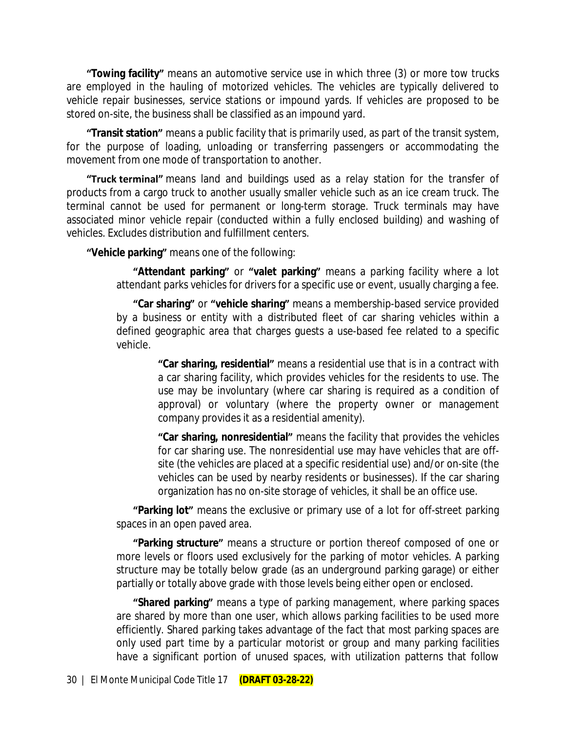**"Towing facility"** means an automotive service use in which three (3) or more tow trucks are employed in the hauling of motorized vehicles. The vehicles are typically delivered to vehicle repair businesses, service stations or impound yards. If vehicles are proposed to be stored on-site, the business shall be classified as an impound yard.

**"Transit station"** means a public facility that is primarily used, as part of the transit system, for the purpose of loading, unloading or transferring passengers or accommodating the movement from one mode of transportation to another.

**"Truck terminal"** means land and buildings used as a relay station for the transfer of products from a cargo truck to another usually smaller vehicle such as an ice cream truck. The terminal cannot be used for permanent or long-term storage. Truck terminals may have associated minor vehicle repair (conducted within a fully enclosed building) and washing of vehicles. Excludes distribution and fulfillment centers.

**"Vehicle parking"** means one of the following:

**"Attendant parking"** or **"valet parking"** means a parking facility where a lot attendant parks vehicles for drivers for a specific use or event, usually charging a fee.

**"Car sharing"** or **"vehicle sharing"** means a membership-based service provided by a business or entity with a distributed fleet of car sharing vehicles within a defined geographic area that charges guests a use-based fee related to a specific vehicle.

> **"Car sharing, residential"** means a residential use that is in a contract with a car sharing facility, which provides vehicles for the residents to use. The use may be involuntary (where car sharing is required as a condition of approval) or voluntary (where the property owner or management company provides it as a residential amenity).

> **"Car sharing, nonresidential"** means the facility that provides the vehicles for car sharing use. The nonresidential use may have vehicles that are offsite (the vehicles are placed at a specific residential use) and/or on-site (the vehicles can be used by nearby residents or businesses). If the car sharing organization has no on-site storage of vehicles, it shall be an office use.

**"Parking lot"** means the exclusive or primary use of a lot for off-street parking spaces in an open paved area.

**"Parking structure"** means a structure or portion thereof composed of one or more levels or floors used exclusively for the parking of motor vehicles. A parking structure may be totally below grade (as an underground parking garage) or either partially or totally above grade with those levels being either open or enclosed.

**"Shared parking"** means a type of parking management, where parking spaces are shared by more than one user, which allows parking facilities to be used more efficiently. Shared parking takes advantage of the fact that most parking spaces are only used part time by a particular motorist or group and many parking facilities have a significant portion of unused spaces, with utilization patterns that follow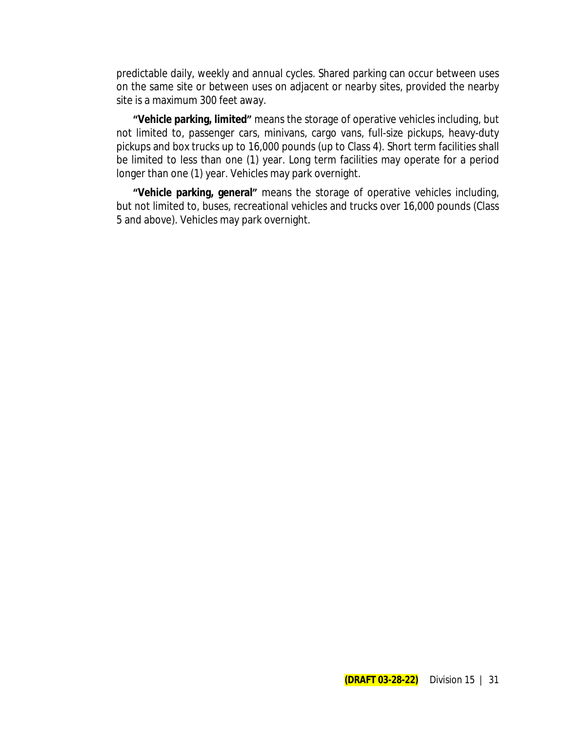predictable daily, weekly and annual cycles. Shared parking can occur between uses on the same site or between uses on adjacent or nearby sites, provided the nearby site is a maximum 300 feet away.

**"Vehicle parking, limited"** means the storage of operative vehicles including, but not limited to, passenger cars, minivans, cargo vans, full-size pickups, heavy-duty pickups and box trucks up to 16,000 pounds (up to Class 4). Short term facilities shall be limited to less than one (1) year. Long term facilities may operate for a period longer than one (1) year. Vehicles may park overnight.

**"Vehicle parking, general"** means the storage of operative vehicles including, but not limited to, buses, recreational vehicles and trucks over 16,000 pounds (Class 5 and above). Vehicles may park overnight.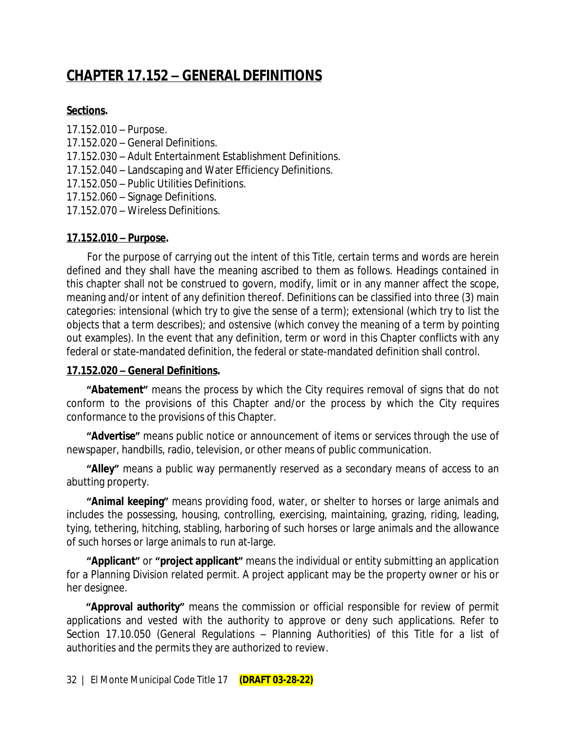# **CHAPTER 17.152 – GENERAL DEFINITIONS**

#### **Sections.**

- 17.152.010 Purpose.
- 17.152.020 General Definitions.
- 17.152.030 Adult Entertainment Establishment Definitions.
- 17.152.040 Landscaping and Water Efficiency Definitions.
- 17.152.050 Public Utilities Definitions.
- 17.152.060 Signage Definitions.
- 17.152.070 Wireless Definitions.

### **17.152.010 – Purpose.**

For the purpose of carrying out the intent of this Title, certain terms and words are herein defined and they shall have the meaning ascribed to them as follows. Headings contained in this chapter shall not be construed to govern, modify, limit or in any manner affect the scope, meaning and/or intent of any definition thereof. Definitions can be classified into three (3) main categories: intensional (which try to give the sense of a term); extensional (which try to list the objects that a term describes); and ostensive (which convey the meaning of a term by pointing out examples). In the event that any definition, term or word in this Chapter conflicts with any federal or state-mandated definition, the federal or state-mandated definition shall control.

### **17.152.020 – General Definitions.**

**"Abatement"** means the process by which the City requires removal of signs that do not conform to the provisions of this Chapter and/or the process by which the City requires conformance to the provisions of this Chapter.

**"Advertise"** means public notice or announcement of items or services through the use of newspaper, handbills, radio, television, or other means of public communication.

**"Alley"** means a public way permanently reserved as a secondary means of access to an abutting property.

**"Animal keeping"** means providing food, water, or shelter to horses or large animals and includes the possessing, housing, controlling, exercising, maintaining, grazing, riding, leading, tying, tethering, hitching, stabling, harboring of such horses or large animals and the allowance of such horses or large animals to run at-large.

**"Applicant"** or **"project applicant"** means the individual or entity submitting an application for a Planning Division related permit. A project applicant may be the property owner or his or her designee.

**"Approval authority"** means the commission or official responsible for review of permit applications and vested with the authority to approve or deny such applications. Refer to Section 17.10.050 (General Regulations – Planning Authorities) of this Title for a list of authorities and the permits they are authorized to review.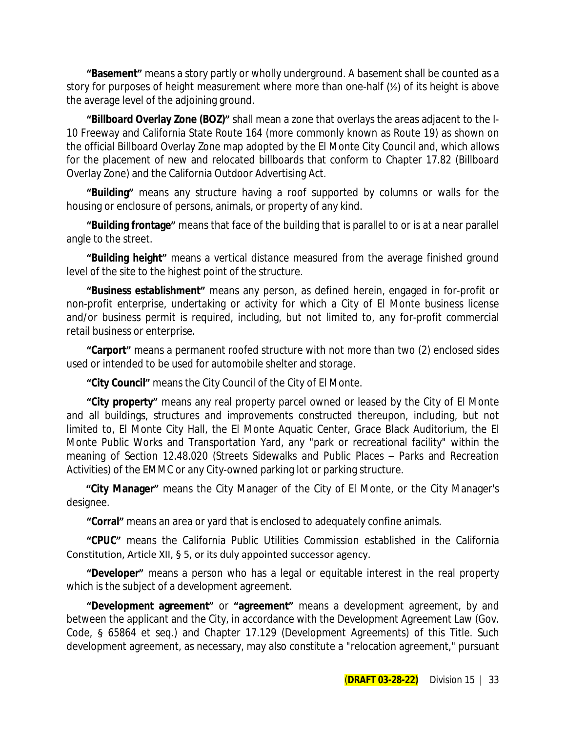**"Basement"** means a story partly or wholly underground. A basement shall be counted as a story for purposes of height measurement where more than one-half ( $\frac{1}{2}$ ) of its height is above the average level of the adjoining ground.

**"Billboard Overlay Zone (BOZ)"** shall mean a zone that overlays the areas adjacent to the I-10 Freeway and California State Route 164 (more commonly known as Route 19) as shown on the official Billboard Overlay Zone map adopted by the El Monte City Council and, which allows for the placement of new and relocated billboards that conform to Chapter 17.82 (Billboard Overlay Zone) and the California Outdoor Advertising Act.

**"Building"** means any structure having a roof supported by columns or walls for the housing or enclosure of persons, animals, or property of any kind.

**"Building frontage"** means that face of the building that is parallel to or is at a near parallel angle to the street.

**"Building height"** means a vertical distance measured from the average finished ground level of the site to the highest point of the structure.

**"Business establishment"** means any person, as defined herein, engaged in for-profit or non-profit enterprise, undertaking or activity for which a City of El Monte business license and/or business permit is required, including, but not limited to, any for-profit commercial retail business or enterprise.

**"Carport"** means a permanent roofed structure with not more than two (2) enclosed sides used or intended to be used for automobile shelter and storage.

**"City Council"** means the City Council of the City of El Monte.

**"City property"** means any real property parcel owned or leased by the City of El Monte and all buildings, structures and improvements constructed thereupon, including, but not limited to, El Monte City Hall, the El Monte Aquatic Center, Grace Black Auditorium, the El Monte Public Works and Transportation Yard, any "park or recreational facility" within the meaning of Section 12.48.020 (Streets Sidewalks and Public Places – Parks and Recreation Activities) of the EMMC or any City-owned parking lot or parking structure.

**"City Manager"** means the City Manager of the City of El Monte, or the City Manager's designee.

**"Corral"** means an area or yard that is enclosed to adequately confine animals.

**"CPUC"** means the California Public Utilities Commission established in the California Constitution, Article XII, § 5, or its duly appointed successor agency.

**"Developer"** means a person who has a legal or equitable interest in the real property which is the subject of a development agreement.

**"Development agreement"** or **"agreement"** means a development agreement, by and between the applicant and the City, in accordance with the Development Agreement Law (Gov. Code, § 65864 et seq.) and Chapter 17.129 (Development Agreements) of this Title. Such development agreement, as necessary, may also constitute a "relocation agreement," pursuant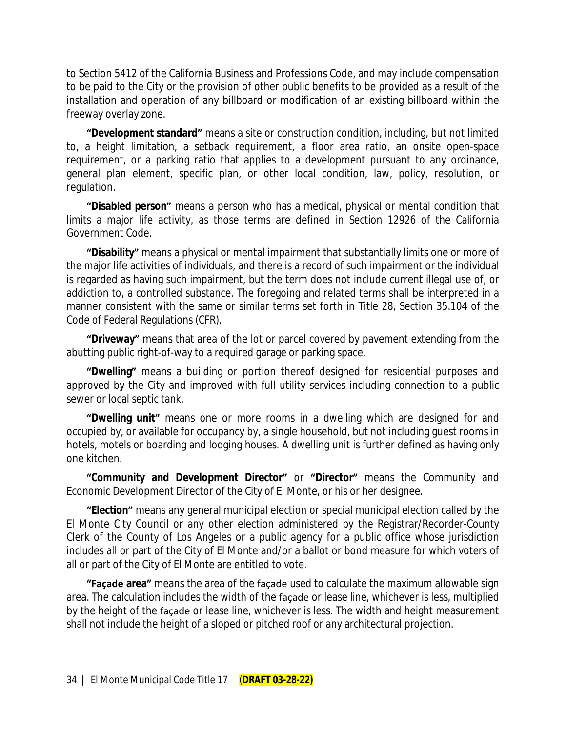to Section 5412 of the California Business and Professions Code, and may include compensation to be paid to the City or the provision of other public benefits to be provided as a result of the installation and operation of any billboard or modification of an existing billboard within the freeway overlay zone.

**"Development standard"** means a site or construction condition, including, but not limited to, a height limitation, a setback requirement, a floor area ratio, an onsite open-space requirement, or a parking ratio that applies to a development pursuant to any ordinance, general plan element, specific plan, or other local condition, law, policy, resolution, or regulation.

**"Disabled person"** means a person who has a medical, physical or mental condition that limits a major life activity, as those terms are defined in Section 12926 of the California Government Code.

**"Disability"** means a physical or mental impairment that substantially limits one or more of the major life activities of individuals, and there is a record of such impairment or the individual is regarded as having such impairment, but the term does not include current illegal use of, or addiction to, a controlled substance. The foregoing and related terms shall be interpreted in a manner consistent with the same or similar terms set forth in Title 28, Section 35.104 of the Code of Federal Regulations (CFR).

**"Driveway"** means that area of the lot or parcel covered by pavement extending from the abutting public right-of-way to a required garage or parking space.

**"Dwelling"** means a building or portion thereof designed for residential purposes and approved by the City and improved with full utility services including connection to a public sewer or local septic tank.

**"Dwelling unit"** means one or more rooms in a dwelling which are designed for and occupied by, or available for occupancy by, a single household, but not including guest rooms in hotels, motels or boarding and lodging houses. A dwelling unit is further defined as having only one kitchen.

**"Community and Development Director"** or **"Director"** means the Community and Economic Development Director of the City of El Monte, or his or her designee.

**"Election"** means any general municipal election or special municipal election called by the El Monte City Council or any other election administered by the Registrar/Recorder-County Clerk of the County of Los Angeles or a public agency for a public office whose jurisdiction includes all or part of the City of El Monte and/or a ballot or bond measure for which voters of all or part of the City of El Monte are entitled to vote.

**"Façade area"** means the area of the façade used to calculate the maximum allowable sign area. The calculation includes the width of the façade or lease line, whichever is less, multiplied by the height of the façade or lease line, whichever is less. The width and height measurement shall not include the height of a sloped or pitched roof or any architectural projection.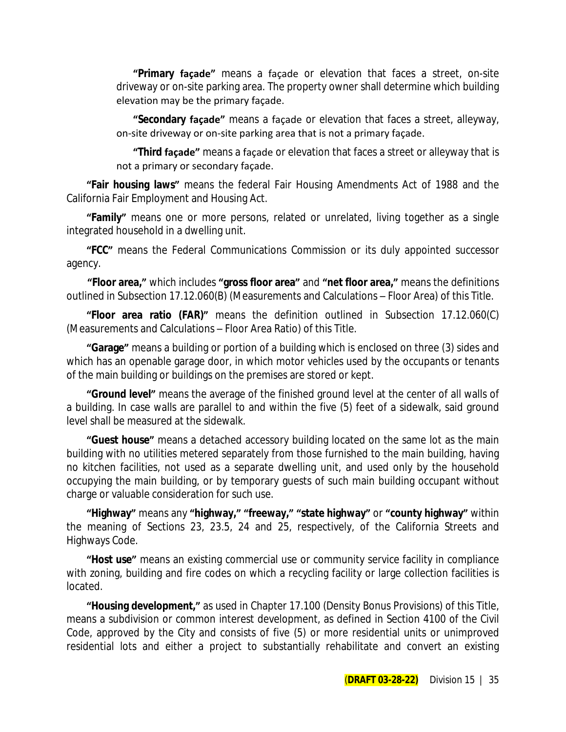**"Primary façade"** means a façade or elevation that faces a street, on-site driveway or on-site parking area. The property owner shall determine which building elevation may be the primary façade.

**"Secondary façade"** means a façade or elevation that faces a street, alleyway, on-site driveway or on-site parking area that is not a primary façade.

**"Third façade"** means a façade or elevation that faces a street or alleyway that is not a primary or secondary façade.

**"Fair housing laws"** means the federal Fair Housing Amendments Act of 1988 and the California Fair Employment and Housing Act.

**"Family"** means one or more persons, related or unrelated, living together as a single integrated household in a dwelling unit.

**"FCC"** means the Federal Communications Commission or its duly appointed successor agency.

**"Floor area,"** which includes **"gross floor area"** and **"net floor area,"** means the definitions outlined in Subsection 17.12.060(B) (Measurements and Calculations – Floor Area) of this Title.

**"Floor area ratio (FAR)"** means the definition outlined in Subsection 17.12.060(C) (Measurements and Calculations – Floor Area Ratio) of this Title.

**"Garage"** means a building or portion of a building which is enclosed on three (3) sides and which has an openable garage door, in which motor vehicles used by the occupants or tenants of the main building or buildings on the premises are stored or kept.

**"Ground level"** means the average of the finished ground level at the center of all walls of a building. In case walls are parallel to and within the five (5) feet of a sidewalk, said ground level shall be measured at the sidewalk.

**"Guest house"** means a detached accessory building located on the same lot as the main building with no utilities metered separately from those furnished to the main building, having no kitchen facilities, not used as a separate dwelling unit, and used only by the household occupying the main building, or by temporary guests of such main building occupant without charge or valuable consideration for such use.

**"Highway"** means any **"highway," "freeway," "state highway"** or **"county highway"** within the meaning of Sections 23, 23.5, 24 and 25, respectively, of the California Streets and Highways Code.

**"Host use"** means an existing commercial use or community service facility in compliance with zoning, building and fire codes on which a recycling facility or large collection facilities is located.

**"Housing development,"** as used in Chapter 17.100 (Density Bonus Provisions) of this Title, means a subdivision or common interest development, as defined in Section 4100 of the Civil Code, approved by the City and consists of five (5) or more residential units or unimproved residential lots and either a project to substantially rehabilitate and convert an existing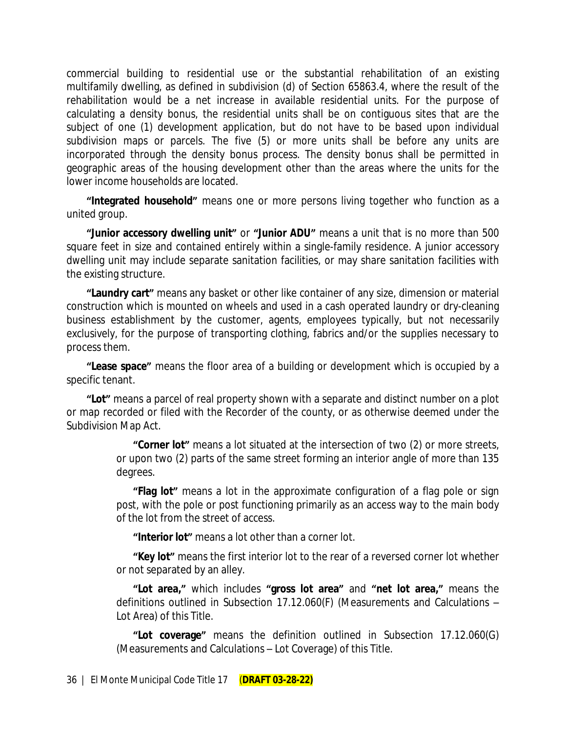commercial building to residential use or the substantial rehabilitation of an existing multifamily dwelling, as defined in subdivision (d) of Section 65863.4, where the result of the rehabilitation would be a net increase in available residential units. For the purpose of calculating a density bonus, the residential units shall be on contiguous sites that are the subject of one (1) development application, but do not have to be based upon individual subdivision maps or parcels. The five (5) or more units shall be before any units are incorporated through the density bonus process. The density bonus shall be permitted in geographic areas of the housing development other than the areas where the units for the lower income households are located.

**"Integrated household"** means one or more persons living together who function as a united group.

**"Junior accessory dwelling unit"** or **"Junior ADU"** means a unit that is no more than 500 square feet in size and contained entirely within a single-family residence. A junior accessory dwelling unit may include separate sanitation facilities, or may share sanitation facilities with the existing structure.

**"Laundry cart"** means any basket or other like container of any size, dimension or material construction which is mounted on wheels and used in a cash operated laundry or dry-cleaning business establishment by the customer, agents, employees typically, but not necessarily exclusively, for the purpose of transporting clothing, fabrics and/or the supplies necessary to process them.

**"Lease space"** means the floor area of a building or development which is occupied by a specific tenant.

**"Lot"** means a parcel of real property shown with a separate and distinct number on a plot or map recorded or filed with the Recorder of the county, or as otherwise deemed under the Subdivision Map Act.

> **"Corner lot"** means a lot situated at the intersection of two (2) or more streets, or upon two (2) parts of the same street forming an interior angle of more than 135 degrees.

> **"Flag lot"** means a lot in the approximate configuration of a flag pole or sign post, with the pole or post functioning primarily as an access way to the main body of the lot from the street of access.

**"Interior lot"** means a lot other than a corner lot.

**"Key lot"** means the first interior lot to the rear of a reversed corner lot whether or not separated by an alley.

**"Lot area,"** which includes **"gross lot area"** and **"net lot area,"** means the definitions outlined in Subsection 17.12.060(F) (Measurements and Calculations – Lot Area) of this Title.

**"Lot coverage"** means the definition outlined in Subsection 17.12.060(G) (Measurements and Calculations – Lot Coverage) of this Title.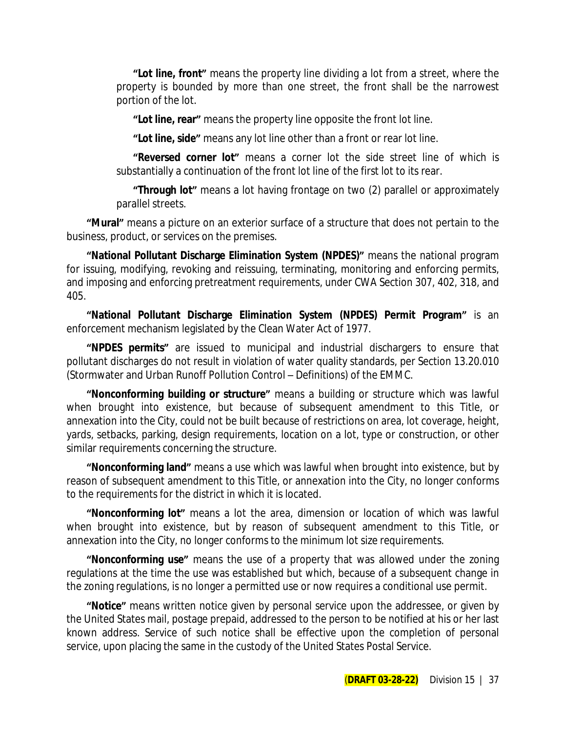**"Lot line, front"** means the property line dividing a lot from a street, where the property is bounded by more than one street, the front shall be the narrowest portion of the lot.

**"Lot line, rear"** means the property line opposite the front lot line.

**"Lot line, side"** means any lot line other than a front or rear lot line.

**"Reversed corner lot"** means a corner lot the side street line of which is substantially a continuation of the front lot line of the first lot to its rear.

**"Through lot"** means a lot having frontage on two (2) parallel or approximately parallel streets.

**"Mural"** means a picture on an exterior surface of a structure that does not pertain to the business, product, or services on the premises.

**"National Pollutant Discharge Elimination System (NPDES)"** means the national program for issuing, modifying, revoking and reissuing, terminating, monitoring and enforcing permits, and imposing and enforcing pretreatment requirements, under CWA Section 307, 402, 318, and 405.

**"National Pollutant Discharge Elimination System (NPDES) Permit Program"** is an enforcement mechanism legislated by the Clean Water Act of 1977.

**"NPDES permits"** are issued to municipal and industrial dischargers to ensure that pollutant discharges do not result in violation of water quality standards, per Section 13.20.010 (Stormwater and Urban Runoff Pollution Control – Definitions) of the EMMC.

**"Nonconforming building or structure"** means a building or structure which was lawful when brought into existence, but because of subsequent amendment to this Title, or annexation into the City, could not be built because of restrictions on area, lot coverage, height, yards, setbacks, parking, design requirements, location on a lot, type or construction, or other similar requirements concerning the structure.

**"Nonconforming land"** means a use which was lawful when brought into existence, but by reason of subsequent amendment to this Title, or annexation into the City, no longer conforms to the requirements for the district in which it is located.

**"Nonconforming lot"** means a lot the area, dimension or location of which was lawful when brought into existence, but by reason of subsequent amendment to this Title, or annexation into the City, no longer conforms to the minimum lot size requirements.

**"Nonconforming use"** means the use of a property that was allowed under the zoning regulations at the time the use was established but which, because of a subsequent change in the zoning regulations, is no longer a permitted use or now requires a conditional use permit.

**"Notice"** means written notice given by personal service upon the addressee, or given by the United States mail, postage prepaid, addressed to the person to be notified at his or her last known address. Service of such notice shall be effective upon the completion of personal service, upon placing the same in the custody of the United States Postal Service.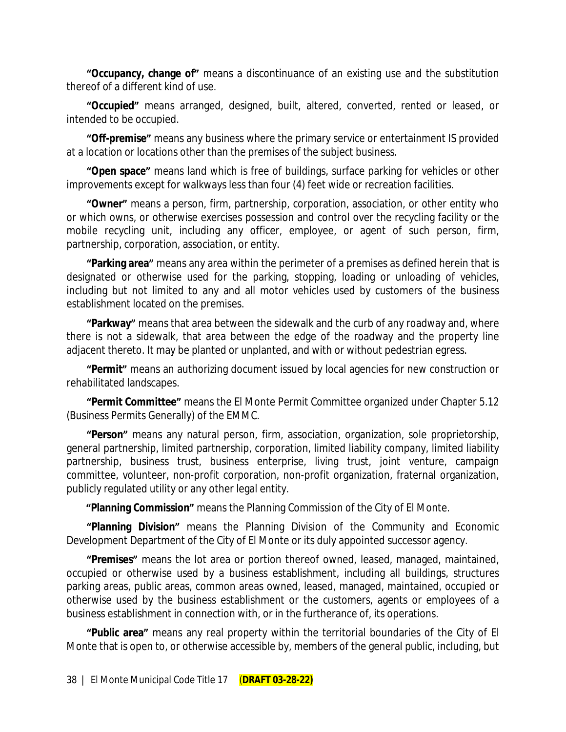**"Occupancy, change of"** means a discontinuance of an existing use and the substitution thereof of a different kind of use.

**"Occupied"** means arranged, designed, built, altered, converted, rented or leased, or intended to be occupied.

**"Off-premise"** means any business where the primary service or entertainment IS provided at a location or locations other than the premises of the subject business.

**"Open space"** means land which is free of buildings, surface parking for vehicles or other improvements except for walkways less than four (4) feet wide or recreation facilities.

**"Owner"** means a person, firm, partnership, corporation, association, or other entity who or which owns, or otherwise exercises possession and control over the recycling facility or the mobile recycling unit, including any officer, employee, or agent of such person, firm, partnership, corporation, association, or entity.

**"Parking area"** means any area within the perimeter of a premises as defined herein that is designated or otherwise used for the parking, stopping, loading or unloading of vehicles, including but not limited to any and all motor vehicles used by customers of the business establishment located on the premises.

**"Parkway"** means that area between the sidewalk and the curb of any roadway and, where there is not a sidewalk, that area between the edge of the roadway and the property line adjacent thereto. It may be planted or unplanted, and with or without pedestrian egress.

**"Permit"** means an authorizing document issued by local agencies for new construction or rehabilitated landscapes.

**"Permit Committee"** means the El Monte Permit Committee organized under Chapter 5.12 (Business Permits Generally) of the EMMC.

**"Person"** means any natural person, firm, association, organization, sole proprietorship, general partnership, limited partnership, corporation, limited liability company, limited liability partnership, business trust, business enterprise, living trust, joint venture, campaign committee, volunteer, non-profit corporation, non-profit organization, fraternal organization, publicly regulated utility or any other legal entity.

**"Planning Commission"** means the Planning Commission of the City of El Monte.

**"Planning Division"** means the Planning Division of the Community and Economic Development Department of the City of El Monte or its duly appointed successor agency.

**"Premises"** means the lot area or portion thereof owned, leased, managed, maintained, occupied or otherwise used by a business establishment, including all buildings, structures parking areas, public areas, common areas owned, leased, managed, maintained, occupied or otherwise used by the business establishment or the customers, agents or employees of a business establishment in connection with, or in the furtherance of, its operations.

**"Public area"** means any real property within the territorial boundaries of the City of El Monte that is open to, or otherwise accessible by, members of the general public, including, but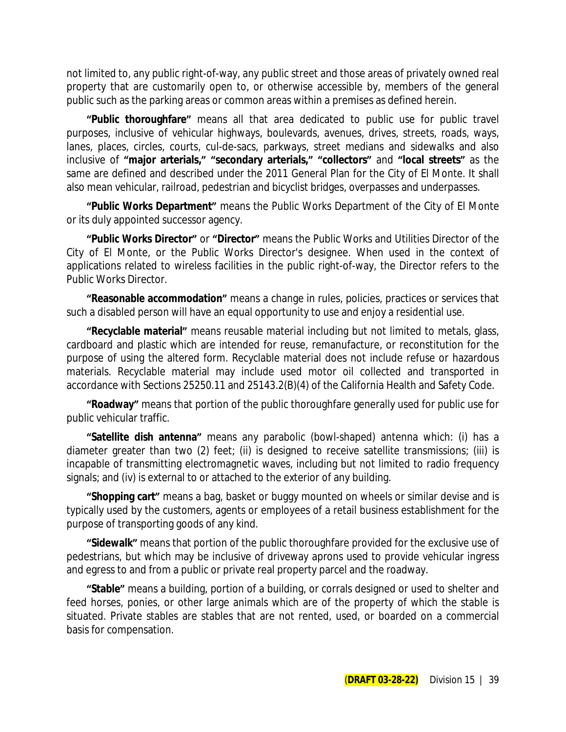not limited to, any public right-of-way, any public street and those areas of privately owned real property that are customarily open to, or otherwise accessible by, members of the general public such as the parking areas or common areas within a premises as defined herein.

**"Public thoroughfare"** means all that area dedicated to public use for public travel purposes, inclusive of vehicular highways, boulevards, avenues, drives, streets, roads, ways, lanes, places, circles, courts, cul-de-sacs, parkways, street medians and sidewalks and also inclusive of **"major arterials," "secondary arterials," "collectors"** and **"local streets"** as the same are defined and described under the 2011 General Plan for the City of El Monte. It shall also mean vehicular, railroad, pedestrian and bicyclist bridges, overpasses and underpasses.

**"Public Works Department"** means the Public Works Department of the City of El Monte or its duly appointed successor agency.

**"Public Works Director"** or **"Director"** means the Public Works and Utilities Director of the City of El Monte, or the Public Works Director's designee. When used in the context of applications related to wireless facilities in the public right-of-way, the Director refers to the Public Works Director.

**"Reasonable accommodation"** means a change in rules, policies, practices or services that such a disabled person will have an equal opportunity to use and enjoy a residential use.

**"Recyclable material"** means reusable material including but not limited to metals, glass, cardboard and plastic which are intended for reuse, remanufacture, or reconstitution for the purpose of using the altered form. Recyclable material does not include refuse or hazardous materials. Recyclable material may include used motor oil collected and transported in accordance with Sections 25250.11 and 25143.2(B)(4) of the California Health and Safety Code.

**"Roadway"** means that portion of the public thoroughfare generally used for public use for public vehicular traffic.

**"Satellite dish antenna"** means any parabolic (bowl-shaped) antenna which: (i) has a diameter greater than two (2) feet; (ii) is designed to receive satellite transmissions; (iii) is incapable of transmitting electromagnetic waves, including but not limited to radio frequency signals; and (iv) is external to or attached to the exterior of any building.

**"Shopping cart"** means a bag, basket or buggy mounted on wheels or similar devise and is typically used by the customers, agents or employees of a retail business establishment for the purpose of transporting goods of any kind.

**"Sidewalk"** means that portion of the public thoroughfare provided for the exclusive use of pedestrians, but which may be inclusive of driveway aprons used to provide vehicular ingress and egress to and from a public or private real property parcel and the roadway.

**"Stable"** means a building, portion of a building, or corrals designed or used to shelter and feed horses, ponies, or other large animals which are of the property of which the stable is situated. Private stables are stables that are not rented, used, or boarded on a commercial basis for compensation.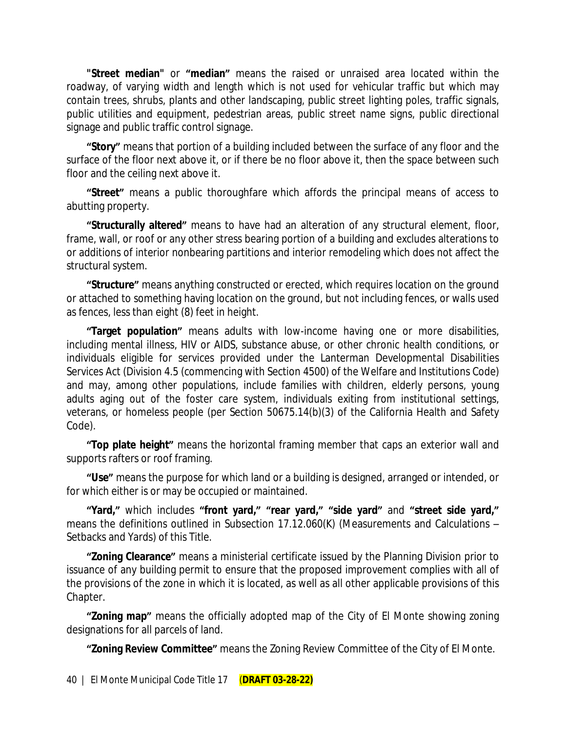**"Street median"** or **"median"** means the raised or unraised area located within the roadway, of varying width and length which is not used for vehicular traffic but which may contain trees, shrubs, plants and other landscaping, public street lighting poles, traffic signals, public utilities and equipment, pedestrian areas, public street name signs, public directional signage and public traffic control signage.

**"Story"** means that portion of a building included between the surface of any floor and the surface of the floor next above it, or if there be no floor above it, then the space between such floor and the ceiling next above it.

**"Street"** means a public thoroughfare which affords the principal means of access to abutting property.

**"Structurally altered"** means to have had an alteration of any structural element, floor, frame, wall, or roof or any other stress bearing portion of a building and excludes alterations to or additions of interior nonbearing partitions and interior remodeling which does not affect the structural system.

**"Structure"** means anything constructed or erected, which requires location on the ground or attached to something having location on the ground, but not including fences, or walls used as fences, less than eight (8) feet in height.

**"Target population"** means adults with low-income having one or more disabilities, including mental illness, HIV or AIDS, substance abuse, or other chronic health conditions, or individuals eligible for services provided under the Lanterman Developmental Disabilities Services Act (Division 4.5 (commencing with Section 4500) of the Welfare and Institutions Code) and may, among other populations, include families with children, elderly persons, young adults aging out of the foster care system, individuals exiting from institutional settings, veterans, or homeless people (per Section 50675.14(b)(3) of the California Health and Safety Code).

**"Top plate height"** means the horizontal framing member that caps an exterior wall and supports rafters or roof framing.

**"Use"** means the purpose for which land or a building is designed, arranged or intended, or for which either is or may be occupied or maintained.

"Yard," which includes "front yard," "rear yard," "side yard" and "street side yard," means the definitions outlined in Subsection 17.12.060(K) (Measurements and Calculations – Setbacks and Yards) of this Title.

**"Zoning Clearance"** means a ministerial certificate issued by the Planning Division prior to issuance of any building permit to ensure that the proposed improvement complies with all of the provisions of the zone in which it is located, as well as all other applicable provisions of this Chapter.

**"Zoning map"** means the officially adopted map of the City of El Monte showing zoning designations for all parcels of land.

**"Zoning Review Committee"** means the Zoning Review Committee of the City of El Monte.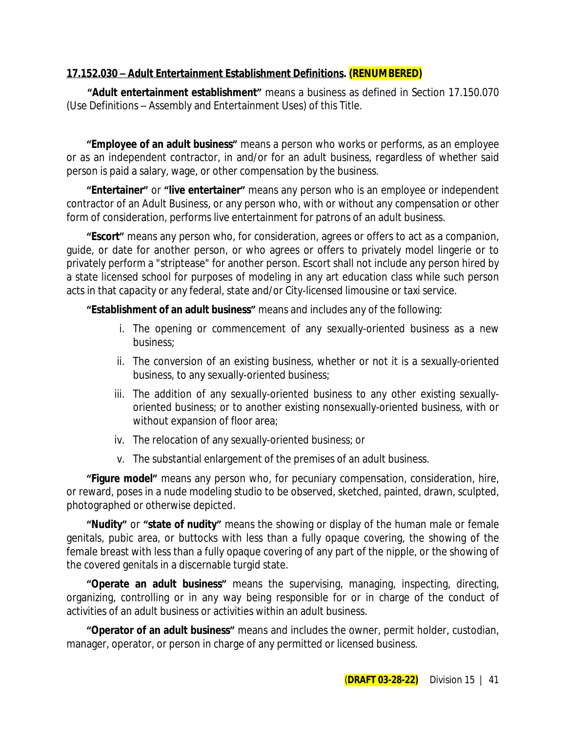### **17.152.030 – Adult Entertainment Establishment Definitions. (RENUMBERED)**

**"Adult entertainment establishment"** means a business as defined in Section 17.150.070 (Use Definitions – Assembly and Entertainment Uses) of this Title.

**"Employee of an adult business"** means a person who works or performs, as an employee or as an independent contractor, in and/or for an adult business, regardless of whether said person is paid a salary, wage, or other compensation by the business.

**"Entertainer"** or **"live entertainer"** means any person who is an employee or independent contractor of an Adult Business, or any person who, with or without any compensation or other form of consideration, performs live entertainment for patrons of an adult business.

**"Escort"** means any person who, for consideration, agrees or offers to act as a companion, guide, or date for another person, or who agrees or offers to privately model lingerie or to privately perform a "striptease" for another person. Escort shall not include any person hired by a state licensed school for purposes of modeling in any art education class while such person acts in that capacity or any federal, state and/or City-licensed limousine or taxi service.

**"Establishment of an adult business"** means and includes any of the following:

- i. The opening or commencement of any sexually-oriented business as a new business;
- ii. The conversion of an existing business, whether or not it is a sexually-oriented business, to any sexually-oriented business;
- iii. The addition of any sexually-oriented business to any other existing sexuallyoriented business; or to another existing nonsexually-oriented business, with or without expansion of floor area;
- iv. The relocation of any sexually-oriented business; or
- v. The substantial enlargement of the premises of an adult business.

**"Figure model"** means any person who, for pecuniary compensation, consideration, hire, or reward, poses in a nude modeling studio to be observed, sketched, painted, drawn, sculpted, photographed or otherwise depicted.

**"Nudity"** or **"state of nudity"** means the showing or display of the human male or female genitals, pubic area, or buttocks with less than a fully opaque covering, the showing of the female breast with less than a fully opaque covering of any part of the nipple, or the showing of the covered genitals in a discernable turgid state.

**"Operate an adult business"** means the supervising, managing, inspecting, directing, organizing, controlling or in any way being responsible for or in charge of the conduct of activities of an adult business or activities within an adult business.

**"Operator of an adult business"** means and includes the owner, permit holder, custodian, manager, operator, or person in charge of any permitted or licensed business.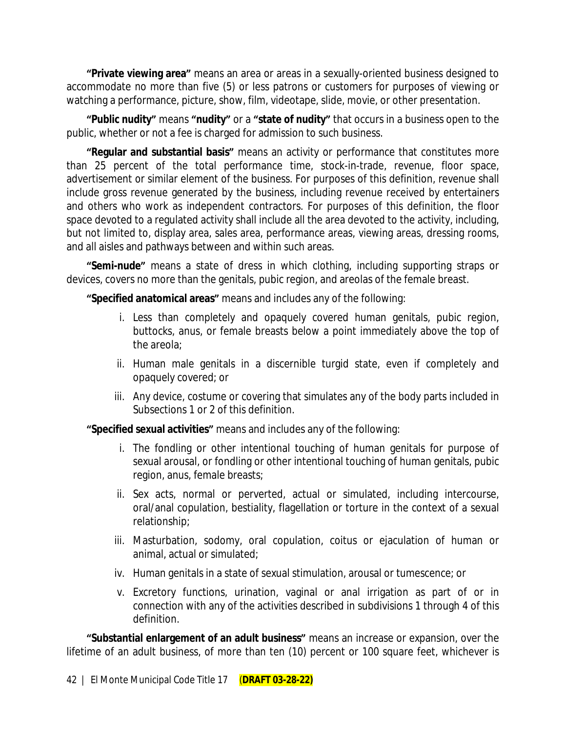**"Private viewing area"** means an area or areas in a sexually-oriented business designed to accommodate no more than five (5) or less patrons or customers for purposes of viewing or watching a performance, picture, show, film, videotape, slide, movie, or other presentation.

**"Public nudity"** means **"nudity"** or a **"state of nudity"** that occurs in a business open to the public, whether or not a fee is charged for admission to such business.

**"Regular and substantial basis"** means an activity or performance that constitutes more than 25 percent of the total performance time, stock-in-trade, revenue, floor space, advertisement or similar element of the business. For purposes of this definition, revenue shall include gross revenue generated by the business, including revenue received by entertainers and others who work as independent contractors. For purposes of this definition, the floor space devoted to a regulated activity shall include all the area devoted to the activity, including, but not limited to, display area, sales area, performance areas, viewing areas, dressing rooms, and all aisles and pathways between and within such areas.

**"Semi-nude"** means a state of dress in which clothing, including supporting straps or devices, covers no more than the genitals, pubic region, and areolas of the female breast.

**"Specified anatomical areas"** means and includes any of the following:

- i. Less than completely and opaquely covered human genitals, pubic region, buttocks, anus, or female breasts below a point immediately above the top of the areola;
- ii. Human male genitals in a discernible turgid state, even if completely and opaquely covered; or
- iii. Any device, costume or covering that simulates any of the body parts included in Subsections 1 or 2 of this definition.

**"Specified sexual activities"** means and includes any of the following:

- i. The fondling or other intentional touching of human genitals for purpose of sexual arousal, or fondling or other intentional touching of human genitals, pubic region, anus, female breasts;
- ii. Sex acts, normal or perverted, actual or simulated, including intercourse, oral/anal copulation, bestiality, flagellation or torture in the context of a sexual relationship;
- iii. Masturbation, sodomy, oral copulation, coitus or ejaculation of human or animal, actual or simulated;
- iv. Human genitals in a state of sexual stimulation, arousal or tumescence; or
- v. Excretory functions, urination, vaginal or anal irrigation as part of or in connection with any of the activities described in subdivisions 1 through 4 of this definition.

**"Substantial enlargement of an adult business"** means an increase or expansion, over the lifetime of an adult business, of more than ten (10) percent or 100 square feet, whichever is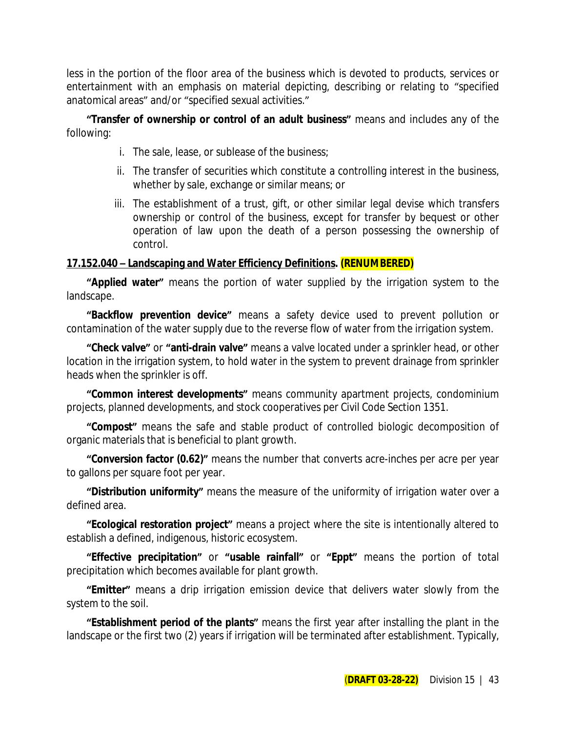less in the portion of the floor area of the business which is devoted to products, services or entertainment with an emphasis on material depicting, describing or relating to "specified anatomical areas" and/or "specified sexual activities."

#### **"Transfer of ownership or control of an adult business"** means and includes any of the following:

- i. The sale, lease, or sublease of the business;
- ii. The transfer of securities which constitute a controlling interest in the business, whether by sale, exchange or similar means; or
- iii. The establishment of a trust, gift, or other similar legal devise which transfers ownership or control of the business, except for transfer by bequest or other operation of law upon the death of a person possessing the ownership of control.

## **17.152.040 – Landscaping and Water Efficiency Definitions. (RENUMBERED)**

**"Applied water"** means the portion of water supplied by the irrigation system to the landscape.

**"Backflow prevention device"** means a safety device used to prevent pollution or contamination of the water supply due to the reverse flow of water from the irrigation system.

**"Check valve"** or **"anti-drain valve"** means a valve located under a sprinkler head, or other location in the irrigation system, to hold water in the system to prevent drainage from sprinkler heads when the sprinkler is off.

**"Common interest developments"** means community apartment projects, condominium projects, planned developments, and stock cooperatives per Civil Code Section 1351.

**"Compost"** means the safe and stable product of controlled biologic decomposition of organic materials that is beneficial to plant growth.

**"Conversion factor (0.62)"** means the number that converts acre-inches per acre per year to gallons per square foot per year.

**"Distribution uniformity"** means the measure of the uniformity of irrigation water over a defined area.

**"Ecological restoration project"** means a project where the site is intentionally altered to establish a defined, indigenous, historic ecosystem.

**"Effective precipitation"** or **"usable rainfall"** or **"Eppt"** means the portion of total precipitation which becomes available for plant growth.

**"Emitter"** means a drip irrigation emission device that delivers water slowly from the system to the soil.

**"Establishment period of the plants"** means the first year after installing the plant in the landscape or the first two (2) years if irrigation will be terminated after establishment. Typically,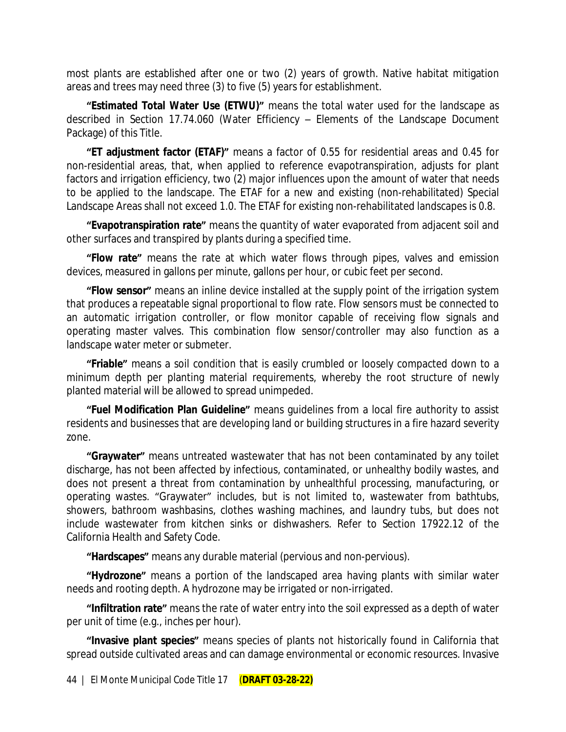most plants are established after one or two (2) years of growth. Native habitat mitigation areas and trees may need three (3) to five (5) years for establishment.

**"Estimated Total Water Use (ETWU)"** means the total water used for the landscape as described in Section 17.74.060 (Water Efficiency – Elements of the Landscape Document Package) of this Title.

**"ET adjustment factor (ETAF)"** means a factor of 0.55 for residential areas and 0.45 for non-residential areas, that, when applied to reference evapotranspiration, adjusts for plant factors and irrigation efficiency, two (2) major influences upon the amount of water that needs to be applied to the landscape. The ETAF for a new and existing (non-rehabilitated) Special Landscape Areas shall not exceed 1.0. The ETAF for existing non-rehabilitated landscapes is 0.8.

**"Evapotranspiration rate"** means the quantity of water evaporated from adjacent soil and other surfaces and transpired by plants during a specified time.

**"Flow rate"** means the rate at which water flows through pipes, valves and emission devices, measured in gallons per minute, gallons per hour, or cubic feet per second.

**"Flow sensor"** means an inline device installed at the supply point of the irrigation system that produces a repeatable signal proportional to flow rate. Flow sensors must be connected to an automatic irrigation controller, or flow monitor capable of receiving flow signals and operating master valves. This combination flow sensor/controller may also function as a landscape water meter or submeter.

**"Friable"** means a soil condition that is easily crumbled or loosely compacted down to a minimum depth per planting material requirements, whereby the root structure of newly planted material will be allowed to spread unimpeded.

**"Fuel Modification Plan Guideline"** means guidelines from a local fire authority to assist residents and businesses that are developing land or building structures in a fire hazard severity zone.

**"Graywater"** means untreated wastewater that has not been contaminated by any toilet discharge, has not been affected by infectious, contaminated, or unhealthy bodily wastes, and does not present a threat from contamination by unhealthful processing, manufacturing, or operating wastes. "Graywater" includes, but is not limited to, wastewater from bathtubs, showers, bathroom washbasins, clothes washing machines, and laundry tubs, but does not include wastewater from kitchen sinks or dishwashers. Refer to Section 17922.12 of the California Health and Safety Code.

**"Hardscapes"** means any durable material (pervious and non-pervious).

**"Hydrozone"** means a portion of the landscaped area having plants with similar water needs and rooting depth. A hydrozone may be irrigated or non-irrigated.

**"Infiltration rate"** means the rate of water entry into the soil expressed as a depth of water per unit of time (e.g., inches per hour).

**"Invasive plant species"** means species of plants not historically found in California that spread outside cultivated areas and can damage environmental or economic resources. Invasive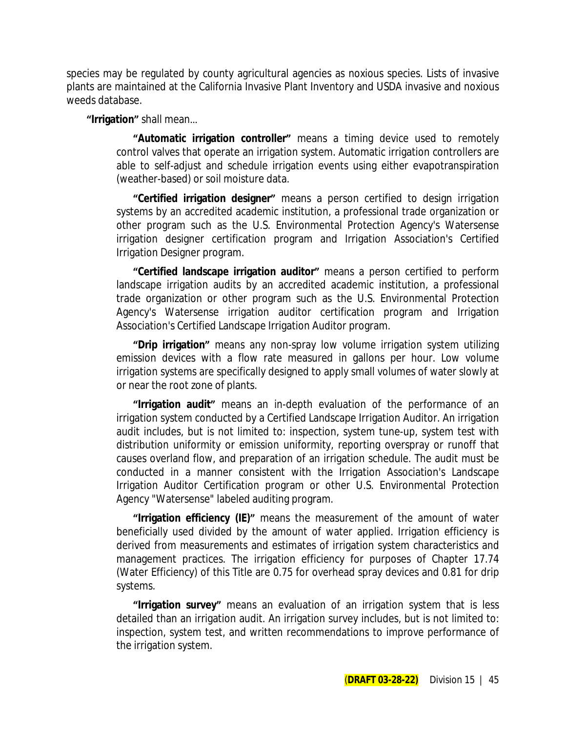species may be regulated by county agricultural agencies as noxious species. Lists of invasive plants are maintained at the California Invasive Plant Inventory and USDA invasive and noxious weeds database.

#### **"Irrigation"** shall mean…

**"Automatic irrigation controller"** means a timing device used to remotely control valves that operate an irrigation system. Automatic irrigation controllers are able to self-adjust and schedule irrigation events using either evapotranspiration (weather-based) or soil moisture data.

**"Certified irrigation designer"** means a person certified to design irrigation systems by an accredited academic institution, a professional trade organization or other program such as the U.S. Environmental Protection Agency's Watersense irrigation designer certification program and Irrigation Association's Certified Irrigation Designer program.

**"Certified landscape irrigation auditor"** means a person certified to perform landscape irrigation audits by an accredited academic institution, a professional trade organization or other program such as the U.S. Environmental Protection Agency's Watersense irrigation auditor certification program and Irrigation Association's Certified Landscape Irrigation Auditor program.

**"Drip irrigation"** means any non-spray low volume irrigation system utilizing emission devices with a flow rate measured in gallons per hour. Low volume irrigation systems are specifically designed to apply small volumes of water slowly at or near the root zone of plants.

**"Irrigation audit"** means an in-depth evaluation of the performance of an irrigation system conducted by a Certified Landscape Irrigation Auditor. An irrigation audit includes, but is not limited to: inspection, system tune-up, system test with distribution uniformity or emission uniformity, reporting overspray or runoff that causes overland flow, and preparation of an irrigation schedule. The audit must be conducted in a manner consistent with the Irrigation Association's Landscape Irrigation Auditor Certification program or other U.S. Environmental Protection Agency "Watersense" labeled auditing program.

**"Irrigation efficiency (IE)"** means the measurement of the amount of water beneficially used divided by the amount of water applied. Irrigation efficiency is derived from measurements and estimates of irrigation system characteristics and management practices. The irrigation efficiency for purposes of Chapter 17.74 (Water Efficiency) of this Title are 0.75 for overhead spray devices and 0.81 for drip systems.

**"Irrigation survey"** means an evaluation of an irrigation system that is less detailed than an irrigation audit. An irrigation survey includes, but is not limited to: inspection, system test, and written recommendations to improve performance of the irrigation system.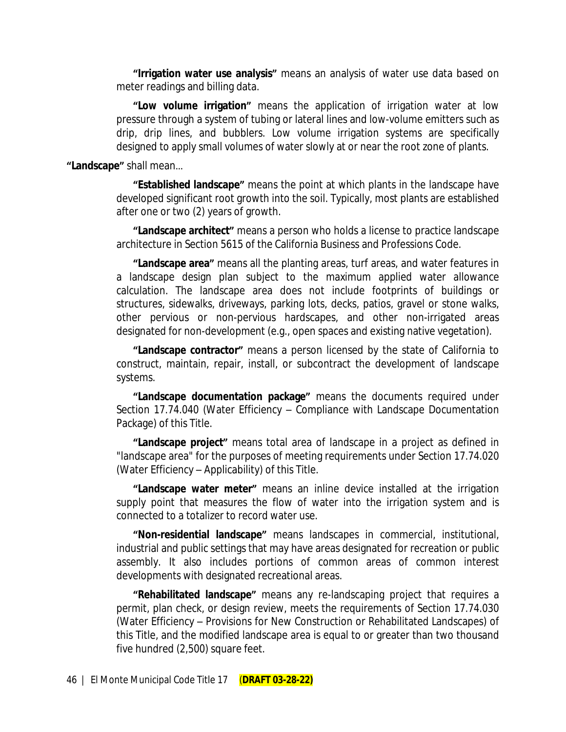**"Irrigation water use analysis"** means an analysis of water use data based on meter readings and billing data.

**"Low volume irrigation"** means the application of irrigation water at low pressure through a system of tubing or lateral lines and low-volume emitters such as drip, drip lines, and bubblers. Low volume irrigation systems are specifically designed to apply small volumes of water slowly at or near the root zone of plants.

#### **"Landscape"** shall mean…

**"Established landscape"** means the point at which plants in the landscape have developed significant root growth into the soil. Typically, most plants are established after one or two (2) years of growth.

**"Landscape architect"** means a person who holds a license to practice landscape architecture in Section 5615 of the California Business and Professions Code.

**"Landscape area"** means all the planting areas, turf areas, and water features in a landscape design plan subject to the maximum applied water allowance calculation. The landscape area does not include footprints of buildings or structures, sidewalks, driveways, parking lots, decks, patios, gravel or stone walks, other pervious or non-pervious hardscapes, and other non-irrigated areas designated for non-development (e.g., open spaces and existing native vegetation).

**"Landscape contractor"** means a person licensed by the state of California to construct, maintain, repair, install, or subcontract the development of landscape systems.

**"Landscape documentation package"** means the documents required under Section 17.74.040 (Water Efficiency – Compliance with Landscape Documentation Package) of this Title.

**"Landscape project"** means total area of landscape in a project as defined in "landscape area" for the purposes of meeting requirements under Section 17.74.020 (Water Efficiency – Applicability) of this Title.

**"Landscape water meter"** means an inline device installed at the irrigation supply point that measures the flow of water into the irrigation system and is connected to a totalizer to record water use.

**"Non-residential landscape"** means landscapes in commercial, institutional, industrial and public settings that may have areas designated for recreation or public assembly. It also includes portions of common areas of common interest developments with designated recreational areas.

**"Rehabilitated landscape"** means any re-landscaping project that requires a permit, plan check, or design review, meets the requirements of Section 17.74.030 (Water Efficiency – Provisions for New Construction or Rehabilitated Landscapes) of this Title, and the modified landscape area is equal to or greater than two thousand five hundred (2,500) square feet.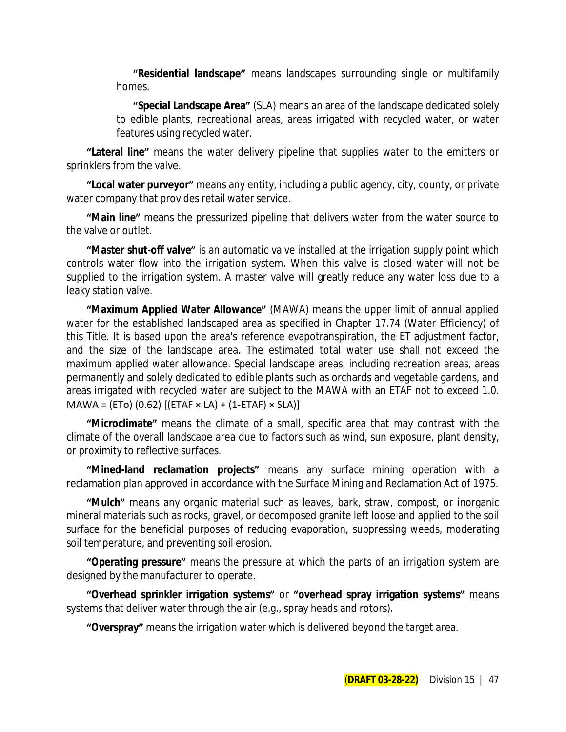**"Residential landscape"** means landscapes surrounding single or multifamily homes.

**"Special Landscape Area"** (SLA) means an area of the landscape dedicated solely to edible plants, recreational areas, areas irrigated with recycled water, or water features using recycled water.

**"Lateral line"** means the water delivery pipeline that supplies water to the emitters or sprinklers from the valve.

**"Local water purveyor"** means any entity, including a public agency, city, county, or private water company that provides retail water service.

**"Main line"** means the pressurized pipeline that delivers water from the water source to the valve or outlet.

**"Master shut-off valve"** is an automatic valve installed at the irrigation supply point which controls water flow into the irrigation system. When this valve is closed water will not be supplied to the irrigation system. A master valve will greatly reduce any water loss due to a leaky station valve.

**"Maximum Applied Water Allowance"** (MAWA) means the upper limit of annual applied water for the established landscaped area as specified in Chapter 17.74 (Water Efficiency) of this Title. It is based upon the area's reference evapotranspiration, the ET adjustment factor, and the size of the landscape area. The estimated total water use shall not exceed the maximum applied water allowance. Special landscape areas, including recreation areas, areas permanently and solely dedicated to edible plants such as orchards and vegetable gardens, and areas irrigated with recycled water are subject to the MAWA with an ETAF not to exceed 1.0.  $MAWA = (ETo) (0.62) [(ETAF × LA) + (1-ETAF) × SLA)]$ 

**"Microclimate"** means the climate of a small, specific area that may contrast with the climate of the overall landscape area due to factors such as wind, sun exposure, plant density, or proximity to reflective surfaces.

**"Mined-land reclamation projects"** means any surface mining operation with a reclamation plan approved in accordance with the Surface Mining and Reclamation Act of 1975.

**"Mulch"** means any organic material such as leaves, bark, straw, compost, or inorganic mineral materials such as rocks, gravel, or decomposed granite left loose and applied to the soil surface for the beneficial purposes of reducing evaporation, suppressing weeds, moderating soil temperature, and preventing soil erosion.

**"Operating pressure"** means the pressure at which the parts of an irrigation system are designed by the manufacturer to operate.

**"Overhead sprinkler irrigation systems"** or **"overhead spray irrigation systems"** means systems that deliver water through the air (e.g., spray heads and rotors).

**"Overspray"** means the irrigation water which is delivered beyond the target area.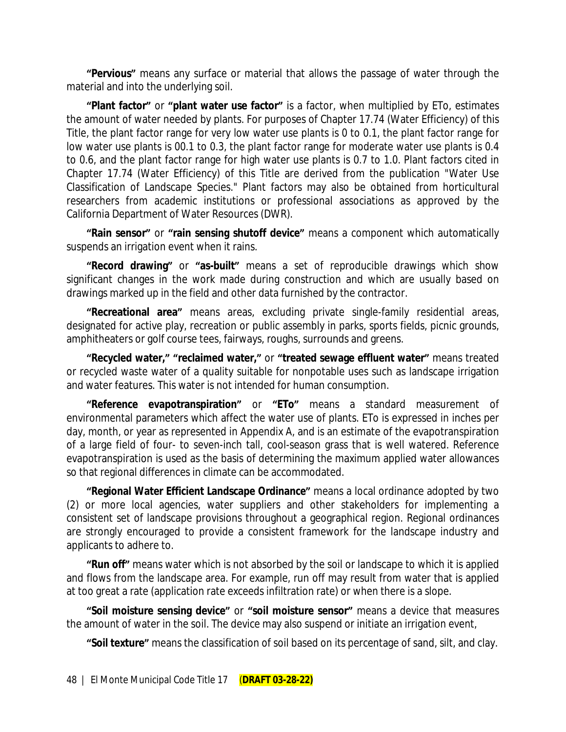**"Pervious"** means any surface or material that allows the passage of water through the material and into the underlying soil.

**"Plant factor"** or **"plant water use factor"** is a factor, when multiplied by ETo, estimates the amount of water needed by plants. For purposes of Chapter 17.74 (Water Efficiency) of this Title, the plant factor range for very low water use plants is 0 to 0.1, the plant factor range for low water use plants is 00.1 to 0.3, the plant factor range for moderate water use plants is 0.4 to 0.6, and the plant factor range for high water use plants is 0.7 to 1.0. Plant factors cited in Chapter 17.74 (Water Efficiency) of this Title are derived from the publication "Water Use Classification of Landscape Species." Plant factors may also be obtained from horticultural researchers from academic institutions or professional associations as approved by the California Department of Water Resources (DWR).

**"Rain sensor"** or **"rain sensing shutoff device"** means a component which automatically suspends an irrigation event when it rains.

**"Record drawing"** or **"as-built"** means a set of reproducible drawings which show significant changes in the work made during construction and which are usually based on drawings marked up in the field and other data furnished by the contractor.

**"Recreational area"** means areas, excluding private single-family residential areas, designated for active play, recreation or public assembly in parks, sports fields, picnic grounds, amphitheaters or golf course tees, fairways, roughs, surrounds and greens.

**"Recycled water," "reclaimed water,"** or **"treated sewage effluent water"** means treated or recycled waste water of a quality suitable for nonpotable uses such as landscape irrigation and water features. This water is not intended for human consumption.

**"Reference evapotranspiration"** or **"ETo"** means a standard measurement of environmental parameters which affect the water use of plants. ETo is expressed in inches per day, month, or year as represented in Appendix A, and is an estimate of the evapotranspiration of a large field of four- to seven-inch tall, cool-season grass that is well watered. Reference evapotranspiration is used as the basis of determining the maximum applied water allowances so that regional differences in climate can be accommodated.

**"Regional Water Efficient Landscape Ordinance"** means a local ordinance adopted by two (2) or more local agencies, water suppliers and other stakeholders for implementing a consistent set of landscape provisions throughout a geographical region. Regional ordinances are strongly encouraged to provide a consistent framework for the landscape industry and applicants to adhere to.

**"Run off"** means water which is not absorbed by the soil or landscape to which it is applied and flows from the landscape area. For example, run off may result from water that is applied at too great a rate (application rate exceeds infiltration rate) or when there is a slope.

**"Soil moisture sensing device"** or **"soil moisture sensor"** means a device that measures the amount of water in the soil. The device may also suspend or initiate an irrigation event,

**"Soil texture"** means the classification of soil based on its percentage of sand, silt, and clay.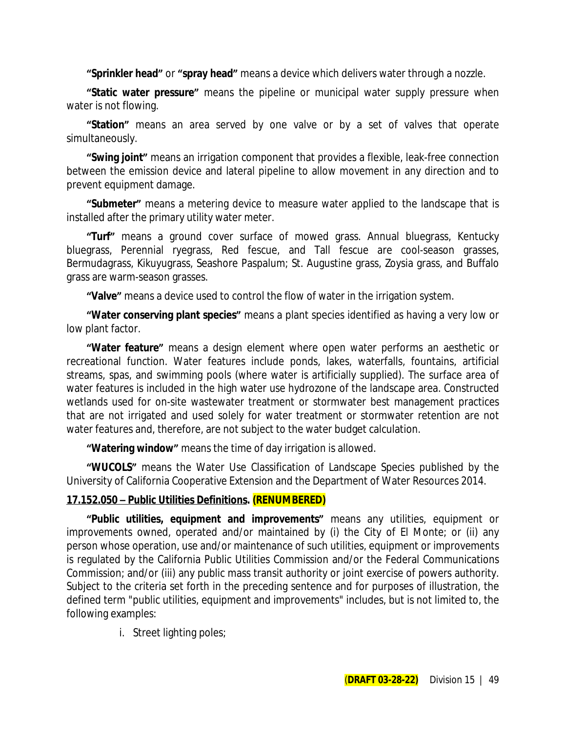**"Sprinkler head"** or **"spray head"** means a device which delivers water through a nozzle.

**"Static water pressure"** means the pipeline or municipal water supply pressure when water is not flowing.

**"Station"** means an area served by one valve or by a set of valves that operate simultaneously.

**"Swing joint"** means an irrigation component that provides a flexible, leak-free connection between the emission device and lateral pipeline to allow movement in any direction and to prevent equipment damage.

**"Submeter"** means a metering device to measure water applied to the landscape that is installed after the primary utility water meter.

**"Turf"** means a ground cover surface of mowed grass. Annual bluegrass, Kentucky bluegrass, Perennial ryegrass, Red fescue, and Tall fescue are cool-season grasses, Bermudagrass, Kikuyugrass, Seashore Paspalum; St. Augustine grass, Zoysia grass, and Buffalo grass are warm-season grasses.

**"Valve"** means a device used to control the flow of water in the irrigation system.

**"Water conserving plant species"** means a plant species identified as having a very low or low plant factor.

**"Water feature"** means a design element where open water performs an aesthetic or recreational function. Water features include ponds, lakes, waterfalls, fountains, artificial streams, spas, and swimming pools (where water is artificially supplied). The surface area of water features is included in the high water use hydrozone of the landscape area. Constructed wetlands used for on-site wastewater treatment or stormwater best management practices that are not irrigated and used solely for water treatment or stormwater retention are not water features and, therefore, are not subject to the water budget calculation.

**"Watering window"** means the time of day irrigation is allowed.

**"WUCOLS"** means the Water Use Classification of Landscape Species published by the University of California Cooperative Extension and the Department of Water Resources 2014.

### **17.152.050 – Public Utilities Definitions. (RENUMBERED)**

**"Public utilities, equipment and improvements"** means any utilities, equipment or improvements owned, operated and/or maintained by (i) the City of El Monte; or (ii) any person whose operation, use and/or maintenance of such utilities, equipment or improvements is regulated by the California Public Utilities Commission and/or the Federal Communications Commission; and/or (iii) any public mass transit authority or joint exercise of powers authority. Subject to the criteria set forth in the preceding sentence and for purposes of illustration, the defined term "public utilities, equipment and improvements" includes, but is not limited to, the following examples:

i. Street lighting poles;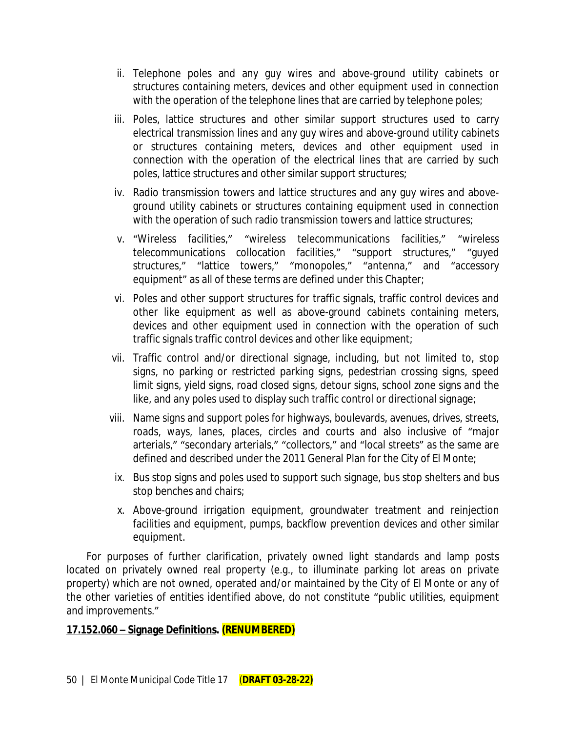- ii. Telephone poles and any guy wires and above-ground utility cabinets or structures containing meters, devices and other equipment used in connection with the operation of the telephone lines that are carried by telephone poles;
- iii. Poles, lattice structures and other similar support structures used to carry electrical transmission lines and any guy wires and above-ground utility cabinets or structures containing meters, devices and other equipment used in connection with the operation of the electrical lines that are carried by such poles, lattice structures and other similar support structures;
- iv. Radio transmission towers and lattice structures and any guy wires and aboveground utility cabinets or structures containing equipment used in connection with the operation of such radio transmission towers and lattice structures;
- v. "Wireless facilities," "wireless telecommunications facilities," "wireless telecommunications collocation facilities," "support structures," "guyed structures," "lattice towers," "monopoles," "antenna," and "accessory equipment" as all of these terms are defined under this Chapter;
- vi. Poles and other support structures for traffic signals, traffic control devices and other like equipment as well as above-ground cabinets containing meters, devices and other equipment used in connection with the operation of such traffic signals traffic control devices and other like equipment;
- vii. Traffic control and/or directional signage, including, but not limited to, stop signs, no parking or restricted parking signs, pedestrian crossing signs, speed limit signs, yield signs, road closed signs, detour signs, school zone signs and the like, and any poles used to display such traffic control or directional signage;
- viii. Name signs and support poles for highways, boulevards, avenues, drives, streets, roads, ways, lanes, places, circles and courts and also inclusive of "major arterials," "secondary arterials," "collectors," and "local streets" as the same are defined and described under the 2011 General Plan for the City of El Monte;
- ix. Bus stop signs and poles used to support such signage, bus stop shelters and bus stop benches and chairs;
- x. Above-ground irrigation equipment, groundwater treatment and reinjection facilities and equipment, pumps, backflow prevention devices and other similar equipment.

For purposes of further clarification, privately owned light standards and lamp posts located on privately owned real property (e.g., to illuminate parking lot areas on private property) which are not owned, operated and/or maintained by the City of El Monte or any of the other varieties of entities identified above, do not constitute "public utilities, equipment and improvements."

### **17.152.060 – Signage Definitions. (RENUMBERED)**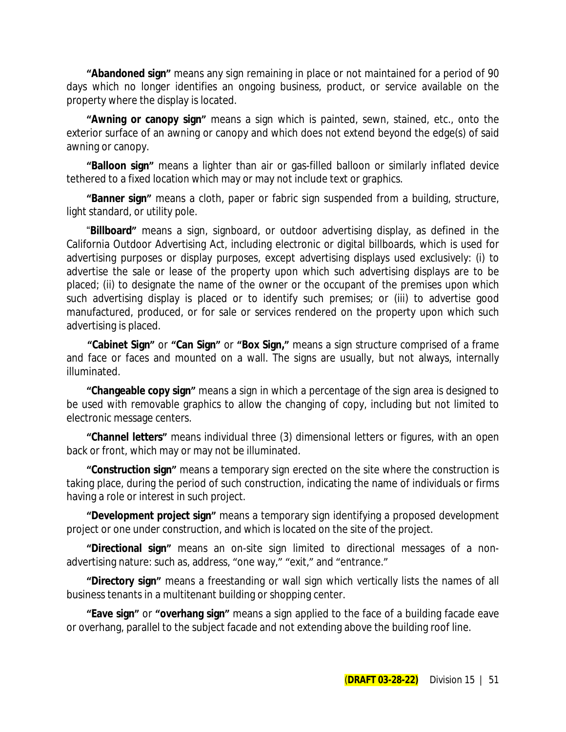**"Abandoned sign"** means any sign remaining in place or not maintained for a period of 90 days which no longer identifies an ongoing business, product, or service available on the property where the display is located.

**"Awning or canopy sign"** means a sign which is painted, sewn, stained, etc., onto the exterior surface of an awning or canopy and which does not extend beyond the edge(s) of said awning or canopy.

**"Balloon sign"** means a lighter than air or gas-filled balloon or similarly inflated device tethered to a fixed location which may or may not include text or graphics.

**"Banner sign"** means a cloth, paper or fabric sign suspended from a building, structure, light standard, or utility pole.

"**Billboard"** means a sign, signboard, or outdoor advertising display, as defined in the California Outdoor Advertising Act, including electronic or digital billboards, which is used for advertising purposes or display purposes, except advertising displays used exclusively: (i) to advertise the sale or lease of the property upon which such advertising displays are to be placed; (ii) to designate the name of the owner or the occupant of the premises upon which such advertising display is placed or to identify such premises; or (iii) to advertise good manufactured, produced, or for sale or services rendered on the property upon which such advertising is placed.

**"Cabinet Sign"** or **"Can Sign"** or **"Box Sign,"** means a sign structure comprised of a frame and face or faces and mounted on a wall. The signs are usually, but not always, internally illuminated.

**"Changeable copy sign"** means a sign in which a percentage of the sign area is designed to be used with removable graphics to allow the changing of copy, including but not limited to electronic message centers.

**"Channel letters"** means individual three (3) dimensional letters or figures, with an open back or front, which may or may not be illuminated.

**"Construction sign"** means a temporary sign erected on the site where the construction is taking place, during the period of such construction, indicating the name of individuals or firms having a role or interest in such project.

**"Development project sign"** means a temporary sign identifying a proposed development project or one under construction, and which is located on the site of the project.

**"Directional sign"** means an on-site sign limited to directional messages of a nonadvertising nature: such as, address, "one way," "exit," and "entrance."

**"Directory sign"** means a freestanding or wall sign which vertically lists the names of all business tenants in a multitenant building or shopping center.

**"Eave sign"** or **"overhang sign"** means a sign applied to the face of a building facade eave or overhang, parallel to the subject facade and not extending above the building roof line.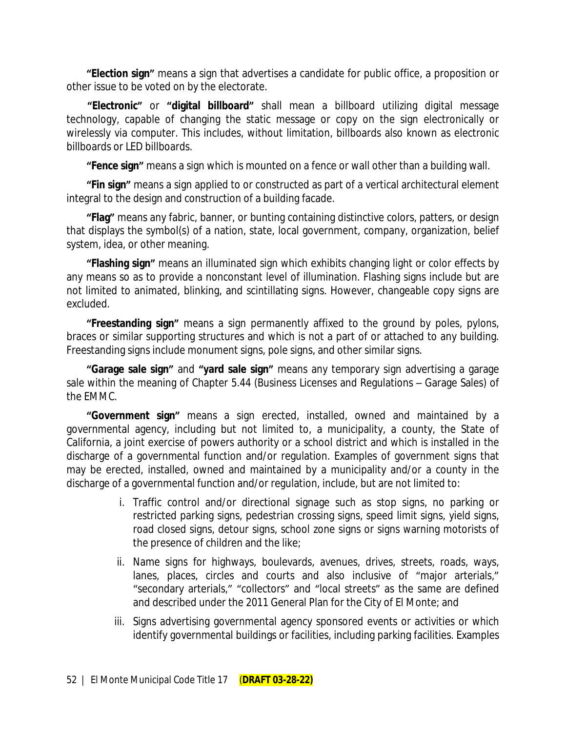**"Election sign"** means a sign that advertises a candidate for public office, a proposition or other issue to be voted on by the electorate.

**"Electronic"** or **"digital billboard"** shall mean a billboard utilizing digital message technology, capable of changing the static message or copy on the sign electronically or wirelessly via computer. This includes, without limitation, billboards also known as electronic billboards or LED billboards.

**"Fence sign"** means a sign which is mounted on a fence or wall other than a building wall.

**"Fin sign"** means a sign applied to or constructed as part of a vertical architectural element integral to the design and construction of a building facade.

**"Flag"** means any fabric, banner, or bunting containing distinctive colors, patters, or design that displays the symbol(s) of a nation, state, local government, company, organization, belief system, idea, or other meaning.

**"Flashing sign"** means an illuminated sign which exhibits changing light or color effects by any means so as to provide a nonconstant level of illumination. Flashing signs include but are not limited to animated, blinking, and scintillating signs. However, changeable copy signs are excluded.

**"Freestanding sign"** means a sign permanently affixed to the ground by poles, pylons, braces or similar supporting structures and which is not a part of or attached to any building. Freestanding signs include monument signs, pole signs, and other similar signs.

**"Garage sale sign"** and **"yard sale sign"** means any temporary sign advertising a garage sale within the meaning of Chapter 5.44 (Business Licenses and Regulations – Garage Sales) of the EMMC.

**"Government sign"** means a sign erected, installed, owned and maintained by a governmental agency, including but not limited to, a municipality, a county, the State of California, a joint exercise of powers authority or a school district and which is installed in the discharge of a governmental function and/or regulation. Examples of government signs that may be erected, installed, owned and maintained by a municipality and/or a county in the discharge of a governmental function and/or regulation, include, but are not limited to:

- i. Traffic control and/or directional signage such as stop signs, no parking or restricted parking signs, pedestrian crossing signs, speed limit signs, yield signs, road closed signs, detour signs, school zone signs or signs warning motorists of the presence of children and the like;
- ii. Name signs for highways, boulevards, avenues, drives, streets, roads, ways, lanes, places, circles and courts and also inclusive of "major arterials," "secondary arterials," "collectors" and "local streets" as the same are defined and described under the 2011 General Plan for the City of El Monte; and
- iii. Signs advertising governmental agency sponsored events or activities or which identify governmental buildings or facilities, including parking facilities. Examples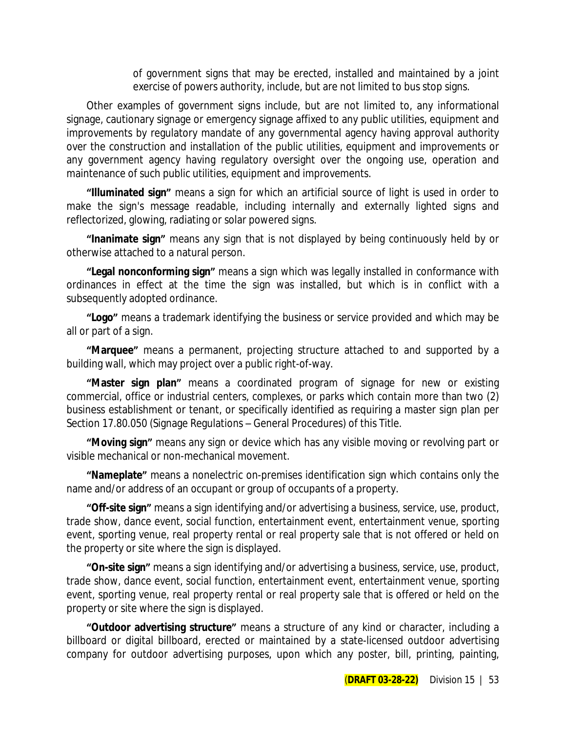of government signs that may be erected, installed and maintained by a joint exercise of powers authority, include, but are not limited to bus stop signs.

Other examples of government signs include, but are not limited to, any informational signage, cautionary signage or emergency signage affixed to any public utilities, equipment and improvements by regulatory mandate of any governmental agency having approval authority over the construction and installation of the public utilities, equipment and improvements or any government agency having regulatory oversight over the ongoing use, operation and maintenance of such public utilities, equipment and improvements.

**"Illuminated sign"** means a sign for which an artificial source of light is used in order to make the sign's message readable, including internally and externally lighted signs and reflectorized, glowing, radiating or solar powered signs.

**"Inanimate sign"** means any sign that is not displayed by being continuously held by or otherwise attached to a natural person.

**"Legal nonconforming sign"** means a sign which was legally installed in conformance with ordinances in effect at the time the sign was installed, but which is in conflict with a subsequently adopted ordinance.

**"Logo"** means a trademark identifying the business or service provided and which may be all or part of a sign.

**"Marquee"** means a permanent, projecting structure attached to and supported by a building wall, which may project over a public right-of-way.

**"Master sign plan"** means a coordinated program of signage for new or existing commercial, office or industrial centers, complexes, or parks which contain more than two (2) business establishment or tenant, or specifically identified as requiring a master sign plan per Section 17.80.050 (Signage Regulations – General Procedures) of this Title.

**"Moving sign"** means any sign or device which has any visible moving or revolving part or visible mechanical or non-mechanical movement.

**"Nameplate"** means a nonelectric on-premises identification sign which contains only the name and/or address of an occupant or group of occupants of a property.

**"Off-site sign"** means a sign identifying and/or advertising a business, service, use, product, trade show, dance event, social function, entertainment event, entertainment venue, sporting event, sporting venue, real property rental or real property sale that is not offered or held on the property or site where the sign is displayed.

**"On-site sign"** means a sign identifying and/or advertising a business, service, use, product, trade show, dance event, social function, entertainment event, entertainment venue, sporting event, sporting venue, real property rental or real property sale that is offered or held on the property or site where the sign is displayed.

**"Outdoor advertising structure"** means a structure of any kind or character, including a billboard or digital billboard, erected or maintained by a state-licensed outdoor advertising company for outdoor advertising purposes, upon which any poster, bill, printing, painting,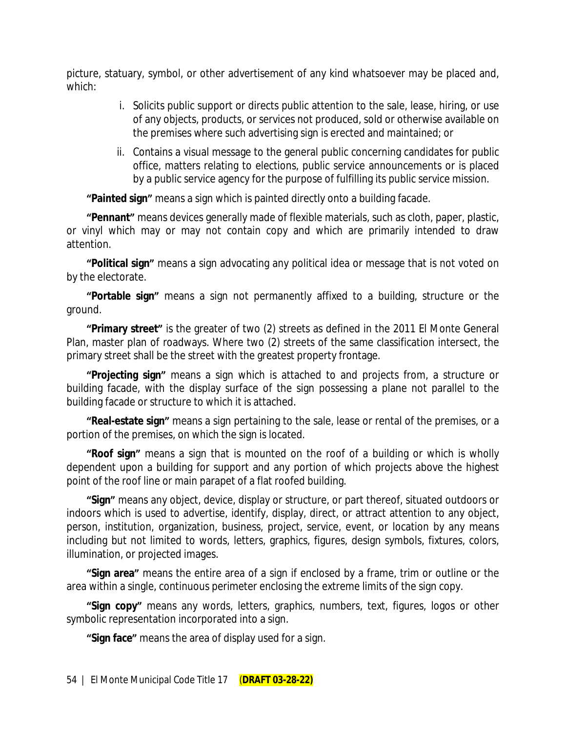picture, statuary, symbol, or other advertisement of any kind whatsoever may be placed and, which:

- i. Solicits public support or directs public attention to the sale, lease, hiring, or use of any objects, products, or services not produced, sold or otherwise available on the premises where such advertising sign is erected and maintained; or
- ii. Contains a visual message to the general public concerning candidates for public office, matters relating to elections, public service announcements or is placed by a public service agency for the purpose of fulfilling its public service mission.

**"Painted sign"** means a sign which is painted directly onto a building facade.

**"Pennant"** means devices generally made of flexible materials, such as cloth, paper, plastic, or vinyl which may or may not contain copy and which are primarily intended to draw attention.

**"Political sign"** means a sign advocating any political idea or message that is not voted on by the electorate.

**"Portable sign"** means a sign not permanently affixed to a building, structure or the ground.

**"Primary street"** is the greater of two (2) streets as defined in the 2011 El Monte General Plan, master plan of roadways. Where two (2) streets of the same classification intersect, the primary street shall be the street with the greatest property frontage.

**"Projecting sign"** means a sign which is attached to and projects from, a structure or building facade, with the display surface of the sign possessing a plane not parallel to the building facade or structure to which it is attached.

**"Real-estate sign"** means a sign pertaining to the sale, lease or rental of the premises, or a portion of the premises, on which the sign is located.

**"Roof sign"** means a sign that is mounted on the roof of a building or which is wholly dependent upon a building for support and any portion of which projects above the highest point of the roof line or main parapet of a flat roofed building.

**"Sign"** means any object, device, display or structure, or part thereof, situated outdoors or indoors which is used to advertise, identify, display, direct, or attract attention to any object, person, institution, organization, business, project, service, event, or location by any means including but not limited to words, letters, graphics, figures, design symbols, fixtures, colors, illumination, or projected images.

**"Sign area"** means the entire area of a sign if enclosed by a frame, trim or outline or the area within a single, continuous perimeter enclosing the extreme limits of the sign copy.

**"Sign copy"** means any words, letters, graphics, numbers, text, figures, logos or other symbolic representation incorporated into a sign.

**"Sign face"** means the area of display used for a sign.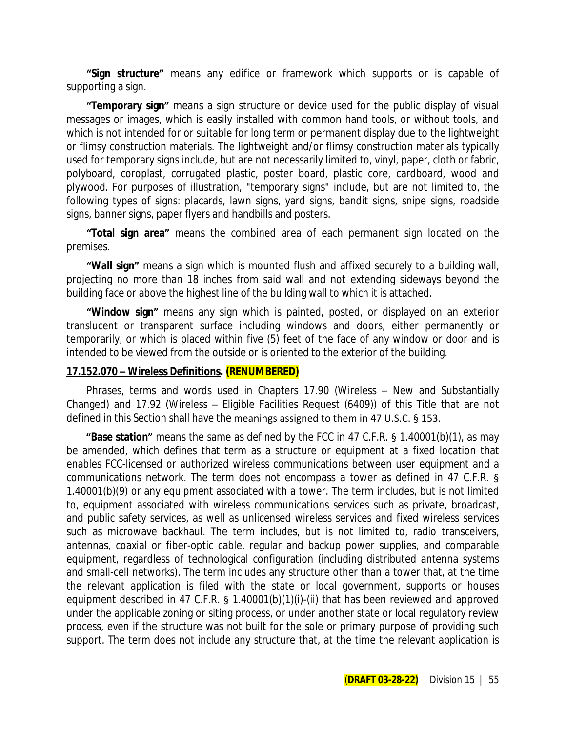**"Sign structure"** means any edifice or framework which supports or is capable of supporting a sign.

**"Temporary sign"** means a sign structure or device used for the public display of visual messages or images, which is easily installed with common hand tools, or without tools, and which is not intended for or suitable for long term or permanent display due to the lightweight or flimsy construction materials. The lightweight and/or flimsy construction materials typically used for temporary signs include, but are not necessarily limited to, vinyl, paper, cloth or fabric, polyboard, coroplast, corrugated plastic, poster board, plastic core, cardboard, wood and plywood. For purposes of illustration, "temporary signs" include, but are not limited to, the following types of signs: placards, lawn signs, yard signs, bandit signs, snipe signs, roadside signs, banner signs, paper flyers and handbills and posters.

**"Total sign area"** means the combined area of each permanent sign located on the premises.

**"Wall sign"** means a sign which is mounted flush and affixed securely to a building wall, projecting no more than 18 inches from said wall and not extending sideways beyond the building face or above the highest line of the building wall to which it is attached.

**"Window sign"** means any sign which is painted, posted, or displayed on an exterior translucent or transparent surface including windows and doors, either permanently or temporarily, or which is placed within five (5) feet of the face of any window or door and is intended to be viewed from the outside or is oriented to the exterior of the building.

#### **17.152.070 – Wireless Definitions. (RENUMBERED)**

Phrases, terms and words used in Chapters 17.90 (Wireless – New and Substantially Changed) and 17.92 (Wireless – Eligible Facilities Request (6409)) of this Title that are not defined in this Section shall have the meanings assigned to them in 47 U.S.C. § 153.

**"Base station"** means the same as defined by the FCC in 47 C.F.R. § 1.40001(b)(1), as may be amended, which defines that term as a structure or equipment at a fixed location that enables FCC-licensed or authorized wireless communications between user equipment and a communications network. The term does not encompass a tower as defined in 47 C.F.R. § 1.40001(b)(9) or any equipment associated with a tower. The term includes, but is not limited to, equipment associated with wireless communications services such as private, broadcast, and public safety services, as well as unlicensed wireless services and fixed wireless services such as microwave backhaul. The term includes, but is not limited to, radio transceivers, antennas, coaxial or fiber-optic cable, regular and backup power supplies, and comparable equipment, regardless of technological configuration (including distributed antenna systems and small-cell networks). The term includes any structure other than a tower that, at the time the relevant application is filed with the state or local government, supports or houses equipment described in 47 C.F.R. § 1.40001(b)(1)(i)-(ii) that has been reviewed and approved under the applicable zoning or siting process, or under another state or local regulatory review process, even if the structure was not built for the sole or primary purpose of providing such support. The term does not include any structure that, at the time the relevant application is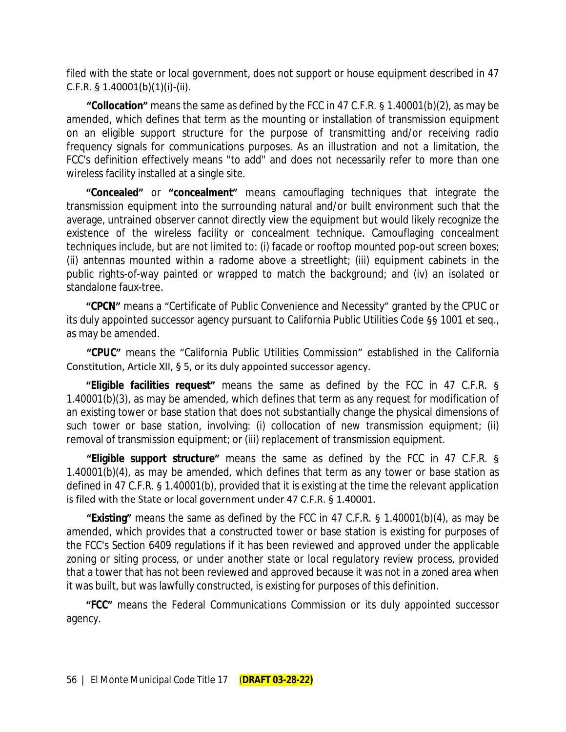filed with the state or local government, does not support or house equipment described in 47 C.F.R.  $\S$  1.40001(b)(1)(i)-(ii).

**"Collocation"** means the same as defined by the FCC in 47 C.F.R. § 1.40001(b)(2), as may be amended, which defines that term as the mounting or installation of transmission equipment on an eligible support structure for the purpose of transmitting and/or receiving radio frequency signals for communications purposes. As an illustration and not a limitation, the FCC's definition effectively means "to add" and does not necessarily refer to more than one wireless facility installed at a single site.

**"Concealed"** or **"concealment"** means camouflaging techniques that integrate the transmission equipment into the surrounding natural and/or built environment such that the average, untrained observer cannot directly view the equipment but would likely recognize the existence of the wireless facility or concealment technique. Camouflaging concealment techniques include, but are not limited to: (i) facade or rooftop mounted pop-out screen boxes; (ii) antennas mounted within a radome above a streetlight; (iii) equipment cabinets in the public rights-of-way painted or wrapped to match the background; and (iv) an isolated or standalone faux-tree.

**"CPCN"** means a "Certificate of Public Convenience and Necessity" granted by the CPUC or its duly appointed successor agency pursuant to California Public Utilities Code §§ 1001 et seq., as may be amended.

**"CPUC"** means the "California Public Utilities Commission" established in the California Constitution, Article XII, § 5, or its duly appointed successor agency.

**"Eligible facilities request"** means the same as defined by the FCC in 47 C.F.R. § 1.40001(b)(3), as may be amended, which defines that term as any request for modification of an existing tower or base station that does not substantially change the physical dimensions of such tower or base station, involving: (i) collocation of new transmission equipment; (ii) removal of transmission equipment; or (iii) replacement of transmission equipment.

**"Eligible support structure"** means the same as defined by the FCC in 47 C.F.R. § 1.40001(b)(4), as may be amended, which defines that term as any tower or base station as defined in 47 C.F.R. § 1.40001(b), provided that it is existing at the time the relevant application is filed with the State or local government under 47 C.F.R. § 1.40001.

**"Existing"** means the same as defined by the FCC in 47 C.F.R. § 1.40001(b)(4), as may be amended, which provides that a constructed tower or base station is existing for purposes of the FCC's Section 6409 regulations if it has been reviewed and approved under the applicable zoning or siting process, or under another state or local regulatory review process, provided that a tower that has not been reviewed and approved because it was not in a zoned area when it was built, but was lawfully constructed, is existing for purposes of this definition.

**"FCC"** means the Federal Communications Commission or its duly appointed successor agency.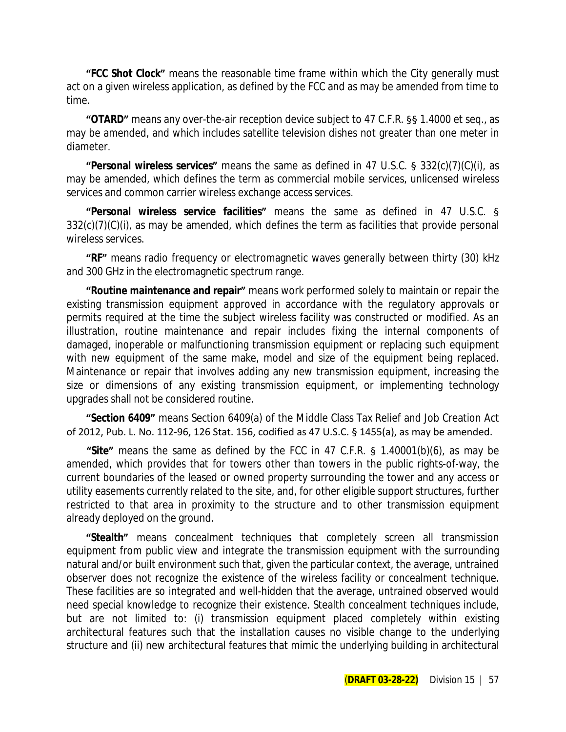**"FCC Shot Clock"** means the reasonable time frame within which the City generally must act on a given wireless application, as defined by the FCC and as may be amended from time to time.

**"OTARD"** means any over-the-air reception device subject to 47 C.F.R. §§ 1.4000 et seq., as may be amended, and which includes satellite television dishes not greater than one meter in diameter.

**"Personal wireless services"** means the same as defined in 47 U.S.C. § 332(c)(7)(C)(i), as may be amended, which defines the term as commercial mobile services, unlicensed wireless services and common carrier wireless exchange access services.

**"Personal wireless service facilities"** means the same as defined in 47 U.S.C. § 332(c)(7)(C)(i), as may be amended, which defines the term as facilities that provide personal wireless services.

**"RF"** means radio frequency or electromagnetic waves generally between thirty (30) kHz and 300 GHz in the electromagnetic spectrum range.

**"Routine maintenance and repair"** means work performed solely to maintain or repair the existing transmission equipment approved in accordance with the regulatory approvals or permits required at the time the subject wireless facility was constructed or modified. As an illustration, routine maintenance and repair includes fixing the internal components of damaged, inoperable or malfunctioning transmission equipment or replacing such equipment with new equipment of the same make, model and size of the equipment being replaced. Maintenance or repair that involves adding any new transmission equipment, increasing the size or dimensions of any existing transmission equipment, or implementing technology upgrades shall not be considered routine.

**"Section 6409"** means Section 6409(a) of the Middle Class Tax Relief and Job Creation Act of 2012, Pub. L. No. 112-96, 126 Stat. 156, codified as 47 U.S.C. § 1455(a), as may be amended.

**"Site"** means the same as defined by the FCC in 47 C.F.R. § 1.40001(b)(6), as may be amended, which provides that for towers other than towers in the public rights-of-way, the current boundaries of the leased or owned property surrounding the tower and any access or utility easements currently related to the site, and, for other eligible support structures, further restricted to that area in proximity to the structure and to other transmission equipment already deployed on the ground.

**"Stealth"** means concealment techniques that completely screen all transmission equipment from public view and integrate the transmission equipment with the surrounding natural and/or built environment such that, given the particular context, the average, untrained observer does not recognize the existence of the wireless facility or concealment technique. These facilities are so integrated and well-hidden that the average, untrained observed would need special knowledge to recognize their existence. Stealth concealment techniques include, but are not limited to: (i) transmission equipment placed completely within existing architectural features such that the installation causes no visible change to the underlying structure and (ii) new architectural features that mimic the underlying building in architectural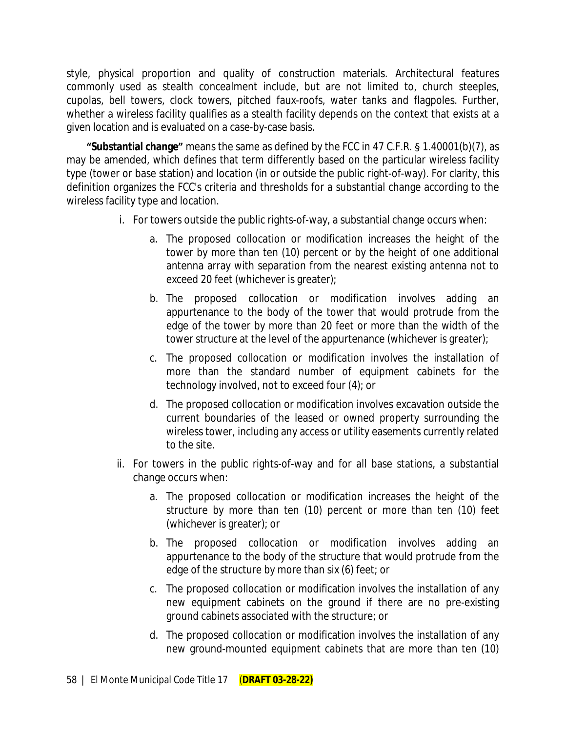style, physical proportion and quality of construction materials. Architectural features commonly used as stealth concealment include, but are not limited to, church steeples, cupolas, bell towers, clock towers, pitched faux-roofs, water tanks and flagpoles. Further, whether a wireless facility qualifies as a stealth facility depends on the context that exists at a given location and is evaluated on a case-by-case basis.

**"Substantial change"** means the same as defined by the FCC in 47 C.F.R. § 1.40001(b)(7), as may be amended, which defines that term differently based on the particular wireless facility type (tower or base station) and location (in or outside the public right-of-way). For clarity, this definition organizes the FCC's criteria and thresholds for a substantial change according to the wireless facility type and location.

- i. For towers outside the public rights-of-way, a substantial change occurs when:
	- a. The proposed collocation or modification increases the height of the tower by more than ten (10) percent or by the height of one additional antenna array with separation from the nearest existing antenna not to exceed 20 feet (whichever is greater);
	- b. The proposed collocation or modification involves adding an appurtenance to the body of the tower that would protrude from the edge of the tower by more than 20 feet or more than the width of the tower structure at the level of the appurtenance (whichever is greater);
	- c. The proposed collocation or modification involves the installation of more than the standard number of equipment cabinets for the technology involved, not to exceed four (4); or
	- d. The proposed collocation or modification involves excavation outside the current boundaries of the leased or owned property surrounding the wireless tower, including any access or utility easements currently related to the site.
- ii. For towers in the public rights-of-way and for all base stations, a substantial change occurs when:
	- a. The proposed collocation or modification increases the height of the structure by more than ten (10) percent or more than ten (10) feet (whichever is greater); or
	- b. The proposed collocation or modification involves adding an appurtenance to the body of the structure that would protrude from the edge of the structure by more than six (6) feet; or
	- c. The proposed collocation or modification involves the installation of any new equipment cabinets on the ground if there are no pre-existing ground cabinets associated with the structure; or
	- d. The proposed collocation or modification involves the installation of any new ground-mounted equipment cabinets that are more than ten (10)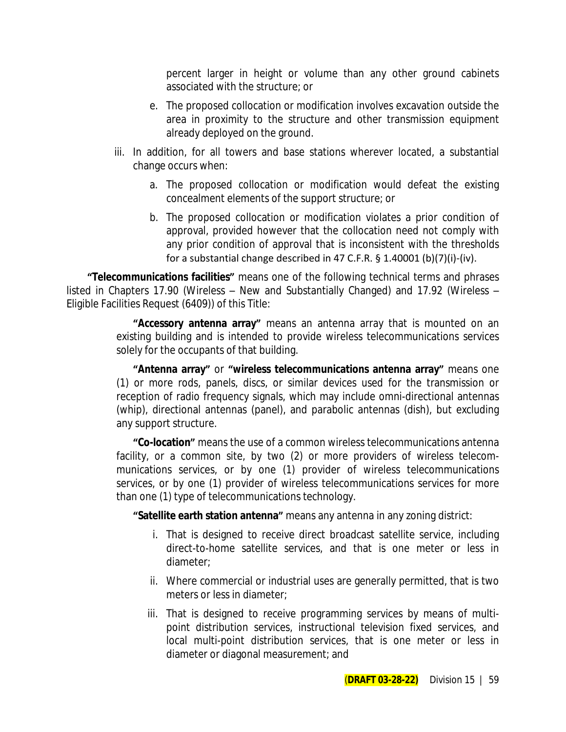percent larger in height or volume than any other ground cabinets associated with the structure; or

- e. The proposed collocation or modification involves excavation outside the area in proximity to the structure and other transmission equipment already deployed on the ground.
- iii. In addition, for all towers and base stations wherever located, a substantial change occurs when:
	- a. The proposed collocation or modification would defeat the existing concealment elements of the support structure; or
	- b. The proposed collocation or modification violates a prior condition of approval, provided however that the collocation need not comply with any prior condition of approval that is inconsistent with the thresholds for a substantial change described in 47 C.F.R. § 1.40001 (b)(7)(i)-(iv).

**"Telecommunications facilities"** means one of the following technical terms and phrases listed in Chapters 17.90 (Wireless – New and Substantially Changed) and 17.92 (Wireless – Eligible Facilities Request (6409)) of this Title:

> **"Accessory antenna array"** means an antenna array that is mounted on an existing building and is intended to provide wireless telecommunications services solely for the occupants of that building.

> **"Antenna array"** or **"wireless telecommunications antenna array"** means one (1) or more rods, panels, discs, or similar devices used for the transmission or reception of radio frequency signals, which may include omni-directional antennas (whip), directional antennas (panel), and parabolic antennas (dish), but excluding any support structure.

> **"Co-location"** means the use of a common wireless telecommunications antenna facility, or a common site, by two (2) or more providers of wireless telecommunications services, or by one (1) provider of wireless telecommunications services, or by one (1) provider of wireless telecommunications services for more than one (1) type of telecommunications technology.

**"Satellite earth station antenna"** means any antenna in any zoning district:

- i. That is designed to receive direct broadcast satellite service, including direct-to-home satellite services, and that is one meter or less in diameter;
- ii. Where commercial or industrial uses are generally permitted, that is two meters or less in diameter;
- iii. That is designed to receive programming services by means of multipoint distribution services, instructional television fixed services, and local multi-point distribution services, that is one meter or less in diameter or diagonal measurement; and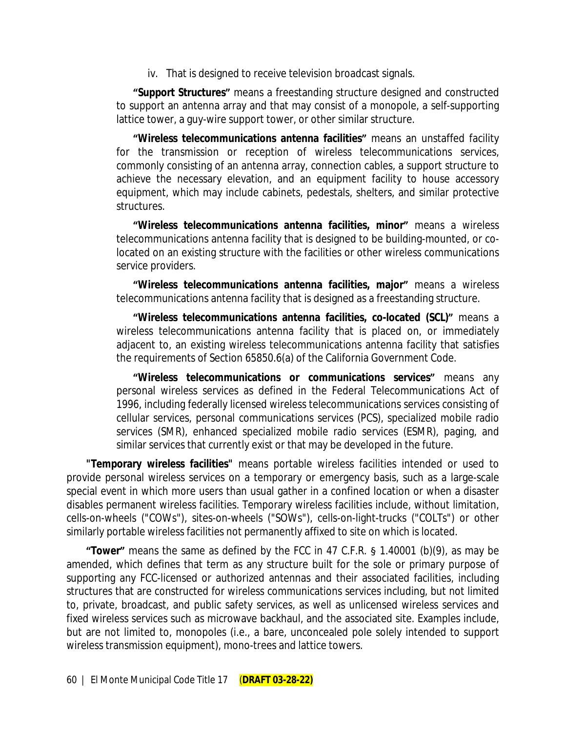iv. That is designed to receive television broadcast signals.

**"Support Structures"** means a freestanding structure designed and constructed to support an antenna array and that may consist of a monopole, a self-supporting lattice tower, a guy-wire support tower, or other similar structure.

**"Wireless telecommunications antenna facilities"** means an unstaffed facility for the transmission or reception of wireless telecommunications services, commonly consisting of an antenna array, connection cables, a support structure to achieve the necessary elevation, and an equipment facility to house accessory equipment, which may include cabinets, pedestals, shelters, and similar protective structures.

**"Wireless telecommunications antenna facilities, minor"** means a wireless telecommunications antenna facility that is designed to be building-mounted, or colocated on an existing structure with the facilities or other wireless communications service providers.

**"Wireless telecommunications antenna facilities, major"** means a wireless telecommunications antenna facility that is designed as a freestanding structure.

**"Wireless telecommunications antenna facilities, co-located (SCL)"** means a wireless telecommunications antenna facility that is placed on, or immediately adjacent to, an existing wireless telecommunications antenna facility that satisfies the requirements of Section 65850.6(a) of the California Government Code.

**"Wireless telecommunications or communications services"** means any personal wireless services as defined in the Federal Telecommunications Act of 1996, including federally licensed wireless telecommunications services consisting of cellular services, personal communications services (PCS), specialized mobile radio services (SMR), enhanced specialized mobile radio services (ESMR), paging, and similar services that currently exist or that may be developed in the future.

**"Temporary wireless facilities"** means portable wireless facilities intended or used to provide personal wireless services on a temporary or emergency basis, such as a large-scale special event in which more users than usual gather in a confined location or when a disaster disables permanent wireless facilities. Temporary wireless facilities include, without limitation, cells-on-wheels ("COWs"), sites-on-wheels ("SOWs"), cells-on-light-trucks ("COLTs") or other similarly portable wireless facilities not permanently affixed to site on which is located.

**"Tower"** means the same as defined by the FCC in 47 C.F.R. § 1.40001 (b)(9), as may be amended, which defines that term as any structure built for the sole or primary purpose of supporting any FCC-licensed or authorized antennas and their associated facilities, including structures that are constructed for wireless communications services including, but not limited to, private, broadcast, and public safety services, as well as unlicensed wireless services and fixed wireless services such as microwave backhaul, and the associated site. Examples include, but are not limited to, monopoles (i.e., a bare, unconcealed pole solely intended to support wireless transmission equipment), mono-trees and lattice towers.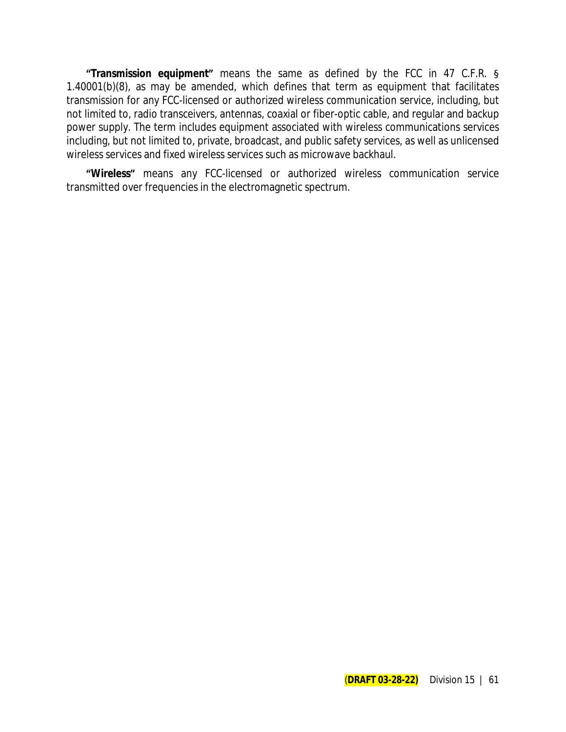**"Transmission equipment"** means the same as defined by the FCC in 47 C.F.R. § 1.40001(b)(8), as may be amended, which defines that term as equipment that facilitates transmission for any FCC-licensed or authorized wireless communication service, including, but not limited to, radio transceivers, antennas, coaxial or fiber-optic cable, and regular and backup power supply. The term includes equipment associated with wireless communications services including, but not limited to, private, broadcast, and public safety services, as well as unlicensed wireless services and fixed wireless services such as microwave backhaul.

**"Wireless"** means any FCC-licensed or authorized wireless communication service transmitted over frequencies in the electromagnetic spectrum.